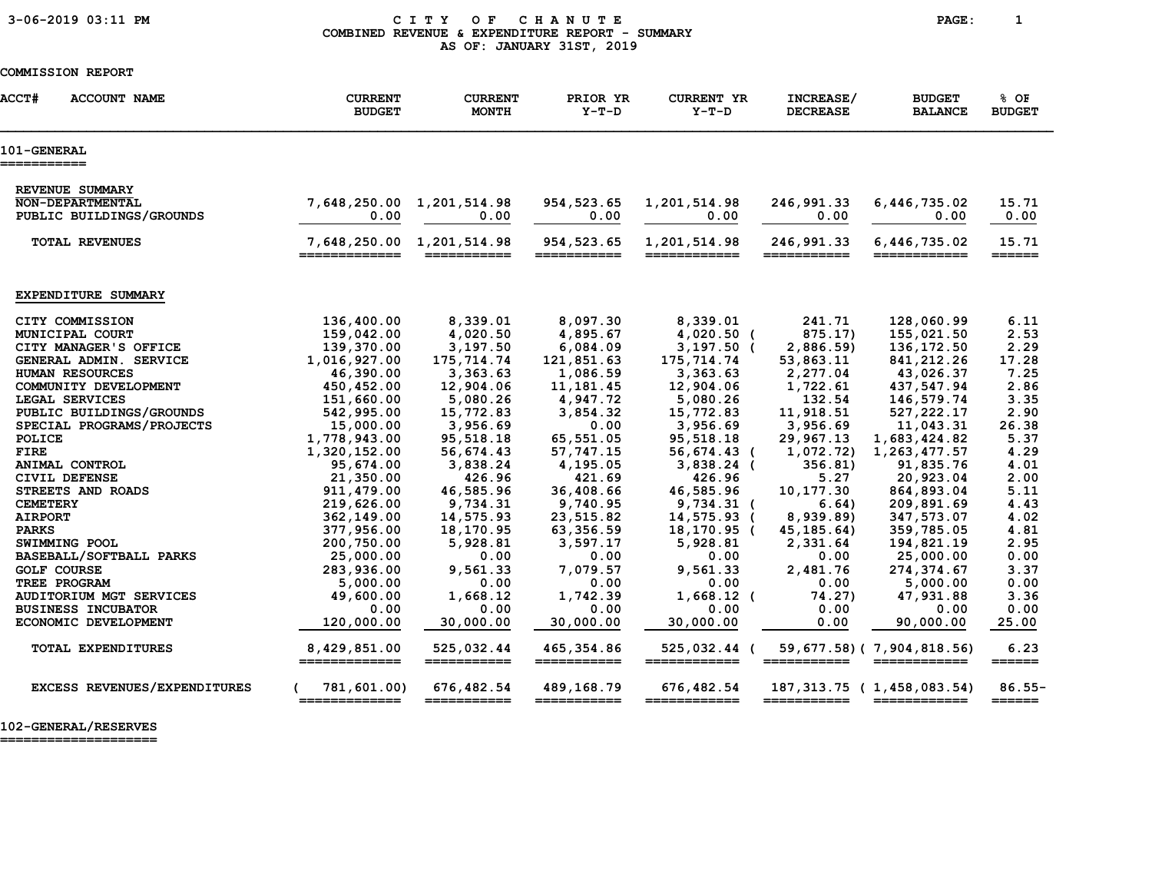### 3-06-2019 03:11 PM C I T Y O F C H A N U T E PAGE: 1 COMBINED REVENUE & EXPENDITURE REPORT - SUMMARY AS OF: JANUARY 31ST, 2019

#### COMMISSION REPORT

| <b>ACCT#</b><br><b>ACCOUNT NAME</b> | <b>CURRENT</b><br><b>BUDGET</b> | <b>CURRENT</b><br><b>MONTH</b> | PRIOR YR<br>$Y-T-D$                                                                                                                                                                                                                                                                                                                                                                                                                                                                                                                                                  | <b>CURRENT YR</b><br>$Y-T-D$ | INCREASE/<br><b>DECREASE</b> | <b>BUDGET</b><br><b>BALANCE</b>           | % OF<br><b>BUDGET</b>                |
|-------------------------------------|---------------------------------|--------------------------------|----------------------------------------------------------------------------------------------------------------------------------------------------------------------------------------------------------------------------------------------------------------------------------------------------------------------------------------------------------------------------------------------------------------------------------------------------------------------------------------------------------------------------------------------------------------------|------------------------------|------------------------------|-------------------------------------------|--------------------------------------|
| <b>101-GENERAL</b><br>===========   |                                 |                                |                                                                                                                                                                                                                                                                                                                                                                                                                                                                                                                                                                      |                              |                              |                                           |                                      |
| REVENUE SUMMARY                     |                                 |                                |                                                                                                                                                                                                                                                                                                                                                                                                                                                                                                                                                                      |                              |                              |                                           |                                      |
| NON-DEPARTMENTAL                    | 7,648,250.00                    | 1,201,514.98                   | 954, 523.65                                                                                                                                                                                                                                                                                                                                                                                                                                                                                                                                                          | 1,201,514.98                 | 246,991.33                   | 6,446,735.02                              | 15.71                                |
| PUBLIC BUILDINGS/GROUNDS            | 0.00                            | 0.00                           | 0.00                                                                                                                                                                                                                                                                                                                                                                                                                                                                                                                                                                 | 0.00                         | 0.00                         | 0.00                                      | 0.00                                 |
| <b>TOTAL REVENUES</b>               | 7,648,250.00 1,201,514.98       |                                | 954,523.65                                                                                                                                                                                                                                                                                                                                                                                                                                                                                                                                                           | 1,201,514.98                 | 246,991.33                   | 6,446,735.02                              | 15.71                                |
|                                     | =============                   |                                |                                                                                                                                                                                                                                                                                                                                                                                                                                                                                                                                                                      | ========                     | ===========                  |                                           | $=$ $=$ $=$ $=$ $=$                  |
|                                     |                                 |                                |                                                                                                                                                                                                                                                                                                                                                                                                                                                                                                                                                                      |                              |                              |                                           |                                      |
| EXPENDITURE SUMMARY                 |                                 |                                |                                                                                                                                                                                                                                                                                                                                                                                                                                                                                                                                                                      |                              |                              |                                           |                                      |
| CITY COMMISSION                     | 136,400.00                      | 8,339.01                       | 8,097.30                                                                                                                                                                                                                                                                                                                                                                                                                                                                                                                                                             | 8,339.01                     | 241.71                       | 128,060.99                                | 6.11                                 |
| MUNICIPAL COURT                     | 159,042.00                      | 4,020.50                       | 4,895.67                                                                                                                                                                                                                                                                                                                                                                                                                                                                                                                                                             | $4,020.50$ (                 | 875.17)                      | 155,021.50                                | 2.53                                 |
| CITY MANAGER'S OFFICE               | 139,370.00                      | 3,197.50                       | 6,084.09                                                                                                                                                                                                                                                                                                                                                                                                                                                                                                                                                             | $3,197.50$ (                 | 2,886.59)                    | 136, 172.50                               | 2.29                                 |
| GENERAL ADMIN. SERVICE              | 1,016,927.00                    | 175,714.74                     | 121,851.63                                                                                                                                                                                                                                                                                                                                                                                                                                                                                                                                                           | 175,714.74                   | 53,863.11                    | 841,212.26                                | 17.28                                |
| HUMAN RESOURCES                     | 46,390.00                       | 3,363.63                       | 1,086.59                                                                                                                                                                                                                                                                                                                                                                                                                                                                                                                                                             | 3,363.63                     | 2,277.04                     | 43,026.37                                 | 7.25                                 |
| COMMUNITY DEVELOPMENT               | 450,452.00                      | 12,904.06                      | 11, 181.45                                                                                                                                                                                                                                                                                                                                                                                                                                                                                                                                                           | 12,904.06                    | 1,722.61                     | 437,547.94                                | 2.86                                 |
| LEGAL SERVICES                      | 151,660.00                      | 5,080.26                       | 4,947.72                                                                                                                                                                                                                                                                                                                                                                                                                                                                                                                                                             | 5,080.26                     | 132.54                       | 146,579.74                                | 3.35                                 |
| PUBLIC BUILDINGS/GROUNDS            | 542,995.00                      | 15,772.83                      | 3,854.32                                                                                                                                                                                                                                                                                                                                                                                                                                                                                                                                                             | 15,772.83                    | 11,918.51                    | 527, 222.17                               | 2.90                                 |
| SPECIAL PROGRAMS/PROJECTS           | 15,000.00                       | 3,956.69                       | 0.00                                                                                                                                                                                                                                                                                                                                                                                                                                                                                                                                                                 | 3,956.69                     | 3,956.69                     | 11,043.31                                 | 26.38                                |
| POLICE                              | 1,778,943.00                    | 95,518.18                      | 65,551.05                                                                                                                                                                                                                                                                                                                                                                                                                                                                                                                                                            | 95,518.18                    | 29,967.13                    | 1,683,424.82                              | 5.37                                 |
| <b>FIRE</b>                         | 1,320,152.00                    | 56,674.43                      | 57, 747. 15                                                                                                                                                                                                                                                                                                                                                                                                                                                                                                                                                          | 56,674.43 (                  | 1,072.72)                    | 1,263,477.57                              | 4.29                                 |
| ANIMAL CONTROL                      | 95,674.00                       | 3,838.24                       | 4,195.05                                                                                                                                                                                                                                                                                                                                                                                                                                                                                                                                                             | $3,838.24$ (                 | 356.81                       | 91,835.76                                 | 4.01                                 |
| CIVIL DEFENSE                       | 21,350.00                       | 426.96                         | 421.69                                                                                                                                                                                                                                                                                                                                                                                                                                                                                                                                                               | 426.96                       | 5.27                         | 20,923.04                                 | 2.00                                 |
| STREETS AND ROADS                   | 911, 479.00                     | 46,585.96                      | 36,408.66                                                                                                                                                                                                                                                                                                                                                                                                                                                                                                                                                            | 46,585.96                    | 10,177.30                    | 864,893.04                                | 5.11                                 |
| <b>CEMETERY</b>                     | 219,626.00                      | 9,734.31                       | 9,740.95                                                                                                                                                                                                                                                                                                                                                                                                                                                                                                                                                             | 9,734.31 (                   | 6.64)                        | 209,891.69                                | 4.43                                 |
| <b>AIRPORT</b>                      | 362,149.00                      | 14,575.93                      | 23,515.82                                                                                                                                                                                                                                                                                                                                                                                                                                                                                                                                                            | 14,575.93 (                  | 8,939.89                     | 347,573.07                                | 4.02                                 |
| <b>PARKS</b>                        | 377,956.00                      | 18,170.95                      | 63,356.59                                                                                                                                                                                                                                                                                                                                                                                                                                                                                                                                                            | 18,170.95 (                  | 45, 185.64)                  | 359,785.05                                | 4.81                                 |
| SWIMMING POOL                       | 200,750.00                      | 5,928.81                       | 3,597.17                                                                                                                                                                                                                                                                                                                                                                                                                                                                                                                                                             | 5,928.81                     | 2,331.64                     | 194,821.19                                | 2.95                                 |
| BASEBALL/SOFTBALL PARKS             | 25,000.00                       | 0.00                           | 0.00                                                                                                                                                                                                                                                                                                                                                                                                                                                                                                                                                                 | 0.00                         | 0.00                         | 25,000.00                                 | 0.00                                 |
| <b>GOLF COURSE</b>                  | 283,936.00                      | 9,561.33                       | 7,079.57                                                                                                                                                                                                                                                                                                                                                                                                                                                                                                                                                             | 9,561.33                     | 2,481.76                     | 274,374.67                                | 3.37                                 |
| TREE PROGRAM                        | 5,000.00                        | 0.00                           | 0.00                                                                                                                                                                                                                                                                                                                                                                                                                                                                                                                                                                 | 0.00                         | 0.00                         | 5,000.00                                  | 0.00                                 |
| <b>AUDITORIUM MGT SERVICES</b>      | 49,600.00                       | 1,668.12                       | 1,742.39                                                                                                                                                                                                                                                                                                                                                                                                                                                                                                                                                             | $1,668.12$ (                 | 74.27)                       | 47,931.88                                 | 3.36                                 |
|                                     |                                 | 0.00                           | 0.00                                                                                                                                                                                                                                                                                                                                                                                                                                                                                                                                                                 | 0.00                         | 0.00                         | 0.00                                      | 0.00                                 |
| <b>BUSINESS INCUBATOR</b>           | 0.00                            |                                |                                                                                                                                                                                                                                                                                                                                                                                                                                                                                                                                                                      |                              |                              |                                           |                                      |
| ECONOMIC DEVELOPMENT                | 120,000.00                      | 30,000.00                      | 30,000.00                                                                                                                                                                                                                                                                                                                                                                                                                                                                                                                                                            | 30,000.00                    | 0.00                         | 90,000.00                                 | 25.00                                |
| TOTAL EXPENDITURES                  | 8,429,851.00<br>=============   | 525,032.44<br>===========      | 465, 354.86<br>===========                                                                                                                                                                                                                                                                                                                                                                                                                                                                                                                                           | 525,032.44 (<br>============ | ===========                  | 59,677.58) (7,904,818.56)<br>============ | 6.23<br>$=$ $=$ $=$ $=$ $=$ $=$      |
|                                     |                                 |                                |                                                                                                                                                                                                                                                                                                                                                                                                                                                                                                                                                                      |                              |                              |                                           |                                      |
| EXCESS REVENUES/EXPENDITURES        | 781,601.00)<br>=============    | 676,482.54<br>===========      | 489,168.79<br>$\begin{array}{c} \begin{array}{c} \begin{array}{c} \begin{array}{c} \end{array}\\ \end{array} \end{array} \end{array} \end{array} \end{array} \end{array} \begin{array}{c} \begin{array}{c} \begin{array}{c} \end{array} \end{array} \end{array} \end{array} \begin{array}{c} \begin{array}{c} \end{array} \end{array} \end{array} \begin{array}{c} \begin{array}{c} \end{array} \end{array} \end{array} \begin{array}{c} \begin{array}{c} \end{array} \end{array} \end{array} \begin{array}{c} \begin{array}{c} \end{array} \end{array} \end{array}$ | 676,482.54<br>============   | 187,313.75 (<br>===========  | 1,458,083.54)<br>============             | $86.55 -$<br>$=$ $=$ $=$ $=$ $=$ $=$ |

====================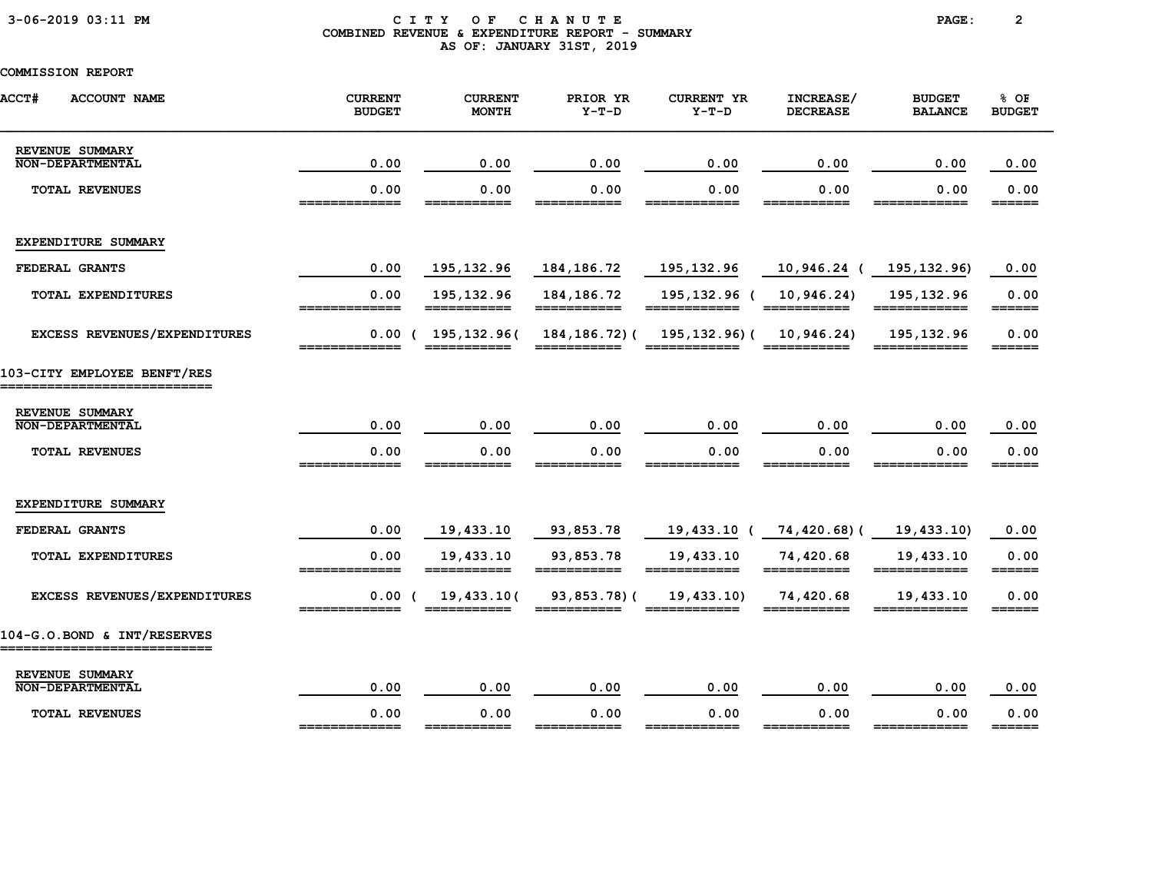### 3-06-2019 03:11 PM C I T Y O F C H A N U T E PAGE: 2 COMBINED REVENUE & EXPENDITURE REPORT - SUMMARY AS OF: JANUARY 31ST, 2019

| <b>ACCT#</b><br><b>ACCOUNT NAME</b>                        | <b>CURRENT</b><br><b>BUDGET</b> | <b>CURRENT</b><br><b>MONTH</b> | PRIOR YR<br>$Y-T-D$         | <b>CURRENT YR</b><br>$Y-T-D$                                                                                                                                                                                                                                                                                                                                                                                                                        | INCREASE/<br><b>DECREASE</b> | <b>BUDGET</b><br><b>BALANCE</b> | % OF<br><b>BUDGET</b>           |
|------------------------------------------------------------|---------------------------------|--------------------------------|-----------------------------|-----------------------------------------------------------------------------------------------------------------------------------------------------------------------------------------------------------------------------------------------------------------------------------------------------------------------------------------------------------------------------------------------------------------------------------------------------|------------------------------|---------------------------------|---------------------------------|
| REVENUE SUMMARY<br><b>NON-DEPARTMENTAL</b>                 | 0.00                            | 0.00                           | 0.00                        | 0.00                                                                                                                                                                                                                                                                                                                                                                                                                                                | 0.00                         | 0.00                            | 0.00                            |
| TOTAL REVENUES                                             | 0.00<br>=============           | 0.00<br>===========            | 0.00                        | 0.00<br>============                                                                                                                                                                                                                                                                                                                                                                                                                                | 0.00<br>===========          | 0.00<br>============            | 0.00<br>======                  |
| EXPENDITURE SUMMARY                                        |                                 |                                |                             |                                                                                                                                                                                                                                                                                                                                                                                                                                                     |                              |                                 |                                 |
| FEDERAL GRANTS                                             | 0.00                            | 195,132.96                     | 184,186.72                  | 195,132.96                                                                                                                                                                                                                                                                                                                                                                                                                                          | 10,946.24 (                  | 195, 132.96)                    | 0.00                            |
| <b>TOTAL EXPENDITURES</b>                                  | 0.00<br>=============           | 195, 132.96<br>===========     | 184, 186. 72<br>=========== | 195,132.96 (<br>============                                                                                                                                                                                                                                                                                                                                                                                                                        | 10,946.24)                   | 195,132.96<br>============      | 0.00                            |
| EXCESS REVENUES/EXPENDITURES                               | =============                   | $0.00$ ( 195,132.96)           | 184, 186. 72) (             | 195,132.96)(<br>$\begin{array}{cccccccccc} \texttt{m} & \texttt{m} & \texttt{m} & \texttt{m} & \texttt{m} & \texttt{m} & \texttt{m} & \texttt{m} & \texttt{m} & \texttt{m} & \texttt{m} & \texttt{m} & \texttt{m} & \texttt{m} & \texttt{m} & \texttt{m} & \texttt{m} & \texttt{m} & \texttt{m} & \texttt{m} & \texttt{m} & \texttt{m} & \texttt{m} & \texttt{m} & \texttt{m} & \texttt{m} & \texttt{m} & \texttt{m} & \texttt{m} & \texttt{m} & \$ | 10,946.24)                   | 195, 132.96<br>============     | 0.00                            |
| 103-CITY EMPLOYEE BENFT/RES<br>--------------------------  |                                 |                                |                             |                                                                                                                                                                                                                                                                                                                                                                                                                                                     |                              |                                 |                                 |
| REVENUE SUMMARY                                            |                                 |                                |                             |                                                                                                                                                                                                                                                                                                                                                                                                                                                     |                              |                                 |                                 |
| <b>NON-DEPARTMENTAL</b>                                    | 0.00                            | 0.00                           | 0.00                        | 0.00                                                                                                                                                                                                                                                                                                                                                                                                                                                | 0.00                         | 0.00                            | 0.00                            |
| <b>TOTAL REVENUES</b>                                      | 0.00<br>_____________           | 0.00<br>___________            | 0.00<br>___________         | 0.00<br>============                                                                                                                                                                                                                                                                                                                                                                                                                                | 0.00<br>___________          | 0.00<br>============            | 0.00<br>======                  |
| EXPENDITURE SUMMARY                                        |                                 |                                |                             |                                                                                                                                                                                                                                                                                                                                                                                                                                                     |                              |                                 |                                 |
| FEDERAL GRANTS                                             | 0.00                            | 19,433.10                      | 93,853.78                   | 19,433.10 (                                                                                                                                                                                                                                                                                                                                                                                                                                         | 74,420.68)(                  | 19,433.10)                      | 0.00                            |
| <b>TOTAL EXPENDITURES</b>                                  | 0.00                            | 19,433.10                      | 93,853.78                   | 19,433.10                                                                                                                                                                                                                                                                                                                                                                                                                                           | 74,420.68                    | 19,433.10<br>============       | 0.00<br>$=$ $=$ $=$ $=$ $=$ $=$ |
| EXCESS REVENUES/EXPENDITURES                               | 0.00(<br>-------------          | 19,433.10(                     | 93,853.78)(<br>============ | 19,433.10                                                                                                                                                                                                                                                                                                                                                                                                                                           | 74,420.68                    | 19,433.10<br>____________       | 0.00<br>======                  |
| 104-G.O.BOND & INT/RESERVES<br>=========================== |                                 |                                |                             |                                                                                                                                                                                                                                                                                                                                                                                                                                                     |                              |                                 |                                 |
| REVENUE SUMMARY<br><b>NON-DEPARTMENTAL</b>                 | 0.00                            | 0.00                           | 0.00                        | 0.00                                                                                                                                                                                                                                                                                                                                                                                                                                                | 0.00                         | 0.00                            | 0.00                            |
| <b>TOTAL REVENUES</b>                                      | 0.00<br>_____________           | 0.00<br>___________            | 0.00<br>___________         | 0.00<br>____________                                                                                                                                                                                                                                                                                                                                                                                                                                | 0.00<br>===========          | 0.00<br>============            | 0.00<br>$=$ $=$ $=$ $=$ $=$     |
|                                                            |                                 |                                |                             |                                                                                                                                                                                                                                                                                                                                                                                                                                                     |                              |                                 |                                 |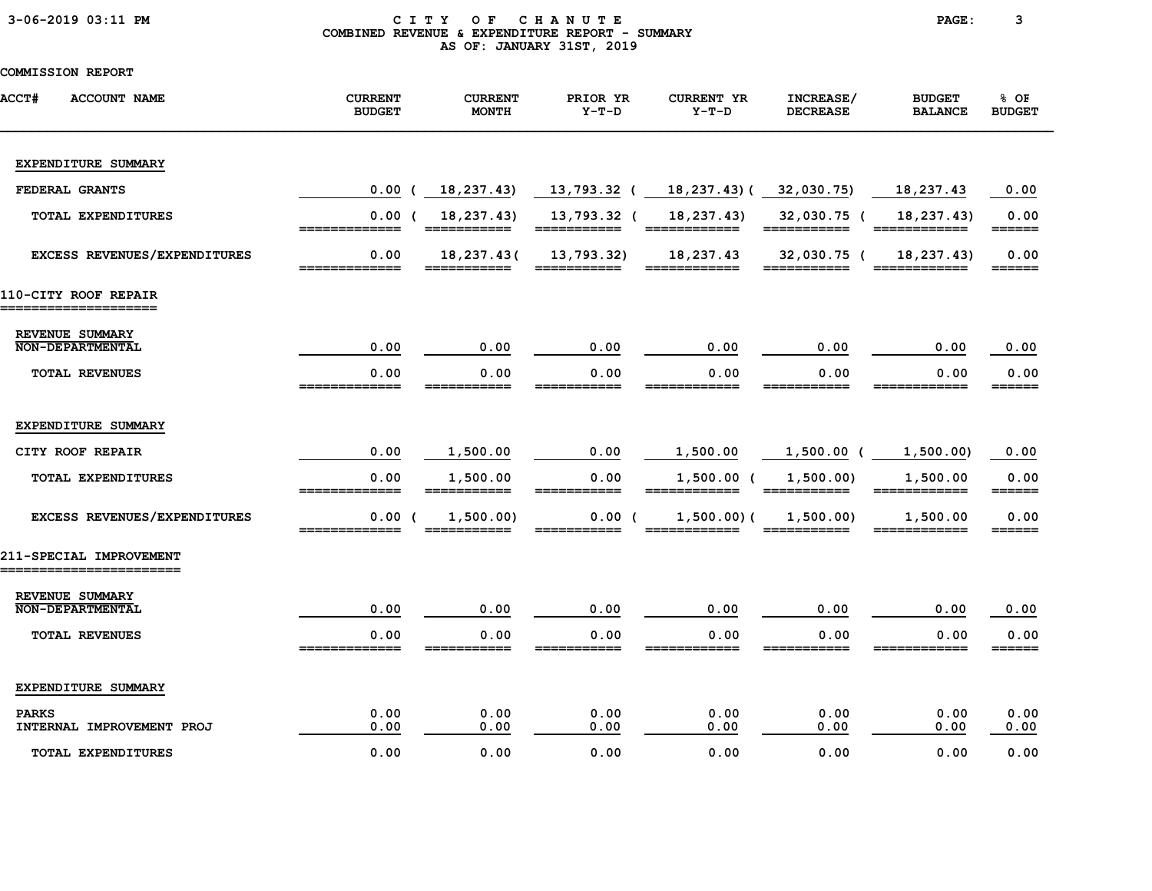|  |  |  |  |  | 3-06-2019 03:11 PM |  |
|--|--|--|--|--|--------------------|--|
|--|--|--|--|--|--------------------|--|

#### CITY OF CHANUTE PAGE: 3 COMBINED REVENUE & EXPENDITURE REPORT - SUMMARY AS OF: JANUARY 31ST, 2019

| <b>ACCT#</b><br><b>ACCOUNT NAME</b>               | <b>CURRENT</b><br><b>BUDGET</b> | <b>CURRENT</b><br><b>MONTH</b> | PRIOR YR<br>$Y-T-D$                 | <b>CURRENT YR</b><br>$Y-T-D$ | INCREASE/<br><b>DECREASE</b>                                                                   | <b>BUDGET</b><br><b>BALANCE</b>                                                                                        | % OF<br><b>BUDGET</b> |
|---------------------------------------------------|---------------------------------|--------------------------------|-------------------------------------|------------------------------|------------------------------------------------------------------------------------------------|------------------------------------------------------------------------------------------------------------------------|-----------------------|
| EXPENDITURE SUMMARY                               |                                 |                                |                                     |                              |                                                                                                |                                                                                                                        |                       |
| FEDERAL GRANTS                                    | 0.00<br>$\epsilon$              | 18,237.43)                     | 13,793.32 ( 18,237.43) ( 32,030.75) |                              |                                                                                                | 18,237.43                                                                                                              | 0.00                  |
| TOTAL EXPENDITURES                                | 0.00(<br>=============          | 18,237.43)<br>===========      | 13,793.32 (<br>===========          | 18,237.43)                   | 32,030.75 (<br>$\begin{array}{cccccccccc} = & = & = & = & = & = & = & = & = & = & \end{array}$ | 18,237.43)<br>============                                                                                             | 0.00<br>======        |
| EXCESS REVENUES/EXPENDITURES                      | 0.00                            | 18,237.43(                     | 13,793.32)                          | 18,237.43<br>______          | 32,030.75 (                                                                                    | 18,237.43)                                                                                                             | 0.00<br>======        |
| 110-CITY ROOF REPAIR<br>___________________       |                                 |                                |                                     |                              |                                                                                                |                                                                                                                        |                       |
| REVENUE SUMMARY<br><b>NON-DEPARTMENTAL</b>        | 0.00                            | 0.00                           | 0.00                                | 0.00                         | 0.00                                                                                           | 0.00                                                                                                                   | 0.00                  |
| <b>TOTAL REVENUES</b>                             | 0.00<br>_____________           | 0.00<br>___________            | 0.00<br>===========                 | 0.00<br>____________         | 0.00<br>===========                                                                            | 0.00<br>============                                                                                                   | 0.00<br>======        |
| EXPENDITURE SUMMARY                               |                                 |                                |                                     |                              |                                                                                                |                                                                                                                        |                       |
| CITY ROOF REPAIR                                  | 0.00                            | 1,500.00                       | 0.00                                | 1,500.00                     | 1,500.00 (                                                                                     | 1,500.00)                                                                                                              | 0.00                  |
| TOTAL EXPENDITURES                                | 0.00<br>=============           | 1,500.00                       | 0.00<br>===========                 | $1,500.00$ (<br>============ | 1,500.00)                                                                                      | 1,500.00<br>$\begin{array}{c} \texttt{m} = \texttt{m} = \texttt{m} = \texttt{m} = \texttt{m} = \texttt{m} \end{array}$ | 0.00                  |
| EXCESS REVENUES/EXPENDITURES                      | 0.00(                           | 1,500.00)                      | 0.00(                               | $1,500.00)$ (                | 1,500.00)                                                                                      | 1,500.00                                                                                                               | 0.00<br>______        |
| 211-SPECIAL IMPROVEMENT<br>______________________ |                                 |                                |                                     |                              |                                                                                                |                                                                                                                        |                       |
| REVENUE SUMMARY<br><b>NON-DEPARTMENTAL</b>        | 0.00                            | 0.00                           | 0.00                                | 0.00                         | 0.00                                                                                           | 0.00                                                                                                                   | 0.00                  |
| <b>TOTAL REVENUES</b>                             | 0.00                            | 0.00                           | 0.00                                | 0.00                         | 0.00                                                                                           | 0.00                                                                                                                   | 0.00<br>======        |
| EXPENDITURE SUMMARY                               |                                 |                                |                                     |                              |                                                                                                |                                                                                                                        |                       |
| <b>PARKS</b><br>INTERNAL IMPROVEMENT PROJ         | 0.00<br>0.00                    | 0.00<br>0.00                   | 0.00<br>0.00                        | 0.00<br>0.00                 | 0.00<br>0.00                                                                                   | 0.00<br>0.00                                                                                                           | 0.00<br>0.00          |
| <b>TOTAL EXPENDITURES</b>                         | 0.00                            | 0.00                           | 0.00                                | 0.00                         | 0.00                                                                                           | 0.00                                                                                                                   | 0.00                  |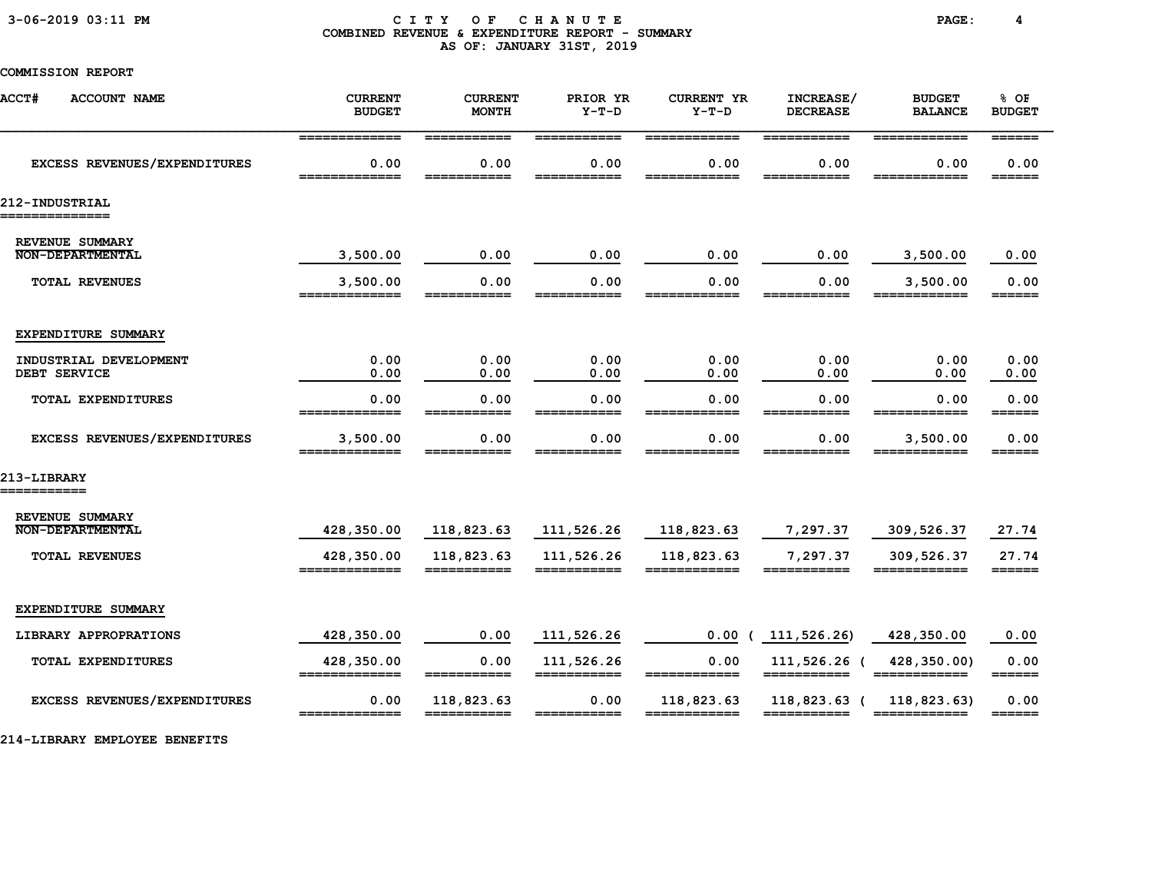#### 3-06-2019 03:11 PM C I T Y O F C H A N U T E PAGE: 4 COMBINED REVENUE & EXPENDITURE REPORT - SUMMARY AS OF: JANUARY 31ST, 2019

# COMMISSION REPORT

| <b>ACCT#</b><br><b>ACCOUNT NAME</b>        | <b>CURRENT</b><br><b>BUDGET</b>        | <b>CURRENT</b><br><b>MONTH</b>     | PRIOR YR<br>$Y-T-D$                                                                                                                                                                                                                                                                                                                                                                                                                                                                                                                            | <b>CURRENT YR</b><br>$Y-T-D$         | INCREASE/<br><b>DECREASE</b>       | <b>BUDGET</b><br><b>BALANCE</b>      | % OF<br><b>BUDGET</b>                                      |
|--------------------------------------------|----------------------------------------|------------------------------------|------------------------------------------------------------------------------------------------------------------------------------------------------------------------------------------------------------------------------------------------------------------------------------------------------------------------------------------------------------------------------------------------------------------------------------------------------------------------------------------------------------------------------------------------|--------------------------------------|------------------------------------|--------------------------------------|------------------------------------------------------------|
| EXCESS REVENUES/EXPENDITURES               | =============<br>0.00<br>============= | ===========<br>0.00<br>=========== | ===========<br>0.00<br>===========                                                                                                                                                                                                                                                                                                                                                                                                                                                                                                             | ============<br>0.00<br>============ | ===========<br>0.00<br>=========== | ============<br>0.00<br>============ | $=$ $=$ $=$ $=$ $=$ $=$<br>0.00<br>$=$ $=$ $=$ $=$ $=$ $=$ |
| 212-INDUSTRIAL<br>============             |                                        |                                    |                                                                                                                                                                                                                                                                                                                                                                                                                                                                                                                                                |                                      |                                    |                                      |                                                            |
| REVENUE SUMMARY<br><b>NON-DEPARTMENTAL</b> | 3,500.00                               | 0.00                               | 0.00                                                                                                                                                                                                                                                                                                                                                                                                                                                                                                                                           | 0.00                                 | 0.00                               | 3,500.00                             | 0.00                                                       |
| <b>TOTAL REVENUES</b>                      | 3,500.00                               | 0.00                               | 0.00                                                                                                                                                                                                                                                                                                                                                                                                                                                                                                                                           | 0.00                                 | 0.00                               | 3,500.00                             | 0.00<br>======                                             |
| EXPENDITURE SUMMARY                        |                                        |                                    |                                                                                                                                                                                                                                                                                                                                                                                                                                                                                                                                                |                                      |                                    |                                      |                                                            |
| INDUSTRIAL DEVELOPMENT<br>DEBT SERVICE     | 0.00<br>0.00                           | 0.00<br>0.00                       | 0.00<br>0.00                                                                                                                                                                                                                                                                                                                                                                                                                                                                                                                                   | 0.00<br>0.00                         | 0.00<br>0.00                       | 0.00<br>0.00                         | 0.00<br>0.00                                               |
| TOTAL EXPENDITURES                         | 0.00                                   | 0.00                               | 0.00                                                                                                                                                                                                                                                                                                                                                                                                                                                                                                                                           | 0.00                                 | 0.00                               | 0.00                                 | 0.00<br>======                                             |
| EXCESS REVENUES/EXPENDITURES               | 3,500.00<br>_____________              | 0.00<br>-----------                | 0.00                                                                                                                                                                                                                                                                                                                                                                                                                                                                                                                                           | 0.00                                 | 0.00                               | 3,500.00<br>____________             | 0.00<br>$=$ $=$ $=$ $=$ $=$ $=$                            |
| 213-LIBRARY<br>===========                 |                                        |                                    |                                                                                                                                                                                                                                                                                                                                                                                                                                                                                                                                                |                                      |                                    |                                      |                                                            |
| REVENUE SUMMARY<br><b>NON-DEPARTMENTAL</b> | 428,350.00                             | 118,823.63                         | 111,526.26                                                                                                                                                                                                                                                                                                                                                                                                                                                                                                                                     | 118,823.63                           | 7,297.37                           | 309,526.37                           | 27.74                                                      |
| <b>TOTAL REVENUES</b>                      | 428,350.00<br>_____________            | 118,823.63<br>------------         | 111,526.26<br>___________                                                                                                                                                                                                                                                                                                                                                                                                                                                                                                                      | 118,823.63<br>____________           | 7,297.37                           | 309,526.37                           | 27.74<br>======                                            |
| EXPENDITURE SUMMARY                        |                                        |                                    |                                                                                                                                                                                                                                                                                                                                                                                                                                                                                                                                                |                                      |                                    |                                      |                                                            |
| LIBRARY APPROPRATIONS                      | 428,350.00                             | 0.00                               | 111,526.26                                                                                                                                                                                                                                                                                                                                                                                                                                                                                                                                     | 0.00                                 | 111,526.26)                        | 428,350.00                           | 0.00                                                       |
| <b>TOTAL EXPENDITURES</b>                  | 428,350.00<br>=============            | 0.00<br>___________                | 111,526.26<br>===========                                                                                                                                                                                                                                                                                                                                                                                                                                                                                                                      | 0.00<br>____________                 | 111,526.26 (<br>===========        | 428,350.00)<br>============          | 0.00<br>$=$ $=$ $=$ $=$ $=$ $=$ $=$                        |
| EXCESS REVENUES/EXPENDITURES               | 0.00<br>=============                  | 118,823.63<br>===========          | 0.00<br>$\begin{array}{c} \textcolor{red}{\textbf{1}} \textcolor{red}{\textbf{2}} \textcolor{red}{\textbf{3}} \textcolor{red}{\textbf{3}} \textcolor{red}{\textbf{4}} \textcolor{red}{\textbf{5}} \textcolor{red}{\textbf{6}} \textcolor{red}{\textbf{6}} \textcolor{red}{\textbf{7}} \textcolor{red}{\textbf{8}} \textcolor{red}{\textbf{9}} \textcolor{red}{\textbf{1}} \textcolor{red}{\textbf{1}} \textcolor{red}{\textbf{1}} \textcolor{red}{\textbf{1}} \textcolor{red}{\textbf{1}} \textcolor{red}{\textbf{1}} \textcolor{red}{\textbf$ | 118,823.63<br>============           | 118,823.63 (<br>===========        | 118,823.63)<br>============          | 0.00<br>$=$ $=$ $=$ $=$ $=$ $=$                            |

214-LIBRARY EMPLOYEE BENEFITS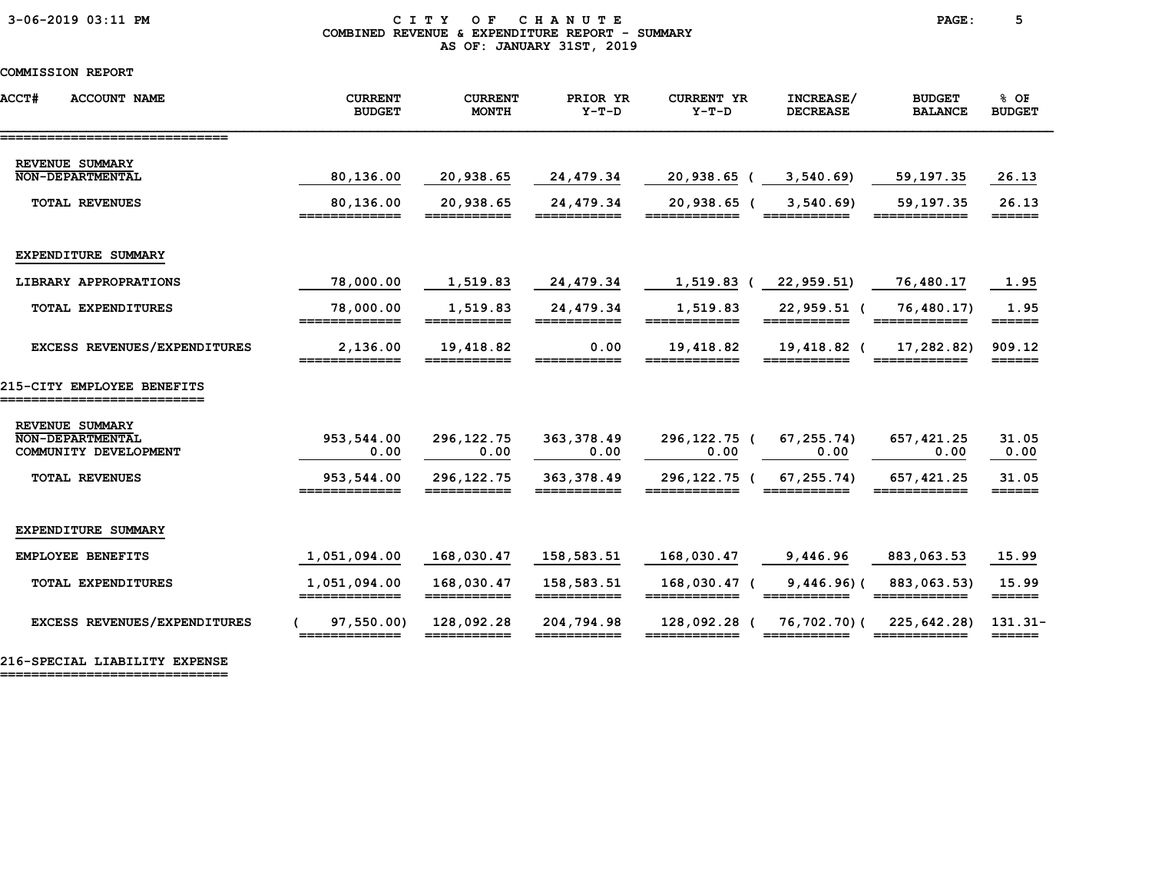#### 3-06-2019 03:11 PM C I T Y O F C H A N U T E PAGE: 5 COMBINED REVENUE & EXPENDITURE REPORT - SUMMARY AS OF: JANUARY 31ST, 2019

### COMMISSION REPORT

| <b>ACCT#</b><br><b>ACCOUNT NAME</b>                          | <b>CURRENT</b><br><b>BUDGET</b> | <b>CURRENT</b><br><b>MONTH</b>                                                                                                                                                                                                                                                                                                                                                                                                                                                                                                                     | PRIOR YR<br>$Y-T-D$       | <b>CURRENT YR</b><br>$Y-T-D$ | INCREASE/<br><b>DECREASE</b> | <b>BUDGET</b><br><b>BALANCE</b> | % OF<br><b>BUDGET</b>                |
|--------------------------------------------------------------|---------------------------------|----------------------------------------------------------------------------------------------------------------------------------------------------------------------------------------------------------------------------------------------------------------------------------------------------------------------------------------------------------------------------------------------------------------------------------------------------------------------------------------------------------------------------------------------------|---------------------------|------------------------------|------------------------------|---------------------------------|--------------------------------------|
| -------------------------------<br>REVENUE SUMMARY           |                                 |                                                                                                                                                                                                                                                                                                                                                                                                                                                                                                                                                    |                           |                              |                              |                                 |                                      |
| <b>NON-DEPARTMENTAL</b>                                      | 80,136.00                       | 20,938.65                                                                                                                                                                                                                                                                                                                                                                                                                                                                                                                                          | 24,479.34                 | 20,938.65                    | 3,540.69                     | 59,197.35                       | 26.13                                |
| <b>TOTAL REVENUES</b>                                        | 80,136.00<br>=============      | 20,938.65<br>===========                                                                                                                                                                                                                                                                                                                                                                                                                                                                                                                           | 24,479.34<br>===========  | 20,938.65 (<br>____________  | 3,540.69                     | 59,197.35<br>============       | 26.13<br>======                      |
| EXPENDITURE SUMMARY                                          |                                 |                                                                                                                                                                                                                                                                                                                                                                                                                                                                                                                                                    |                           |                              |                              |                                 |                                      |
| LIBRARY APPROPRATIONS                                        | 78,000.00                       | 1,519.83                                                                                                                                                                                                                                                                                                                                                                                                                                                                                                                                           | 24,479.34                 | 1,519.83 (                   | 22,959.51)                   | 76,480.17                       | 1.95                                 |
| <b>TOTAL EXPENDITURES</b>                                    | 78,000.00<br>=============      | 1,519.83<br>$\begin{array}{c} \textcolor{red}{\textbf{1}} \textcolor{red}{\textbf{2}} \textcolor{red}{\textbf{3}} \textcolor{red}{\textbf{3}} \textcolor{red}{\textbf{4}} \textcolor{red}{\textbf{5}} \textcolor{red}{\textbf{6}} \textcolor{red}{\textbf{6}} \textcolor{red}{\textbf{7}} \textcolor{red}{\textbf{8}} \textcolor{red}{\textbf{9}} \textcolor{red}{\textbf{1}} \textcolor{red}{\textbf{1}} \textcolor{red}{\textbf{1}} \textcolor{red}{\textbf{1}} \textcolor{red}{\textbf{1}} \textcolor{red}{\textbf{1}} \textcolor{red}{\textbf$ | 24,479.34<br>===========  | 1,519.83<br>============     | 22,959.51 (<br>===========   | 76,480.17)<br>============      | 1.95                                 |
| EXCESS REVENUES/EXPENDITURES                                 | 2,136.00<br>________            | 19,418.82                                                                                                                                                                                                                                                                                                                                                                                                                                                                                                                                          | 0.00<br>________          | 19,418.82                    | 19,418.82 (                  | 17,282.82)                      | 909.12<br>======                     |
| 215-CITY EMPLOYEE BENEFITS                                   |                                 |                                                                                                                                                                                                                                                                                                                                                                                                                                                                                                                                                    |                           |                              |                              |                                 |                                      |
| REVENUE SUMMARY<br>NON-DEPARTMENTAL<br>COMMUNITY DEVELOPMENT | 953,544.00<br>0.00              | 296, 122. 75<br>0.00                                                                                                                                                                                                                                                                                                                                                                                                                                                                                                                               | 363, 378.49<br>0.00       | 296,122.75 (<br>0.00         | 67, 255.74<br>0.00           | 657, 421.25<br>0.00             | 31.05<br>0.00                        |
| <b>TOTAL REVENUES</b>                                        | 953,544.00                      | 296, 122. 75                                                                                                                                                                                                                                                                                                                                                                                                                                                                                                                                       | 363, 378, 49              | 296,122.75 (                 | 67,255.74)                   | 657, 421.25                     | 31.05                                |
| EXPENDITURE SUMMARY                                          |                                 |                                                                                                                                                                                                                                                                                                                                                                                                                                                                                                                                                    |                           |                              |                              |                                 |                                      |
| <b>EMPLOYEE BENEFITS</b>                                     | 1,051,094.00                    | 168,030.47                                                                                                                                                                                                                                                                                                                                                                                                                                                                                                                                         | 158,583.51                | 168,030.47                   | 9,446.96                     | 883,063.53                      | 15.99                                |
| TOTAL EXPENDITURES                                           | 1,051,094.00<br>=============   | 168,030.47                                                                                                                                                                                                                                                                                                                                                                                                                                                                                                                                         | 158,583.51<br>=========== | 168,030.47 (<br>============ | $9,446.96$ ) (<br>______     | 883,063.53)                     | 15.99<br>======                      |
| EXCESS REVENUES/EXPENDITURES                                 | 97,550.00)<br>=============     | 128,092.28<br>===========                                                                                                                                                                                                                                                                                                                                                                                                                                                                                                                          | 204,794.98<br>___________ | 128,092.28 (<br>============ | 76,702.70)(                  | 225,642.28)<br>============     | $131.31-$<br>$=$ $=$ $=$ $=$ $=$ $=$ |

216-SPECIAL LIABILITY EXPENSE

=============================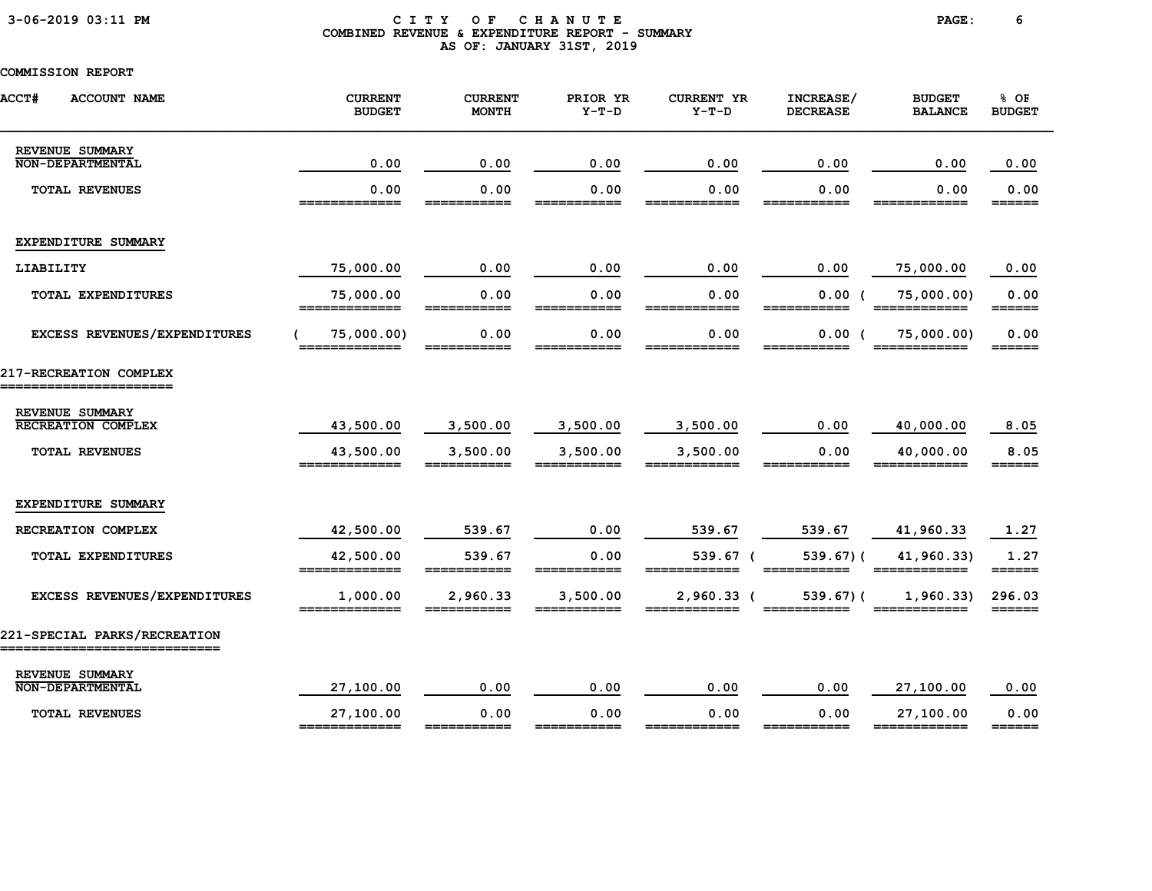### 3-06-2019 03:11 PM C I T Y O F C H A N U T E PAGE: 6 COMBINED REVENUE & EXPENDITURE REPORT - SUMMARY AS OF: JANUARY 31ST, 2019

| <b>ACCT#</b><br><b>ACCOUNT NAME</b>                           | <b>CURRENT</b><br><b>BUDGET</b> | <b>CURRENT</b><br><b>MONTH</b> | PRIOR YR<br>$Y-T-D$ | <b>CURRENT YR</b><br>$Y-T-D$ | INCREASE/<br><b>DECREASE</b> | <b>BUDGET</b><br><b>BALANCE</b> | % OF<br><b>BUDGET</b>           |
|---------------------------------------------------------------|---------------------------------|--------------------------------|---------------------|------------------------------|------------------------------|---------------------------------|---------------------------------|
| REVENUE SUMMARY<br><b>NON-DEPARTMENTAL</b>                    | 0.00                            | 0.00                           | 0.00                | 0.00                         | 0.00                         | 0.00                            | 0.00                            |
| <b>TOTAL REVENUES</b>                                         | 0.00<br>_____                   | 0.00<br>====                   | 0.00<br>____        | 0.00<br>===                  | 0.00<br>===                  | 0.00                            | 0.00<br>======                  |
| EXPENDITURE SUMMARY                                           |                                 |                                |                     |                              |                              |                                 |                                 |
| LIABILITY                                                     | 75,000.00                       | 0.00                           | 0.00                | 0.00                         | 0.00                         | 75,000.00                       | 0.00                            |
| TOTAL EXPENDITURES                                            | 75,000.00<br>=============      | 0.00<br>===========            | 0.00<br>=========== | 0.00<br>============         | 0.00                         | 75,000.00)<br>============      | 0.00<br>======                  |
| EXCESS REVENUES/EXPENDITURES                                  | 75,000.00)<br>_____________     | 0.00<br>------------           | 0.00<br>___________ | 0.00<br>____________         | 0.00(                        | 75,000.00)<br>============      | 0.00<br>______                  |
| 217-RECREATION COMPLEX                                        |                                 |                                |                     |                              |                              |                                 |                                 |
| REVENUE SUMMARY                                               |                                 |                                |                     |                              |                              |                                 |                                 |
| <b>RECREATION COMPLEX</b>                                     | 43,500.00                       | 3,500.00                       | 3,500.00            | 3,500.00                     | 0.00                         | 40,000.00                       | 8.05                            |
| <b>TOTAL REVENUES</b>                                         | 43,500.00<br>=============      | 3,500.00<br>-------            | 3,500.00<br>------  | 3,500.00<br>=======          | 0.00                         | 40,000.00<br>____________       | 8.05<br>______                  |
| EXPENDITURE SUMMARY                                           |                                 |                                |                     |                              |                              |                                 |                                 |
| RECREATION COMPLEX                                            | 42,500.00                       | 539.67                         | 0.00                | 539.67                       | 539.67                       | 41,960.33                       | 1.27                            |
| TOTAL EXPENDITURES                                            | 42,500.00                       | 539.67                         | 0.00                | 539.67 (                     | $539.67$ ) (                 | 41,960.33)                      | 1.27<br>$=$ $=$ $=$ $=$ $=$ $=$ |
| EXCESS REVENUES/EXPENDITURES                                  | 1,000.00<br>-------------       | 2,960.33                       | 3,500.00            | $2,960.33$ (                 | $539.67$ ) (                 | 1,960.33                        | 296.03<br>$======$              |
| 221-SPECIAL PARKS/RECREATION<br>_____________________________ |                                 |                                |                     |                              |                              |                                 |                                 |
| REVENUE SUMMARY<br><b>NON-DEPARTMENTAL</b>                    | 27,100.00                       | 0.00                           | 0.00                | 0.00                         | 0.00                         | 27,100.00                       | 0.00                            |
| <b>TOTAL REVENUES</b>                                         | 27,100.00<br>=============      | 0.00<br>___________            | 0.00<br>_____       | 0.00<br>------------         | 0.00<br>________             | 27,100.00<br>============       | 0.00<br>$=$ $=$ $=$ $=$ $=$     |
|                                                               |                                 |                                |                     |                              |                              |                                 |                                 |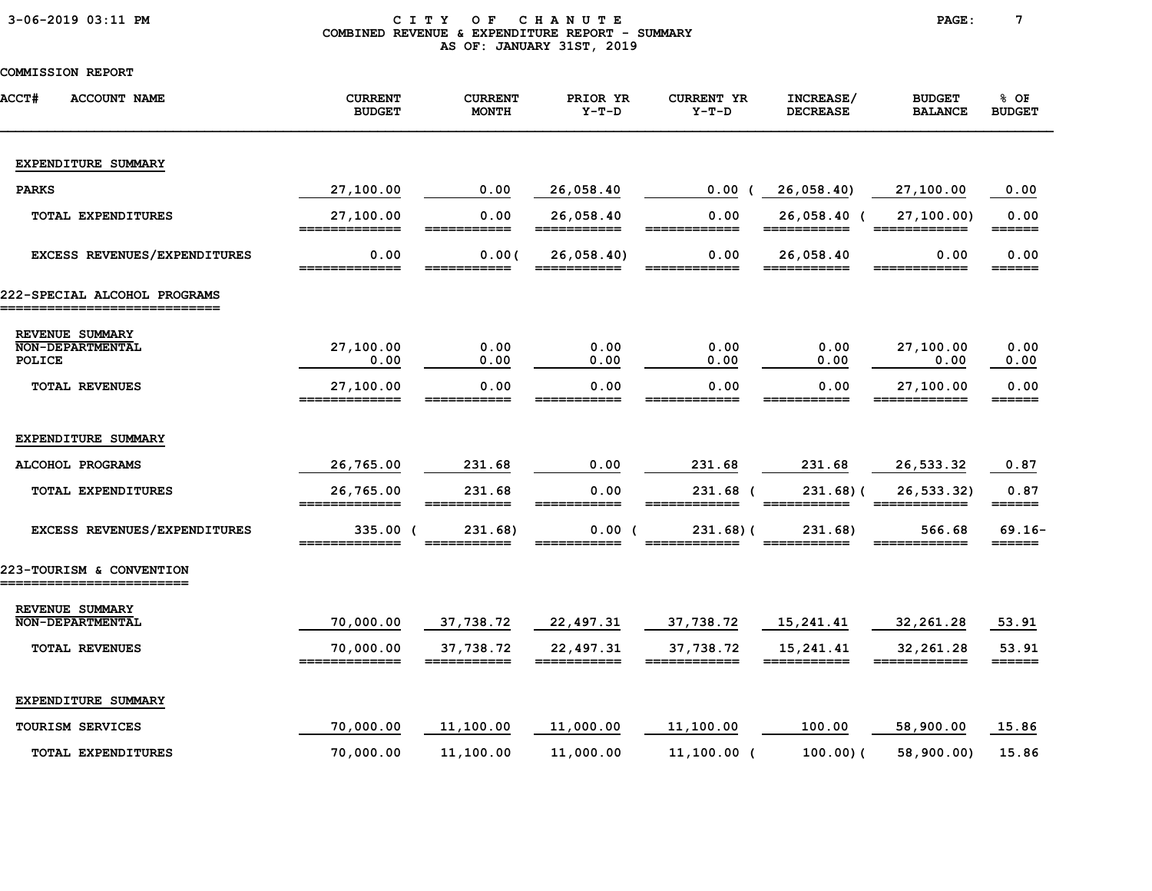| 3-06-2019 03:11 PM |  |  |  |  |  |
|--------------------|--|--|--|--|--|
|--------------------|--|--|--|--|--|

#### CITY OF CHANUTE PAGE: 7 COMBINED REVENUE & EXPENDITURE REPORT - SUMMARY AS OF: JANUARY 31ST, 2019

| <b>ACCT#</b><br><b>ACCOUNT NAME</b>                   | <b>CURRENT</b><br><b>BUDGET</b> | <b>CURRENT</b><br><b>MONTH</b> | PRIOR YR<br>$Y-T-D$      | <b>CURRENT YR</b><br>$Y-T-D$ | INCREASE/<br><b>DECREASE</b> | <b>BUDGET</b><br><b>BALANCE</b> | % OF<br><b>BUDGET</b> |
|-------------------------------------------------------|---------------------------------|--------------------------------|--------------------------|------------------------------|------------------------------|---------------------------------|-----------------------|
| EXPENDITURE SUMMARY                                   |                                 |                                |                          |                              |                              |                                 |                       |
| <b>PARKS</b>                                          | 27,100.00                       | 0.00                           | 26,058.40                | 0.00(                        | 26,058.40)                   | 27,100.00                       | 0.00                  |
| TOTAL EXPENDITURES                                    | 27,100.00<br>_______            | 0.00                           | 26,058.40<br>___________ | 0.00                         | 26,058.40 (                  | 27, 100.00                      | 0.00<br>======        |
| EXCESS REVENUES/EXPENDITURES                          | 0.00                            | 0.00(                          | 26,058.40                | 0.00                         | 26,058.40                    | 0.00                            | 0.00<br>======        |
| 222-SPECIAL ALCOHOL PROGRAMS<br>---------------       |                                 |                                |                          |                              |                              |                                 |                       |
| REVENUE SUMMARY<br><b>NON-DEPARTMENTAL</b><br>POLICE  | 27,100.00<br>0.00               | 0.00<br>0.00                   | 0.00<br>0.00             | 0.00<br>0.00                 | 0.00<br>0.00                 | 27,100.00<br>0.00               | 0.00<br>0.00          |
| <b>TOTAL REVENUES</b>                                 | 27,100.00                       | 0.00                           | 0.00                     | 0.00                         | 0.00                         | 27,100.00                       | 0.00<br>______        |
| EXPENDITURE SUMMARY                                   |                                 |                                |                          |                              |                              |                                 |                       |
| ALCOHOL PROGRAMS                                      | 26,765.00                       | 231.68                         | 0.00                     | 231.68                       | 231.68                       | 26,533.32                       | 0.87                  |
| TOTAL EXPENDITURES                                    | 26,765.00                       | 231.68                         | 0.00                     | 231.68 (                     | $231.68$ ) (                 | 26,533.32)                      | 0.87<br>======        |
| EXCESS REVENUES/EXPENDITURES                          | 335.00 (                        | 231.68)                        | 0.00 (                   | $231.68$ ) (                 | 231.68)                      | 566.68                          | $69.16 -$<br>======   |
| 223-TOURISM & CONVENTION<br>========================= |                                 |                                |                          |                              |                              |                                 |                       |
| REVENUE SUMMARY<br><b>NON-DEPARTMENTAL</b>            | 70,000.00                       | 37,738.72                      | 22,497.31                | 37,738.72                    | 15,241.41                    | 32, 261.28                      | 53.91                 |
| <b>TOTAL REVENUES</b>                                 | 70,000.00                       | 37,738.72                      | 22,497.31                | 37,738.72                    | 15,241.41                    | 32,261.28                       | 53.91<br>======       |
| EXPENDITURE SUMMARY                                   |                                 |                                |                          |                              |                              |                                 |                       |
| TOURISM SERVICES                                      | 70,000.00                       | 11,100.00                      | 11,000.00                | 11,100.00                    | 100.00                       | 58,900.00                       | 15.86                 |
| <b>TOTAL EXPENDITURES</b>                             | 70,000.00                       | 11,100.00                      | 11,000.00                | $11,100.00$ (                | $100.00$ ) (                 | 58,900.00)                      | 15.86                 |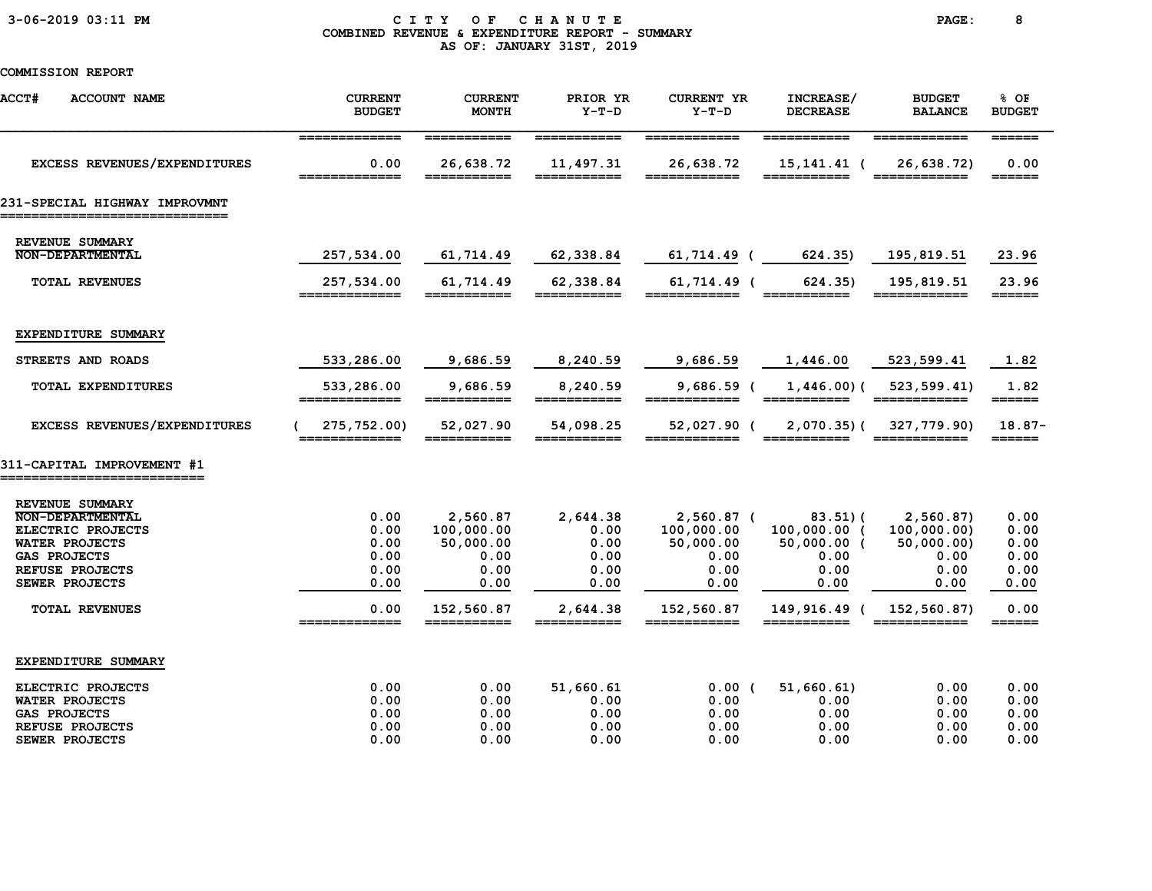### 3-06-2019 03:11 PM C I T Y O F C H A N U T E PAGE: 8 COMBINED REVENUE & EXPENDITURE REPORT - SUMMARY AS OF: JANUARY 31ST, 2019

| <b>ACCT#</b><br><b>ACCOUNT NAME</b>    | <b>CURRENT</b><br><b>BUDGET</b>                                                                                                                                                                                                                                                                                                                                                                                                          | <b>CURRENT</b><br><b>MONTH</b> | PRIOR YR<br>$Y-T-D$      | <b>CURRENT YR</b><br>$Y-T-D$ | INCREASE/<br><b>DECREASE</b>                      | <b>BUDGET</b><br><b>BALANCE</b>                                                                                                                                                                                                                                                                                                                                                                                                                    | % OF<br><b>BUDGET</b>           |
|----------------------------------------|------------------------------------------------------------------------------------------------------------------------------------------------------------------------------------------------------------------------------------------------------------------------------------------------------------------------------------------------------------------------------------------------------------------------------------------|--------------------------------|--------------------------|------------------------------|---------------------------------------------------|----------------------------------------------------------------------------------------------------------------------------------------------------------------------------------------------------------------------------------------------------------------------------------------------------------------------------------------------------------------------------------------------------------------------------------------------------|---------------------------------|
|                                        | =============                                                                                                                                                                                                                                                                                                                                                                                                                            | ===========                    | ===========              | ============                 | ===========                                       | ============                                                                                                                                                                                                                                                                                                                                                                                                                                       | $=$ $=$ $=$ $=$ $=$ $=$         |
| EXCESS REVENUES/EXPENDITURES           | 0.00                                                                                                                                                                                                                                                                                                                                                                                                                                     | 26,638.72                      | 11,497.31                | 26,638.72                    | 15, 141. 41 (                                     | 26,638.72)                                                                                                                                                                                                                                                                                                                                                                                                                                         | 0.00<br>$=$ $=$ $=$ $=$ $=$ $=$ |
| 231-SPECIAL HIGHWAY IMPROVMNT          |                                                                                                                                                                                                                                                                                                                                                                                                                                          |                                |                          |                              |                                                   |                                                                                                                                                                                                                                                                                                                                                                                                                                                    |                                 |
| REVENUE SUMMARY                        |                                                                                                                                                                                                                                                                                                                                                                                                                                          |                                |                          |                              |                                                   |                                                                                                                                                                                                                                                                                                                                                                                                                                                    |                                 |
| <b>NON-DEPARTMENTAL</b>                | 257,534.00                                                                                                                                                                                                                                                                                                                                                                                                                               | 61,714.49                      | 62,338.84                | $61, 714.49$ (               | 624.35)                                           | 195, 819.51                                                                                                                                                                                                                                                                                                                                                                                                                                        | 23.96                           |
| <b>TOTAL REVENUES</b>                  | 257,534.00<br>=============                                                                                                                                                                                                                                                                                                                                                                                                              | 61,714.49                      | 62,338.84<br>=========== | 61,714.49 (<br>============  | 624.35)<br>===========                            | 195,819.51<br>============                                                                                                                                                                                                                                                                                                                                                                                                                         | 23.96<br>======                 |
| EXPENDITURE SUMMARY                    |                                                                                                                                                                                                                                                                                                                                                                                                                                          |                                |                          |                              |                                                   |                                                                                                                                                                                                                                                                                                                                                                                                                                                    |                                 |
| STREETS AND ROADS                      | 533,286.00                                                                                                                                                                                                                                                                                                                                                                                                                               | 9,686.59                       | 8,240.59                 | 9,686.59                     | 1,446.00                                          | 523, 599.41                                                                                                                                                                                                                                                                                                                                                                                                                                        | 1.82                            |
| TOTAL EXPENDITURES                     | 533,286.00<br>=============                                                                                                                                                                                                                                                                                                                                                                                                              | 9,686.59<br>===========        | 8,240.59<br>===========  | $9,686.59$ (<br>============ | $1,446.00$ (<br>===========                       | 523, 599.41<br>$\begin{array}{cccccccccc} \texttt{m} & \texttt{m} & \texttt{m} & \texttt{m} & \texttt{m} & \texttt{m} & \texttt{m} & \texttt{m} & \texttt{m} & \texttt{m} & \texttt{m} & \texttt{m} & \texttt{m} & \texttt{m} & \texttt{m} & \texttt{m} & \texttt{m} & \texttt{m} & \texttt{m} & \texttt{m} & \texttt{m} & \texttt{m} & \texttt{m} & \texttt{m} & \texttt{m} & \texttt{m} & \texttt{m} & \texttt{m} & \texttt{m} & \texttt{m} & \$ | 1.82<br>======                  |
| <b>EXCESS REVENUES/EXPENDITURES</b>    | 275,752.00)                                                                                                                                                                                                                                                                                                                                                                                                                              | 52,027.90<br>------------      | 54,098.25<br>=========== | 52,027.90 (<br>============  | $2,070.35$ ) (<br>$=$ $=$ $=$ $=$ $=$ $=$ $\cdot$ | 327,779.90)                                                                                                                                                                                                                                                                                                                                                                                                                                        | $18.87-$<br>$=$ $=$ $=$ $=$ $=$ |
| 311-CAPITAL IMPROVEMENT #1             |                                                                                                                                                                                                                                                                                                                                                                                                                                          |                                |                          |                              |                                                   |                                                                                                                                                                                                                                                                                                                                                                                                                                                    |                                 |
| REVENUE SUMMARY                        |                                                                                                                                                                                                                                                                                                                                                                                                                                          |                                |                          |                              |                                                   |                                                                                                                                                                                                                                                                                                                                                                                                                                                    |                                 |
| <b>NON-DEPARTMENTAL</b>                | 0.00                                                                                                                                                                                                                                                                                                                                                                                                                                     | 2,560.87                       | 2,644.38                 | $2,560.87$ (                 | 83.51(                                            | 2,560.87                                                                                                                                                                                                                                                                                                                                                                                                                                           | 0.00                            |
| ELECTRIC PROJECTS                      | 0.00                                                                                                                                                                                                                                                                                                                                                                                                                                     | 100,000.00                     | 0.00                     | 100,000.00                   | 100,000.00 (                                      | 100,000.00)                                                                                                                                                                                                                                                                                                                                                                                                                                        | 0.00                            |
| <b>WATER PROJECTS</b>                  | 0.00<br>0.00                                                                                                                                                                                                                                                                                                                                                                                                                             | 50,000.00<br>0.00              | 0.00<br>0.00             | 50,000.00<br>0.00            | $50,000.00$ (<br>0.00                             | 50,000.00)<br>0.00                                                                                                                                                                                                                                                                                                                                                                                                                                 | 0.00<br>0.00                    |
| <b>GAS PROJECTS</b><br>REFUSE PROJECTS | 0.00                                                                                                                                                                                                                                                                                                                                                                                                                                     | 0.00                           | 0.00                     | 0.00                         | 0.00                                              | 0.00                                                                                                                                                                                                                                                                                                                                                                                                                                               | 0.00                            |
| SEWER PROJECTS                         | 0.00                                                                                                                                                                                                                                                                                                                                                                                                                                     | 0.00                           | 0.00                     | 0.00                         | 0.00                                              | 0.00                                                                                                                                                                                                                                                                                                                                                                                                                                               | 0.00                            |
| <b>TOTAL REVENUES</b>                  | 0.00<br>$\begin{array}{c} \texttt{m} = \texttt{m} = \texttt{m} = \texttt{m} = \texttt{m} = \texttt{m} = \texttt{m} = \texttt{m} = \texttt{m} = \texttt{m} = \texttt{m} = \texttt{m} = \texttt{m} = \texttt{m} = \texttt{m} = \texttt{m} = \texttt{m} = \texttt{m} = \texttt{m} = \texttt{m} = \texttt{m} = \texttt{m} = \texttt{m} = \texttt{m} = \texttt{m} = \texttt{m} = \texttt{m} = \texttt{m} = \texttt{m} = \texttt{m} = \texttt$ | 152,560.87                     | 2,644.38<br>___________  | 152,560.87<br>========       | 149,916.49 (                                      | 152,560.87)                                                                                                                                                                                                                                                                                                                                                                                                                                        | 0.00<br>======                  |
| EXPENDITURE SUMMARY                    |                                                                                                                                                                                                                                                                                                                                                                                                                                          |                                |                          |                              |                                                   |                                                                                                                                                                                                                                                                                                                                                                                                                                                    |                                 |
| ELECTRIC PROJECTS                      | 0.00                                                                                                                                                                                                                                                                                                                                                                                                                                     | 0.00                           | 51,660.61                | $0.00$ (                     | 51,660.61)                                        | 0.00                                                                                                                                                                                                                                                                                                                                                                                                                                               | 0.00                            |
| WATER PROJECTS                         | 0.00                                                                                                                                                                                                                                                                                                                                                                                                                                     | 0.00                           | 0.00                     | 0.00                         | 0.00                                              | 0.00                                                                                                                                                                                                                                                                                                                                                                                                                                               | 0.00                            |
| <b>GAS PROJECTS</b>                    | 0.00                                                                                                                                                                                                                                                                                                                                                                                                                                     | 0.00                           | 0.00                     | 0.00                         | 0.00                                              | 0.00                                                                                                                                                                                                                                                                                                                                                                                                                                               | 0.00                            |
| REFUSE PROJECTS                        | 0.00                                                                                                                                                                                                                                                                                                                                                                                                                                     | 0.00                           | 0.00                     | 0.00                         | 0.00                                              | 0.00                                                                                                                                                                                                                                                                                                                                                                                                                                               | 0.00                            |
| SEWER PROJECTS                         | 0.00                                                                                                                                                                                                                                                                                                                                                                                                                                     | 0.00                           | 0.00                     | 0.00                         | 0.00                                              | 0.00                                                                                                                                                                                                                                                                                                                                                                                                                                               | 0.00                            |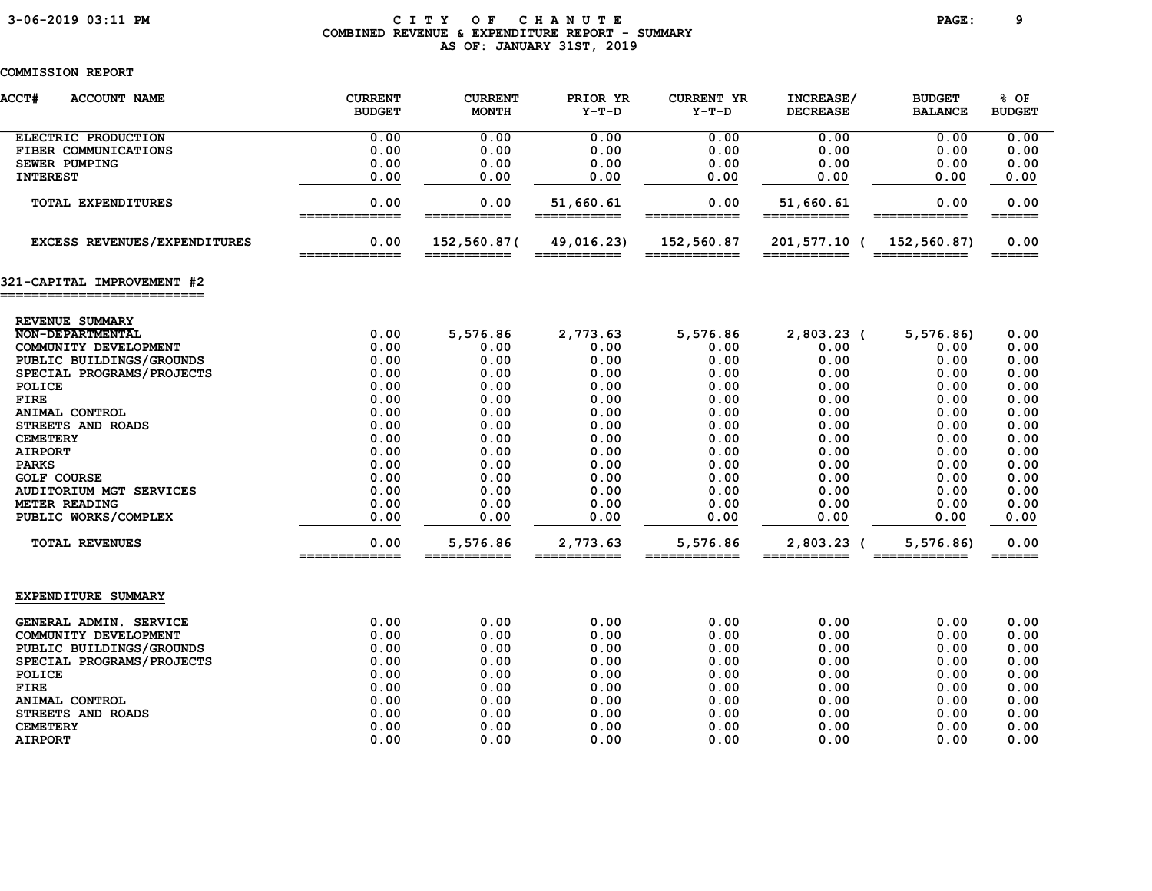### 3-06-2019 03:11 PM C I T Y O F C H A N U T E PAGE: 9 COMBINED REVENUE & EXPENDITURE REPORT - SUMMARY AS OF: JANUARY 31ST, 2019

| <b>ACCT#</b><br><b>ACCOUNT NAME</b>                      | <b>CURRENT</b><br><b>BUDGET</b> | <b>CURRENT</b><br><b>MONTH</b> | PRIOR YR<br>$Y-T-D$      | <b>CURRENT YR</b><br>Y-T-D                                                                                                                                                                                                                                                                                                                                                                                                                        | INCREASE/<br><b>DECREASE</b> | <b>BUDGET</b><br><b>BALANCE</b>                                                                                           | % OF<br><b>BUDGET</b>           |
|----------------------------------------------------------|---------------------------------|--------------------------------|--------------------------|---------------------------------------------------------------------------------------------------------------------------------------------------------------------------------------------------------------------------------------------------------------------------------------------------------------------------------------------------------------------------------------------------------------------------------------------------|------------------------------|---------------------------------------------------------------------------------------------------------------------------|---------------------------------|
| ELECTRIC PRODUCTION                                      | 0.00                            | 0.00                           | 0.00                     | 0.00                                                                                                                                                                                                                                                                                                                                                                                                                                              | 0.00                         | 0.00                                                                                                                      | 0.00                            |
| FIBER COMMUNICATIONS                                     | 0.00                            | 0.00                           | 0.00                     | 0.00                                                                                                                                                                                                                                                                                                                                                                                                                                              | 0.00                         | 0.00                                                                                                                      | 0.00                            |
| <b>SEWER PUMPING</b>                                     | 0.00                            | 0.00                           | 0.00                     | 0.00                                                                                                                                                                                                                                                                                                                                                                                                                                              | 0.00                         | 0.00                                                                                                                      | 0.00                            |
| <b>INTEREST</b>                                          | 0.00                            | 0.00                           | 0.00                     | 0.00                                                                                                                                                                                                                                                                                                                                                                                                                                              | 0.00                         | 0.00                                                                                                                      | 0.00                            |
| TOTAL EXPENDITURES                                       | 0.00<br>=============           | 0.00<br>===========            | 51,660.61<br>=========== | 0.00<br>============                                                                                                                                                                                                                                                                                                                                                                                                                              | 51,660.61<br>===========     | 0.00<br>============                                                                                                      | 0.00<br>======                  |
| <b>EXCESS REVENUES/EXPENDITURES</b>                      | 0.00<br>=============           | 152,560.87(<br>===========     | 49,016.23)               | 152,560.87<br>$\begin{array}{cccccccccc} \texttt{m} & \texttt{m} & \texttt{m} & \texttt{m} & \texttt{m} & \texttt{m} & \texttt{m} & \texttt{m} & \texttt{m} & \texttt{m} & \texttt{m} & \texttt{m} & \texttt{m} & \texttt{m} & \texttt{m} & \texttt{m} & \texttt{m} & \texttt{m} & \texttt{m} & \texttt{m} & \texttt{m} & \texttt{m} & \texttt{m} & \texttt{m} & \texttt{m} & \texttt{m} & \texttt{m} & \texttt{m} & \texttt{m} & \texttt{m} & \$ | 201,577.10 (<br>===========  | 152,560.87)<br>$\begin{array}{c} \texttt{m} = \texttt{m} = \texttt{m} = \texttt{m} = \texttt{m} = \texttt{m} \end{array}$ | 0.00<br>$=$ $=$ $=$ $=$ $=$ $=$ |
| 321-CAPITAL IMPROVEMENT #2<br>========================== |                                 |                                |                          |                                                                                                                                                                                                                                                                                                                                                                                                                                                   |                              |                                                                                                                           |                                 |
|                                                          |                                 |                                |                          |                                                                                                                                                                                                                                                                                                                                                                                                                                                   |                              |                                                                                                                           |                                 |
| REVENUE SUMMARY                                          |                                 |                                |                          |                                                                                                                                                                                                                                                                                                                                                                                                                                                   |                              |                                                                                                                           |                                 |
| <b>NON-DEPARTMENTAL</b>                                  | 0.00                            | 5,576.86                       | 2,773.63                 | 5,576.86                                                                                                                                                                                                                                                                                                                                                                                                                                          | $2,803.23$ (                 | 5,576.86                                                                                                                  | 0.00                            |
| COMMUNITY DEVELOPMENT                                    | 0.00                            | 0.00                           | 0.00                     | 0.00                                                                                                                                                                                                                                                                                                                                                                                                                                              | 0.00                         | 0.00                                                                                                                      | 0.00                            |
| PUBLIC BUILDINGS/GROUNDS                                 | 0.00                            | 0.00                           | 0.00                     | 0.00                                                                                                                                                                                                                                                                                                                                                                                                                                              | 0.00                         | 0.00                                                                                                                      | 0.00                            |
| SPECIAL PROGRAMS/PROJECTS                                | 0.00                            | 0.00                           | 0.00                     | 0.00                                                                                                                                                                                                                                                                                                                                                                                                                                              | 0.00                         | 0.00                                                                                                                      | 0.00                            |
| POLICE                                                   | 0.00                            | 0.00                           | 0.00                     | 0.00                                                                                                                                                                                                                                                                                                                                                                                                                                              | 0.00                         | 0.00                                                                                                                      | 0.00                            |
| <b>FIRE</b>                                              | 0.00                            | 0.00                           | 0.00                     | 0.00                                                                                                                                                                                                                                                                                                                                                                                                                                              | 0.00                         | 0.00                                                                                                                      | 0.00                            |
| ANIMAL CONTROL                                           | 0.00                            | 0.00                           | 0.00                     | 0.00                                                                                                                                                                                                                                                                                                                                                                                                                                              | 0.00                         | 0.00                                                                                                                      | 0.00                            |
| STREETS AND ROADS                                        | 0.00                            | 0.00                           | 0.00                     | 0.00                                                                                                                                                                                                                                                                                                                                                                                                                                              | 0.00                         | 0.00                                                                                                                      | 0.00                            |
| <b>CEMETERY</b>                                          | 0.00                            | 0.00                           | 0.00                     | 0.00                                                                                                                                                                                                                                                                                                                                                                                                                                              | 0.00                         | 0.00                                                                                                                      | 0.00                            |
| <b>AIRPORT</b>                                           | 0.00                            | 0.00                           | 0.00                     | 0.00                                                                                                                                                                                                                                                                                                                                                                                                                                              | 0.00                         | 0.00                                                                                                                      | 0.00                            |
| <b>PARKS</b>                                             | 0.00                            | 0.00                           | 0.00                     | 0.00                                                                                                                                                                                                                                                                                                                                                                                                                                              | 0.00                         | 0.00                                                                                                                      | 0.00                            |
| <b>GOLF COURSE</b>                                       | 0.00                            | 0.00                           | 0.00                     | 0.00                                                                                                                                                                                                                                                                                                                                                                                                                                              | 0.00                         | 0.00                                                                                                                      | 0.00                            |
| <b>AUDITORIUM MGT SERVICES</b>                           | 0.00                            | 0.00                           | 0.00                     | 0.00                                                                                                                                                                                                                                                                                                                                                                                                                                              | 0.00                         | 0.00                                                                                                                      | 0.00                            |
| METER READING                                            | 0.00                            | 0.00                           | 0.00                     | 0.00                                                                                                                                                                                                                                                                                                                                                                                                                                              | 0.00                         | 0.00                                                                                                                      | 0.00                            |
| PUBLIC WORKS/COMPLEX                                     | 0.00                            | 0.00                           | 0.00                     | 0.00                                                                                                                                                                                                                                                                                                                                                                                                                                              | 0.00                         | 0.00                                                                                                                      | 0.00                            |
| <b>TOTAL REVENUES</b>                                    | 0.00<br>=============           | 5,576.86<br>___________        | 2,773.63<br>===========  | 5,576.86<br>____________                                                                                                                                                                                                                                                                                                                                                                                                                          | 2,803.23 (<br>___________    | 5,576.86<br>_____________                                                                                                 | 0.00<br>======                  |
| EXPENDITURE SUMMARY                                      |                                 |                                |                          |                                                                                                                                                                                                                                                                                                                                                                                                                                                   |                              |                                                                                                                           |                                 |
| GENERAL ADMIN. SERVICE                                   | 0.00                            | 0.00                           | 0.00                     | 0.00                                                                                                                                                                                                                                                                                                                                                                                                                                              | 0.00                         | 0.00                                                                                                                      | 0.00                            |
| COMMUNITY DEVELOPMENT                                    | 0.00                            | 0.00                           | 0.00                     | 0.00                                                                                                                                                                                                                                                                                                                                                                                                                                              | 0.00                         | 0.00                                                                                                                      | 0.00                            |
| PUBLIC BUILDINGS/GROUNDS                                 | 0.00                            | 0.00                           | 0.00                     | 0.00                                                                                                                                                                                                                                                                                                                                                                                                                                              | 0.00                         | 0.00                                                                                                                      | 0.00                            |
| SPECIAL PROGRAMS/PROJECTS                                | 0.00                            | 0.00                           | 0.00                     | 0.00                                                                                                                                                                                                                                                                                                                                                                                                                                              | 0.00                         | 0.00                                                                                                                      | 0.00                            |
| POLICE                                                   | 0.00                            | 0.00                           | 0.00                     | 0.00                                                                                                                                                                                                                                                                                                                                                                                                                                              | 0.00                         | 0.00                                                                                                                      | 0.00                            |
| <b>FIRE</b>                                              | 0.00                            | 0.00                           | 0.00                     | 0.00                                                                                                                                                                                                                                                                                                                                                                                                                                              | 0.00                         | 0.00                                                                                                                      | 0.00                            |
| ANIMAL CONTROL                                           | 0.00                            | 0.00                           | 0.00                     | 0.00                                                                                                                                                                                                                                                                                                                                                                                                                                              | 0.00                         | 0.00                                                                                                                      | 0.00                            |
| STREETS AND ROADS                                        | 0.00                            | 0.00                           | 0.00                     | 0.00                                                                                                                                                                                                                                                                                                                                                                                                                                              | 0.00                         | 0.00                                                                                                                      | 0.00                            |
| <b>CEMETERY</b>                                          | 0.00                            | 0.00                           | 0.00                     | 0.00                                                                                                                                                                                                                                                                                                                                                                                                                                              | 0.00                         | 0.00                                                                                                                      | 0.00                            |
| <b>AIRPORT</b>                                           | 0.00                            | 0.00                           | 0.00                     | 0.00                                                                                                                                                                                                                                                                                                                                                                                                                                              | 0.00                         | 0.00                                                                                                                      | 0.00                            |
|                                                          |                                 |                                |                          |                                                                                                                                                                                                                                                                                                                                                                                                                                                   |                              |                                                                                                                           |                                 |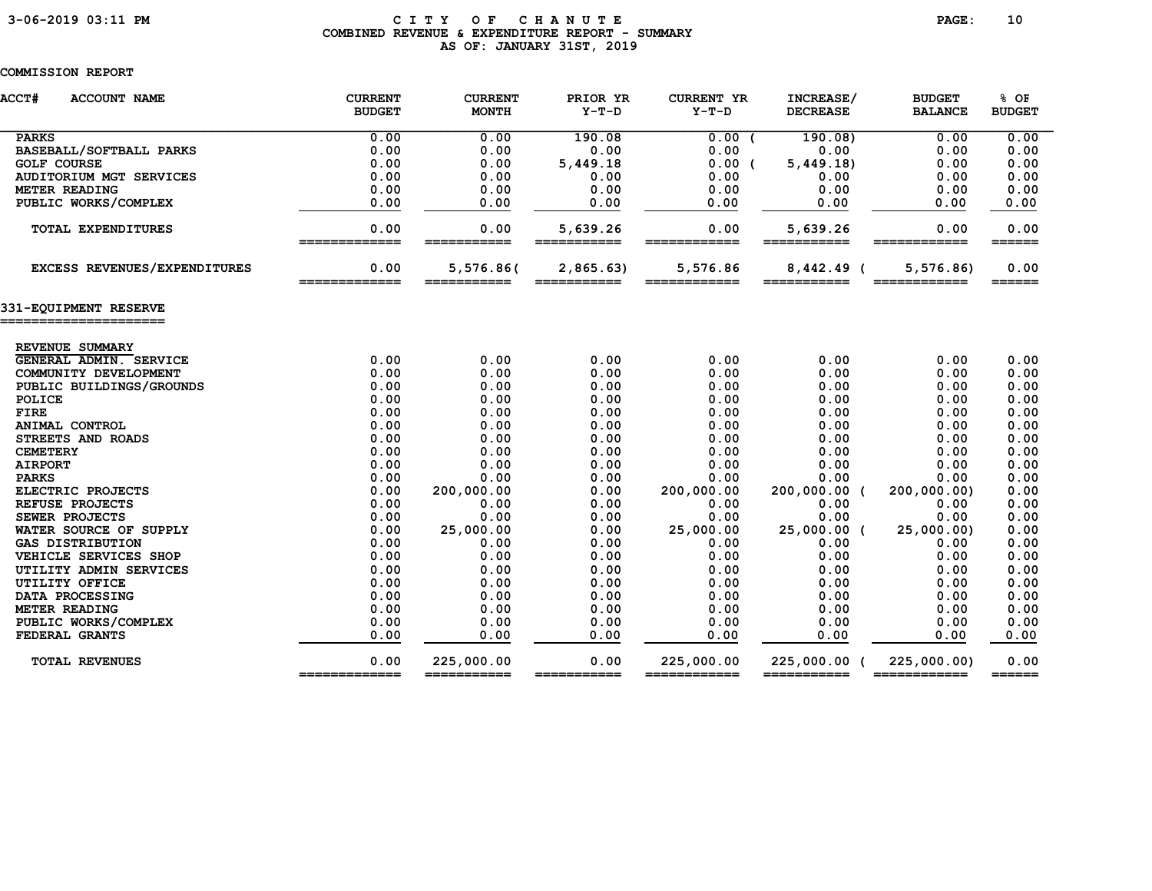### 3-06-2019 03:11 PM C I T Y O F C H A N U T E PAGE: 10 COMBINED REVENUE & EXPENDITURE REPORT - SUMMARY AS OF: JANUARY 31ST, 2019

| <b>ACCT#</b><br><b>ACCOUNT NAME</b>       | <b>CURRENT</b><br><b>BUDGET</b> | <b>CURRENT</b><br><b>MONTH</b> | PRIOR YR<br>$Y-T-D$     | <b>CURRENT YR</b><br>$Y-T-D$ | INCREASE/<br><b>DECREASE</b> | <b>BUDGET</b><br><b>BALANCE</b> | % OF<br><b>BUDGET</b>       |
|-------------------------------------------|---------------------------------|--------------------------------|-------------------------|------------------------------|------------------------------|---------------------------------|-----------------------------|
| <b>PARKS</b>                              | 0.00                            | 0.00                           | 190.08                  | 0.00(                        | 190.08                       | 0.00                            | 0.00                        |
| BASEBALL/SOFTBALL PARKS                   | 0.00                            | 0.00                           | 0.00                    | 0.00                         | 0.00                         | 0.00                            | 0.00                        |
| <b>GOLF COURSE</b>                        | 0.00                            | 0.00                           | 5,449.18                | 0.00(                        | 5,449.18                     | 0.00                            | 0.00                        |
| <b>AUDITORIUM MGT SERVICES</b>            | 0.00                            | 0.00                           | 0.00                    | 0.00                         | 0.00                         | 0.00                            | 0.00                        |
| METER READING                             | 0.00                            | 0.00                           | 0.00                    | 0.00                         | 0.00                         | 0.00                            | 0.00                        |
| PUBLIC WORKS/COMPLEX                      | 0.00                            | 0.00                           | 0.00                    | 0.00                         | 0.00                         | 0.00                            | 0.00                        |
| TOTAL EXPENDITURES                        | 0.00<br>=============           | 0.00<br>=======                | 5,639.26<br>=========== | 0.00<br>=======              | 5,639.26<br>===========      | 0.00<br>$=====$                 | 0.00<br>$=$ $=$ $=$ $=$ $=$ |
| EXCESS REVENUES/EXPENDITURES              | 0.00<br>=============           | 5,576.86(<br>===========       | 2,865.63)               | 5,576.86<br>============     | $8,442.49$ (<br>===========  | 5, 576.86<br>============       | 0.00<br>======              |
| 331-EQUIPMENT RESERVE                     |                                 |                                |                         |                              |                              |                                 |                             |
|                                           |                                 |                                |                         |                              |                              |                                 |                             |
| REVENUE SUMMARY<br>GENERAL ADMIN. SERVICE | 0.00                            | 0.00                           | 0.00                    | 0.00                         | 0.00                         | 0.00                            | 0.00                        |
| COMMUNITY DEVELOPMENT                     | 0.00                            | 0.00                           | 0.00                    | 0.00                         | 0.00                         | 0.00                            | 0.00                        |
| PUBLIC BUILDINGS/GROUNDS                  | 0.00                            | 0.00                           | 0.00                    | 0.00                         | 0.00                         | 0.00                            | 0.00                        |
| POLICE                                    | 0.00                            | 0.00                           | 0.00                    | 0.00                         | 0.00                         | 0.00                            | 0.00                        |
| <b>FIRE</b>                               | 0.00                            | 0.00                           | 0.00                    | 0.00                         | 0.00                         | 0.00                            | 0.00                        |
| ANIMAL CONTROL                            | 0.00                            | 0.00                           | 0.00                    | 0.00                         | 0.00                         | 0.00                            | 0.00                        |
| STREETS AND ROADS                         | 0.00                            | 0.00                           | 0.00                    | 0.00                         | 0.00                         | 0.00                            | 0.00                        |
| <b>CEMETERY</b>                           | 0.00                            | 0.00                           | 0.00                    | 0.00                         | 0.00                         | 0.00                            | 0.00                        |
| <b>AIRPORT</b>                            | 0.00                            | 0.00                           | 0.00                    | 0.00                         | 0.00                         | 0.00                            | 0.00                        |
| <b>PARKS</b>                              | 0.00                            | 0.00                           | 0.00                    | 0.00                         | 0.00                         | 0.00                            | 0.00                        |
| ELECTRIC PROJECTS                         | 0.00                            | 200,000.00                     | 0.00                    | 200,000.00                   | 200,000.00 (                 | 200,000.00)                     | 0.00                        |
| REFUSE PROJECTS                           | 0.00                            | 0.00                           | 0.00                    | 0.00                         | 0.00                         | 0.00                            | 0.00                        |
| SEWER PROJECTS                            | 0.00                            | 0.00                           | 0.00                    | 0.00                         | 0.00                         | 0.00                            | 0.00                        |
| WATER SOURCE OF SUPPLY                    | 0.00                            | 25,000.00                      | 0.00                    | 25,000.00                    | 25,000.00 (                  | 25,000.00)                      | 0.00                        |
| <b>GAS DISTRIBUTION</b>                   | 0.00                            | 0.00                           | 0.00                    | 0.00                         | 0.00                         | 0.00                            | 0.00                        |
| VEHICLE SERVICES SHOP                     | 0.00                            | 0.00                           | 0.00                    | 0.00                         | 0.00                         | 0.00                            | 0.00                        |
| UTILITY ADMIN SERVICES                    | 0.00                            | 0.00                           | 0.00                    | 0.00                         | 0.00                         | 0.00                            | 0.00                        |
| UTILITY OFFICE                            | 0.00                            | 0.00                           | 0.00                    | 0.00                         | 0.00                         | 0.00                            | 0.00                        |
| DATA PROCESSING                           | 0.00                            | 0.00                           | 0.00                    | 0.00                         | 0.00                         | 0.00                            | 0.00                        |
| METER READING                             | 0.00                            | 0.00                           | 0.00                    | 0.00                         | 0.00                         | 0.00                            | 0.00                        |
| PUBLIC WORKS/COMPLEX                      | 0.00                            | 0.00                           | 0.00                    | 0.00                         | 0.00                         | 0.00                            | 0.00                        |
| FEDERAL GRANTS                            | 0.00                            | 0.00                           | 0.00                    | 0.00                         | 0.00                         | 0.00                            | 0.00                        |
| <b>TOTAL REVENUES</b>                     | 0.00                            | 225,000.00<br>===========      | 0.00                    | 225,000.00                   | 225,000.00                   | 225,000.00)<br>============     | 0.00                        |
|                                           | =============                   |                                | ===========             | ============                 | ===========                  |                                 | $=$ $=$ $=$ $=$ $=$ $=$ $=$ |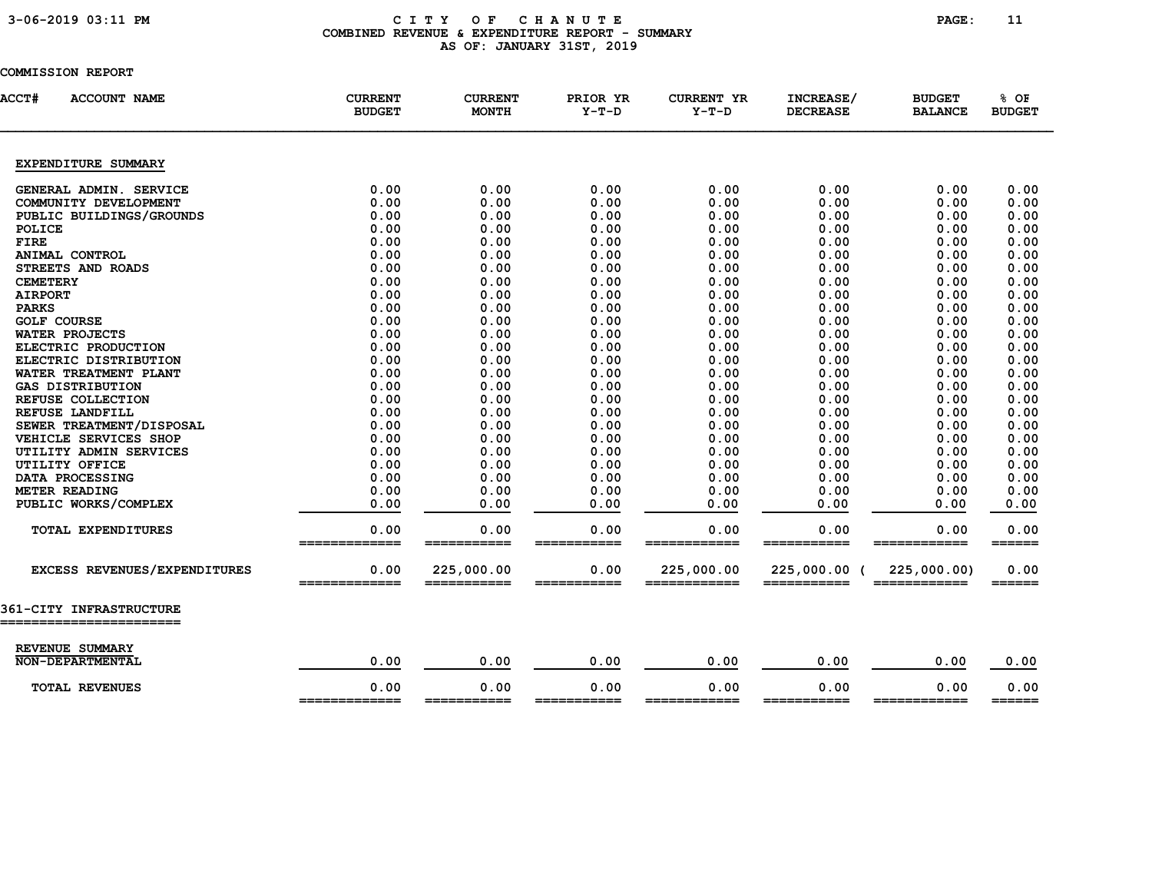### 3-06-2019 03:11 PM C I T Y O F C H A N U T E PAGE: 11 COMBINED REVENUE & EXPENDITURE REPORT - SUMMARY AS OF: JANUARY 31ST, 2019

| <b>ACCT#</b><br><b>ACCOUNT NAME</b> | <b>CURRENT</b><br><b>BUDGET</b> | <b>CURRENT</b><br><b>MONTH</b> | PRIOR YR<br>$Y-T-D$ | <b>CURRENT YR</b><br>Y-T-D | INCREASE/<br><b>DECREASE</b> | <b>BUDGET</b><br><b>BALANCE</b> | % OF<br><b>BUDGET</b>       |
|-------------------------------------|---------------------------------|--------------------------------|---------------------|----------------------------|------------------------------|---------------------------------|-----------------------------|
| EXPENDITURE SUMMARY                 |                                 |                                |                     |                            |                              |                                 |                             |
| GENERAL ADMIN. SERVICE              | 0.00                            | 0.00                           | 0.00                | 0.00                       | 0.00                         | 0.00                            | 0.00                        |
| COMMUNITY DEVELOPMENT               | 0.00                            | 0.00                           | 0.00                | 0.00                       | 0.00                         | 0.00                            | 0.00                        |
| PUBLIC BUILDINGS/GROUNDS            | 0.00                            | 0.00                           | 0.00                | 0.00                       | 0.00                         | 0.00                            | 0.00                        |
| POLICE                              | 0.00                            | 0.00                           | 0.00                | 0.00                       | 0.00                         | 0.00                            | 0.00                        |
| <b>FIRE</b>                         | 0.00                            | 0.00                           | 0.00                | 0.00                       | 0.00                         | 0.00                            | 0.00                        |
| ANIMAL CONTROL                      | 0.00                            | 0.00                           | 0.00                | 0.00                       | 0.00                         | 0.00                            | 0.00                        |
| STREETS AND ROADS                   | 0.00                            | 0.00                           | 0.00                | 0.00                       | 0.00                         | 0.00                            | 0.00                        |
| <b>CEMETERY</b>                     | 0.00                            | 0.00                           | 0.00                | 0.00                       | 0.00                         | 0.00                            | 0.00                        |
| <b>AIRPORT</b>                      | 0.00                            | 0.00                           | 0.00                | 0.00                       | 0.00                         | 0.00                            | 0.00                        |
| <b>PARKS</b>                        | 0.00                            | 0.00                           | 0.00                | 0.00                       | 0.00                         | 0.00                            | 0.00                        |
| <b>GOLF COURSE</b>                  | 0.00                            | 0.00                           | 0.00                | 0.00                       | 0.00                         | 0.00                            | 0.00                        |
| WATER PROJECTS                      | 0.00                            | 0.00                           | 0.00                | 0.00                       | 0.00                         | 0.00                            | 0.00                        |
| ELECTRIC PRODUCTION                 | 0.00                            | 0.00                           | 0.00                | 0.00                       | 0.00                         | 0.00                            | 0.00                        |
| ELECTRIC DISTRIBUTION               | 0.00                            | 0.00                           | 0.00                | 0.00                       | 0.00                         | 0.00                            | 0.00                        |
| WATER TREATMENT PLANT               | 0.00                            | 0.00                           | 0.00                | 0.00                       | 0.00                         | 0.00                            | 0.00                        |
| <b>GAS DISTRIBUTION</b>             | 0.00                            | 0.00                           | 0.00                | 0.00                       | 0.00                         | 0.00                            | 0.00                        |
| REFUSE COLLECTION                   | 0.00                            | 0.00                           | 0.00                | 0.00                       | 0.00                         | 0.00                            | 0.00                        |
| REFUSE LANDFILL                     | 0.00                            | 0.00                           | 0.00                | 0.00                       | 0.00                         | 0.00                            | 0.00                        |
| SEWER TREATMENT/DISPOSAL            | 0.00                            | 0.00                           | 0.00                | 0.00                       | 0.00                         | 0.00                            | 0.00                        |
| VEHICLE SERVICES SHOP               | 0.00                            | 0.00                           | 0.00                | 0.00                       | 0.00                         | 0.00                            | 0.00                        |
| UTILITY ADMIN SERVICES              | 0.00                            | 0.00                           | 0.00                | 0.00                       | 0.00                         | 0.00                            | 0.00                        |
| UTILITY OFFICE                      | 0.00                            | 0.00                           | 0.00                | 0.00                       | 0.00                         | 0.00                            | 0.00                        |
| DATA PROCESSING                     | 0.00                            | 0.00                           | 0.00                | 0.00                       | 0.00                         | 0.00                            | 0.00                        |
| METER READING                       | 0.00                            | 0.00                           | 0.00                | 0.00                       | 0.00                         | 0.00                            | 0.00                        |
| PUBLIC WORKS/COMPLEX                | 0.00                            | 0.00                           | 0.00                | 0.00                       | 0.00                         | 0.00                            | 0.00                        |
| TOTAL EXPENDITURES                  | 0.00<br>_____                   | 0.00<br>======                 | 0.00<br>=====       | 0.00<br>====               | 0.00<br>=====                | 0.00                            | 0.00<br>$=$ $=$ $=$ $=$ $=$ |
| EXCESS REVENUES/EXPENDITURES        | 0.00<br>=============           | 225,000.00<br>===========      | 0.00                | 225,000.00<br>============ | 225,000.00 (                 | 225,000.00)                     | 0.00<br>======              |
| <b>361-CITY INFRASTRUCTURE</b>      |                                 |                                |                     |                            |                              |                                 |                             |
|                                     |                                 |                                |                     |                            |                              |                                 |                             |
| REVENUE SUMMARY                     |                                 |                                |                     |                            |                              |                                 |                             |
| <b>NON-DEPARTMENTAL</b>             | 0.00                            | 0.00                           | 0.00                | 0.00                       | 0.00                         | 0.00                            | 0.00                        |
| <b>TOTAL REVENUES</b>               | 0.00<br>_____________           | 0.00<br>___________            | 0.00<br>=========== | 0.00<br>============       | 0.00<br>===========          | 0.00<br>============            | 0.00<br>$=$ $=$ $=$ $=$ $=$ |
|                                     |                                 |                                |                     |                            |                              |                                 |                             |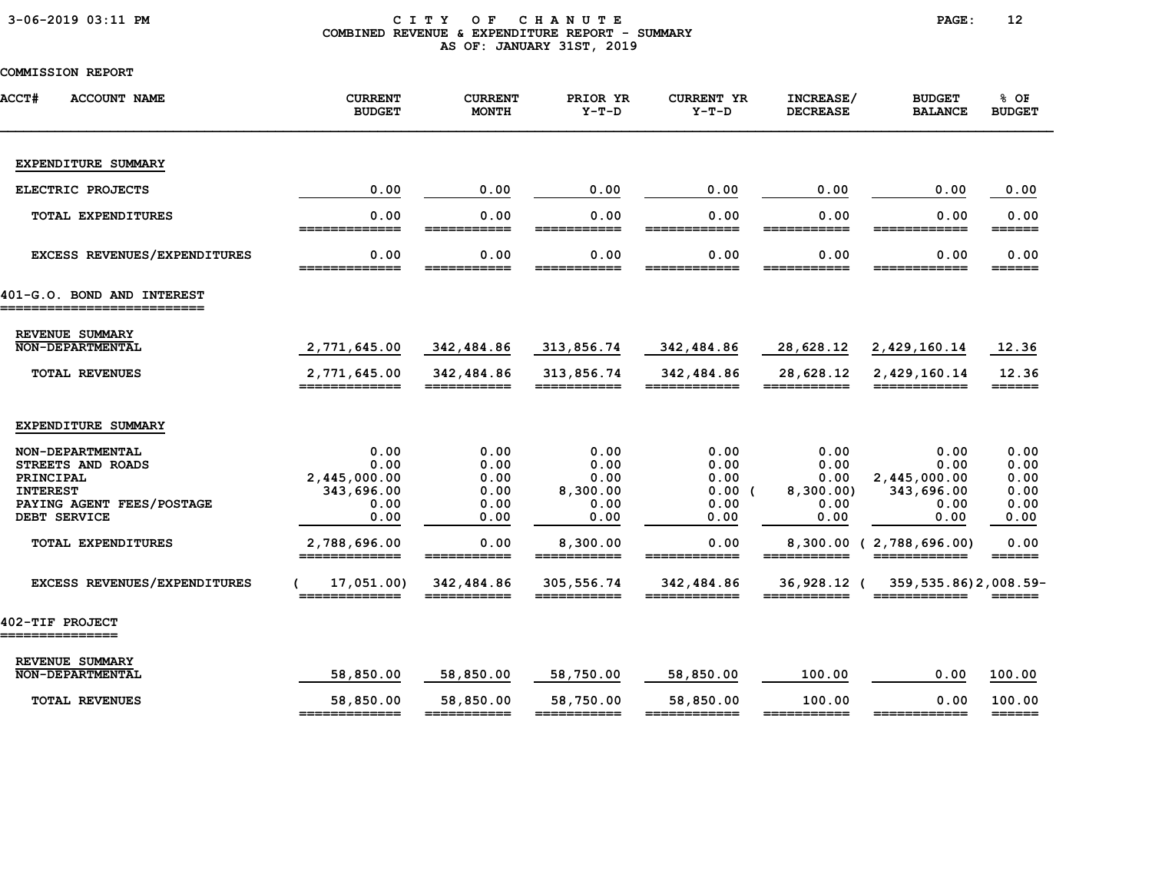### 3-06-2019 03:11 PM C I T Y O F C H A N U T E PAGE: 12 COMBINED REVENUE & EXPENDITURE REPORT - SUMMARY AS OF: JANUARY 31ST, 2019

| <b>ACCT#</b><br><b>ACCOUNT NAME</b>                                                                                                      | <b>CURRENT</b><br><b>BUDGET</b>                                            | <b>CURRENT</b><br><b>MONTH</b>                       | PRIOR YR<br>$Y-T-D$                                          | <b>CURRENT YR</b><br>$Y-T-D$                          | INCREASE/<br><b>DECREASE</b>                                      | <b>BUDGET</b><br><b>BALANCE</b>                                             | % OF<br><b>BUDGET</b>                                                           |
|------------------------------------------------------------------------------------------------------------------------------------------|----------------------------------------------------------------------------|------------------------------------------------------|--------------------------------------------------------------|-------------------------------------------------------|-------------------------------------------------------------------|-----------------------------------------------------------------------------|---------------------------------------------------------------------------------|
| EXPENDITURE SUMMARY                                                                                                                      |                                                                            |                                                      |                                                              |                                                       |                                                                   |                                                                             |                                                                                 |
| ELECTRIC PROJECTS                                                                                                                        | 0.00                                                                       | 0.00                                                 | 0.00                                                         | 0.00                                                  | 0.00                                                              | 0.00                                                                        | 0.00                                                                            |
| TOTAL EXPENDITURES                                                                                                                       | 0.00<br>=============                                                      | 0.00<br>===========                                  | 0.00<br>===========                                          | 0.00<br>============                                  | 0.00<br>===========                                               | 0.00<br>============                                                        | 0.00                                                                            |
| EXCESS REVENUES/EXPENDITURES                                                                                                             | 0.00<br>_____________                                                      | 0.00<br>___________                                  | 0.00<br>===========                                          | 0.00<br>============                                  | 0.00<br>___________                                               | 0.00<br>------------                                                        | 0.00<br>======                                                                  |
| 401-G.O. BOND AND INTEREST<br>==========================                                                                                 |                                                                            |                                                      |                                                              |                                                       |                                                                   |                                                                             |                                                                                 |
| REVENUE SUMMARY<br><b>NON-DEPARTMENTAL</b>                                                                                               | 2,771,645.00                                                               | 342,484.86                                           | 313,856.74                                                   | 342,484.86                                            | 28,628.12                                                         | 2,429,160.14                                                                | 12.36                                                                           |
| <b>TOTAL REVENUES</b>                                                                                                                    | 2,771,645.00<br>=============                                              | 342,484.86<br>===========                            | 313,856.74<br>===========                                    | 342,484.86<br>============                            | 28,628.12<br>===========                                          | 2,429,160.14<br>============                                                | 12.36<br>$=$ $=$ $=$ $=$ $=$                                                    |
| EXPENDITURE SUMMARY                                                                                                                      |                                                                            |                                                      |                                                              |                                                       |                                                                   |                                                                             |                                                                                 |
| NON-DEPARTMENTAL<br>STREETS AND ROADS<br>PRINCIPAL<br><b>INTEREST</b><br>PAYING AGENT FEES/POSTAGE<br>DEBT SERVICE<br>TOTAL EXPENDITURES | 0.00<br>0.00<br>2,445,000.00<br>343,696.00<br>0.00<br>0.00<br>2,788,696.00 | 0.00<br>0.00<br>0.00<br>0.00<br>0.00<br>0.00<br>0.00 | 0.00<br>0.00<br>0.00<br>8,300.00<br>0.00<br>0.00<br>8,300.00 | 0.00<br>0.00<br>0.00<br>0.00(<br>0.00<br>0.00<br>0.00 | 0.00<br>0.00<br>0.00<br>8,300.00)<br>0.00<br>0.00<br>$8,300.00$ ( | 0.00<br>0.00<br>2,445,000.00<br>343,696.00<br>0.00<br>0.00<br>2,788,696.00) | 0.00<br>0.00<br>0.00<br>0.00<br>0.00<br>0.00<br>0.00<br>$=$ $=$ $=$ $=$ $=$ $=$ |
| EXCESS REVENUES/EXPENDITURES                                                                                                             | 17,051.00)<br>=============                                                | 342,484.86                                           | 305,556.74<br>===========                                    | 342,484.86                                            | 36,928.12 (                                                       | 359, 535.86) 2, 008.59-                                                     |                                                                                 |
| 402-TIF PROJECT<br>-------------                                                                                                         |                                                                            |                                                      |                                                              |                                                       |                                                                   |                                                                             |                                                                                 |
| REVENUE SUMMARY<br><b>NON-DEPARTMENTAL</b>                                                                                               | 58,850.00                                                                  | 58,850.00                                            | 58,750.00                                                    | 58,850.00                                             | 100.00                                                            | 0.00                                                                        | 100.00                                                                          |
| <b>TOTAL REVENUES</b>                                                                                                                    | 58,850.00                                                                  | 58,850.00                                            | 58,750.00                                                    | 58,850.00                                             | 100.00                                                            | 0.00                                                                        | 100.00                                                                          |
|                                                                                                                                          | =============                                                              | ===========                                          | ===========                                                  | ============                                          | ===========                                                       |                                                                             | $=$ $=$ $=$ $=$ $=$ $=$                                                         |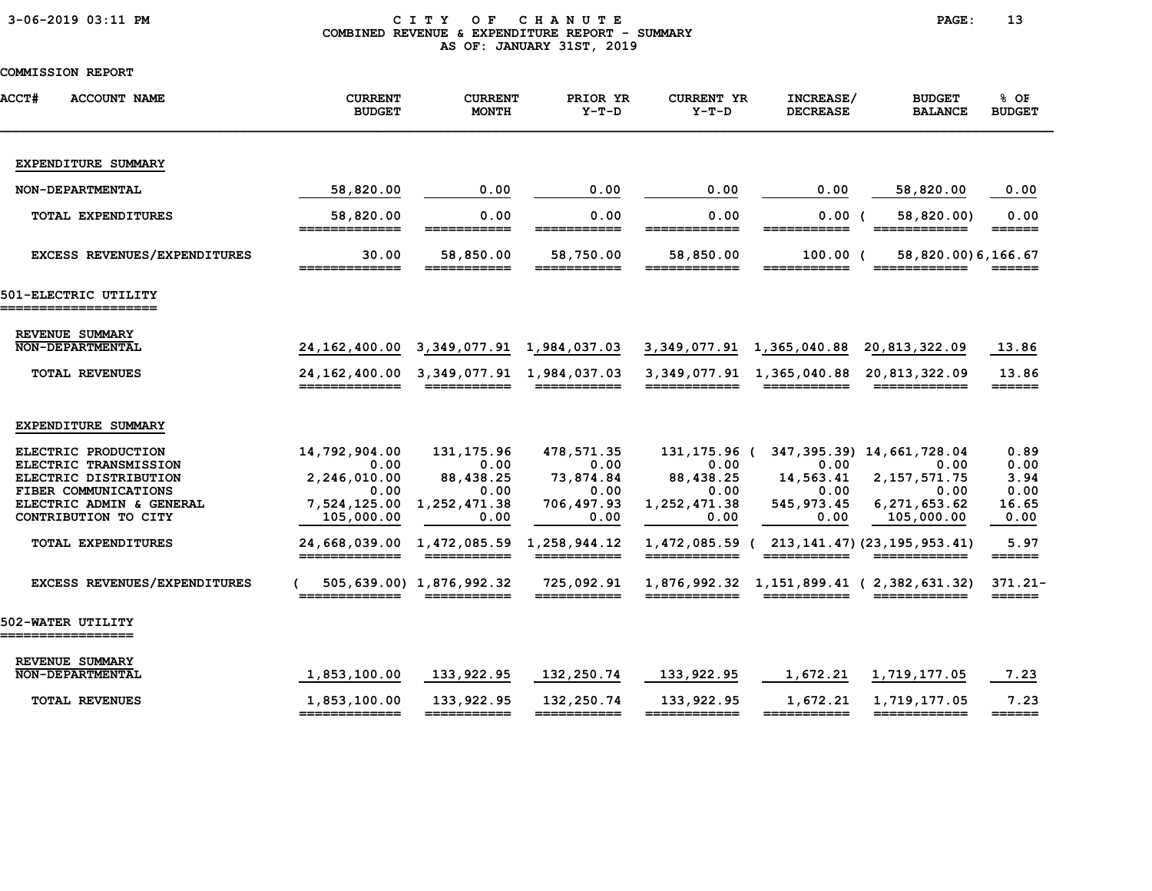### 3-06-2019 03:11 PM C I T Y O F C H A N U T E PAGE: 13 COMBINED REVENUE & EXPENDITURE REPORT - SUMMARY AS OF: JANUARY 31ST, 2019

| <b>ACCT#</b><br><b>ACCOUNT NAME</b>                                                                                                                                            | <b>CURRENT</b><br><b>BUDGET</b>                                                                               | <b>CURRENT</b><br><b>MONTH</b>                                                                               | PRIOR YR<br>$Y-T-D$                                                          | <b>CURRENT YR</b><br>$Y-T-D$                                                                                                                                                                                                                                                                                                                                                                                                                        | INCREASE/<br><b>DECREASE</b>                                    | <b>BUDGET</b><br><b>BALANCE</b>                                                                                                                              | % OF<br><b>BUDGET</b>                                                                |
|--------------------------------------------------------------------------------------------------------------------------------------------------------------------------------|---------------------------------------------------------------------------------------------------------------|--------------------------------------------------------------------------------------------------------------|------------------------------------------------------------------------------|-----------------------------------------------------------------------------------------------------------------------------------------------------------------------------------------------------------------------------------------------------------------------------------------------------------------------------------------------------------------------------------------------------------------------------------------------------|-----------------------------------------------------------------|--------------------------------------------------------------------------------------------------------------------------------------------------------------|--------------------------------------------------------------------------------------|
| EXPENDITURE SUMMARY                                                                                                                                                            |                                                                                                               |                                                                                                              |                                                                              |                                                                                                                                                                                                                                                                                                                                                                                                                                                     |                                                                 |                                                                                                                                                              |                                                                                      |
| NON-DEPARTMENTAL                                                                                                                                                               | 58,820.00                                                                                                     | 0.00                                                                                                         | 0.00                                                                         | 0.00                                                                                                                                                                                                                                                                                                                                                                                                                                                | 0.00                                                            | 58,820.00                                                                                                                                                    | 0.00                                                                                 |
| <b>TOTAL EXPENDITURES</b>                                                                                                                                                      | 58,820.00<br>=============                                                                                    | 0.00<br>===========                                                                                          | 0.00<br>===========                                                          | 0.00<br>============                                                                                                                                                                                                                                                                                                                                                                                                                                | 0.00<br>===========                                             | 58,820.00)<br>============                                                                                                                                   | 0.00                                                                                 |
| <b>EXCESS REVENUES/EXPENDITURES</b>                                                                                                                                            | 30.00                                                                                                         | 58,850.00                                                                                                    | 58,750.00                                                                    | 58,850.00                                                                                                                                                                                                                                                                                                                                                                                                                                           | $100.00$ (                                                      | 58,820.00)6,166.67                                                                                                                                           |                                                                                      |
| 501-ELECTRIC UTILITY                                                                                                                                                           |                                                                                                               |                                                                                                              |                                                                              |                                                                                                                                                                                                                                                                                                                                                                                                                                                     |                                                                 |                                                                                                                                                              |                                                                                      |
| REVENUE SUMMARY<br>NON-DEPARTMENTAL<br><b>TOTAL REVENUES</b>                                                                                                                   | 24,162,400.00<br>24, 162, 400.00<br>=============                                                             | 3, 349, 077.91 1, 984, 037.03<br>3, 349, 077.91 1, 984, 037.03                                               |                                                                              | 3,349,077.91<br>$\begin{array}{cccccccccc} \texttt{m} & \texttt{m} & \texttt{m} & \texttt{m} & \texttt{m} & \texttt{m} & \texttt{m} & \texttt{m} & \texttt{m} & \texttt{m} & \texttt{m} & \texttt{m} & \texttt{m} & \texttt{m} & \texttt{m} & \texttt{m} & \texttt{m} & \texttt{m} & \texttt{m} & \texttt{m} & \texttt{m} & \texttt{m} & \texttt{m} & \texttt{m} & \texttt{m} & \texttt{m} & \texttt{m} & \texttt{m} & \texttt{m} & \texttt{m} & \$ | 1,365,040.88<br>3, 349, 077.91 1, 365, 040.88                   | 20, 813, 322.09<br>20,813,322.09<br>============                                                                                                             | 13.86<br>13.86<br>======                                                             |
| EXPENDITURE SUMMARY                                                                                                                                                            |                                                                                                               |                                                                                                              |                                                                              |                                                                                                                                                                                                                                                                                                                                                                                                                                                     |                                                                 |                                                                                                                                                              |                                                                                      |
| ELECTRIC PRODUCTION<br>ELECTRIC TRANSMISSION<br>ELECTRIC DISTRIBUTION<br>FIBER COMMUNICATIONS<br>ELECTRIC ADMIN & GENERAL<br>CONTRIBUTION TO CITY<br><b>TOTAL EXPENDITURES</b> | 14,792,904.00<br>0.00<br>2,246,010.00<br>0.00<br>7,524,125.00<br>105,000.00<br>24,668,039.00<br>_____________ | 131, 175.96<br>0.00<br>88,438.25<br>0.00<br>1,252,471.38<br>0.00<br>1,472,085.59 1,258,944.12<br>=========== | 478,571.35<br>0.00<br>73,874.84<br>0.00<br>706,497.93<br>0.00<br>=========== | 131,175.96 (<br>0.00<br>88,438.25<br>0.00<br>1,252,471.38<br>0.00<br>============                                                                                                                                                                                                                                                                                                                                                                   | 0.00<br>14,563.41<br>0.00<br>545, 973.45<br>0.00<br>=========== | 347, 395. 39) 14, 661, 728. 04<br>0.00<br>2, 157, 571. 75<br>0.00<br>6,271,653.62<br>105,000.00<br>1,472,085.59 (213,141.47) (23,195,953.41)<br>============ | 0.89<br>0.00<br>3.94<br>0.00<br>16.65<br>0.00<br>5.97<br>$=$ $=$ $=$ $=$ $=$ $=$ $=$ |
| EXCESS REVENUES/EXPENDITURES                                                                                                                                                   |                                                                                                               | 505,639.00) 1,876,992.32                                                                                     | 725,092.91<br>===========                                                    |                                                                                                                                                                                                                                                                                                                                                                                                                                                     |                                                                 | 1,876,992.32 1,151,899.41 (2,382,631.32)                                                                                                                     | $371.21 -$<br>$=$ $=$ $=$ $=$ $=$ $=$                                                |
| 502-WATER UTILITY<br>=================                                                                                                                                         |                                                                                                               |                                                                                                              |                                                                              |                                                                                                                                                                                                                                                                                                                                                                                                                                                     |                                                                 |                                                                                                                                                              |                                                                                      |
| REVENUE SUMMARY<br><b>NON-DEPARTMENTAL</b>                                                                                                                                     | 1,853,100.00                                                                                                  | 133,922.95                                                                                                   | 132,250.74                                                                   | 133,922.95                                                                                                                                                                                                                                                                                                                                                                                                                                          | 1,672.21                                                        | 1,719,177.05                                                                                                                                                 | 7.23                                                                                 |
| <b>TOTAL REVENUES</b>                                                                                                                                                          | 1,853,100.00<br>=============                                                                                 | 133,922.95<br>===========                                                                                    | 132,250.74<br>===========                                                    | 133,922.95<br>============                                                                                                                                                                                                                                                                                                                                                                                                                          | 1,672.21<br>===========                                         | 1,719,177.05<br>============                                                                                                                                 | 7.23<br>$=$ $=$ $=$ $=$ $=$ $=$                                                      |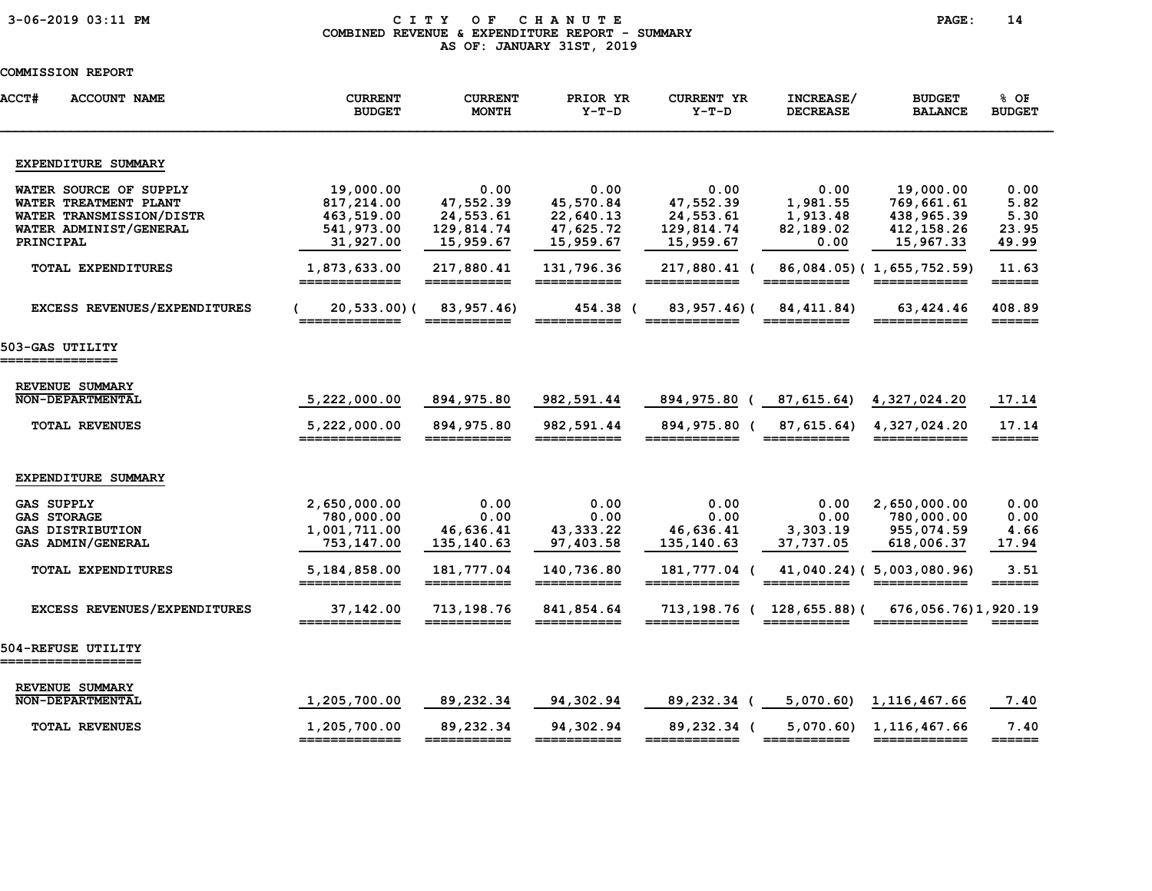### 3-06-2019 03:11 PM C I T Y O F C H A N U T E PAGE: 14 COMBINED REVENUE & EXPENDITURE REPORT - SUMMARY AS OF: JANUARY 31ST, 2019

| <b>ACCT#</b><br><b>ACCOUNT NAME</b>                                                                                | <b>CURRENT</b><br><b>BUDGET</b>                                  | <b>CURRENT</b><br><b>MONTH</b>                            | PRIOR YR<br>$Y-T-D$                                      | <b>CURRENT YR</b><br>$Y-T-D$                              | INCREASE/<br><b>DECREASE</b>                                                                                                                                                                                                                                                                                                                                                                                                                    | <b>BUDGET</b><br><b>BALANCE</b>                                   | % OF<br><b>BUDGET</b>                  |
|--------------------------------------------------------------------------------------------------------------------|------------------------------------------------------------------|-----------------------------------------------------------|----------------------------------------------------------|-----------------------------------------------------------|-------------------------------------------------------------------------------------------------------------------------------------------------------------------------------------------------------------------------------------------------------------------------------------------------------------------------------------------------------------------------------------------------------------------------------------------------|-------------------------------------------------------------------|----------------------------------------|
| EXPENDITURE SUMMARY                                                                                                |                                                                  |                                                           |                                                          |                                                           |                                                                                                                                                                                                                                                                                                                                                                                                                                                 |                                                                   |                                        |
| WATER SOURCE OF SUPPLY<br>WATER TREATMENT PLANT<br>WATER TRANSMISSION/DISTR<br>WATER ADMINIST/GENERAL<br>PRINCIPAL | 19,000.00<br>817,214.00<br>463,519.00<br>541,973.00<br>31,927.00 | 0.00<br>47,552.39<br>24,553.61<br>129,814.74<br>15,959.67 | 0.00<br>45,570.84<br>22,640.13<br>47,625.72<br>15,959.67 | 0.00<br>47,552.39<br>24,553.61<br>129,814.74<br>15,959.67 | 0.00<br>1,981.55<br>1,913.48<br>82,189.02<br>0.00                                                                                                                                                                                                                                                                                                                                                                                               | 19,000.00<br>769,661.61<br>438,965.39<br>412, 158.26<br>15,967.33 | 0.00<br>5.82<br>5.30<br>23.95<br>49.99 |
| TOTAL EXPENDITURES                                                                                                 | 1,873,633.00<br>=============                                    | 217,880.41<br>===========                                 | 131,796.36<br>===========                                | 217,880.41 (<br>============                              |                                                                                                                                                                                                                                                                                                                                                                                                                                                 | 86,084.05) (1,655,752.59)<br>============                         | 11.63<br>$=$ $=$ $=$ $=$ $=$ $=$       |
| <b>EXCESS REVENUES/EXPENDITURES</b>                                                                                | 20,533.00)(                                                      | 83,957.46)                                                | 454.38 (                                                 | 83,957.46)(                                               | 84, 411, 84)                                                                                                                                                                                                                                                                                                                                                                                                                                    | 63,424.46<br>______                                               | 408.89<br>======                       |
| 503-GAS UTILITY<br>===============                                                                                 |                                                                  |                                                           |                                                          |                                                           |                                                                                                                                                                                                                                                                                                                                                                                                                                                 |                                                                   |                                        |
| REVENUE SUMMARY<br><b>NON-DEPARTMENTAL</b>                                                                         | 5,222,000.00                                                     | 894,975.80                                                | 982,591.44                                               | 894,975.80 (                                              | 87,615.64)                                                                                                                                                                                                                                                                                                                                                                                                                                      | 4,327,024.20                                                      | 17.14                                  |
| <b>TOTAL REVENUES</b>                                                                                              | 5,222,000.00<br>=============                                    | 894, 975.80<br>===========                                | 982,591.44<br>===========                                | 894,975.80 (<br>============                              | 87,615.64)<br>===========                                                                                                                                                                                                                                                                                                                                                                                                                       | 4,327,024.20<br>============                                      | 17.14<br>$=$ $=$ $=$ $=$ $=$ $=$       |
| EXPENDITURE SUMMARY                                                                                                |                                                                  |                                                           |                                                          |                                                           |                                                                                                                                                                                                                                                                                                                                                                                                                                                 |                                                                   |                                        |
| <b>GAS SUPPLY</b><br><b>GAS STORAGE</b><br><b>GAS DISTRIBUTION</b><br>GAS ADMIN/GENERAL                            | 2,650,000.00<br>780,000.00<br>1,001,711.00<br>753,147.00         | 0.00<br>0.00<br>46,636.41<br>135,140.63                   | 0.00<br>0.00<br>43, 333. 22<br>97,403.58                 | 0.00<br>0.00<br>46,636.41<br>135,140.63                   | 0.00<br>0.00<br>3,303.19<br>37,737.05                                                                                                                                                                                                                                                                                                                                                                                                           | 2,650,000.00<br>780,000.00<br>955,074.59<br>618,006.37            | 0.00<br>0.00<br>4.66<br>17.94          |
| TOTAL EXPENDITURES                                                                                                 | 5,184,858.00                                                     | 181,777.04<br>___________                                 | 140,736.80<br>____________                               | 181,777.04 (<br>============                              |                                                                                                                                                                                                                                                                                                                                                                                                                                                 | 41,040.24) (5,003,080.96)                                         | 3.51                                   |
| <b>EXCESS REVENUES/EXPENDITURES</b>                                                                                | 37,142.00<br>=============                                       | 713,198.76<br>===========                                 | 841,854.64<br>===========                                | 713,198.76 ( 128,655.88)(<br>============                 |                                                                                                                                                                                                                                                                                                                                                                                                                                                 | 676, 056, 76) 1, 920, 19                                          |                                        |
| 504-REFUSE UTILITY<br>___________________                                                                          |                                                                  |                                                           |                                                          |                                                           |                                                                                                                                                                                                                                                                                                                                                                                                                                                 |                                                                   |                                        |
| REVENUE SUMMARY<br><b>NON-DEPARTMENTAL</b>                                                                         | 1,205,700.00                                                     | 89,232.34                                                 | 94,302.94                                                | 89,232.34 (                                               | 5,070.60                                                                                                                                                                                                                                                                                                                                                                                                                                        | 1, 116, 467.66                                                    | 7.40                                   |
| <b>TOTAL REVENUES</b>                                                                                              | 1,205,700.00<br>=============                                    | 89,232.34<br>===========                                  | 94,302.94<br>===========                                 | 89,232.34 (<br>============                               | 5,070.60<br>$\begin{array}{cccccccccc} \texttt{m} & \texttt{m} & \texttt{m} & \texttt{m} & \texttt{m} & \texttt{m} & \texttt{m} & \texttt{m} & \texttt{m} & \texttt{m} & \texttt{m} & \texttt{m} & \texttt{m} & \texttt{m} & \texttt{m} & \texttt{m} & \texttt{m} & \texttt{m} & \texttt{m} & \texttt{m} & \texttt{m} & \texttt{m} & \texttt{m} & \texttt{m} & \texttt{m} & \texttt{m} & \texttt{m} & \texttt{m} & \texttt{m} & \texttt{m} & \$ | 1, 116, 467.66<br>============                                    | 7.40<br>$=$ $=$ $=$ $=$ $=$ $=$        |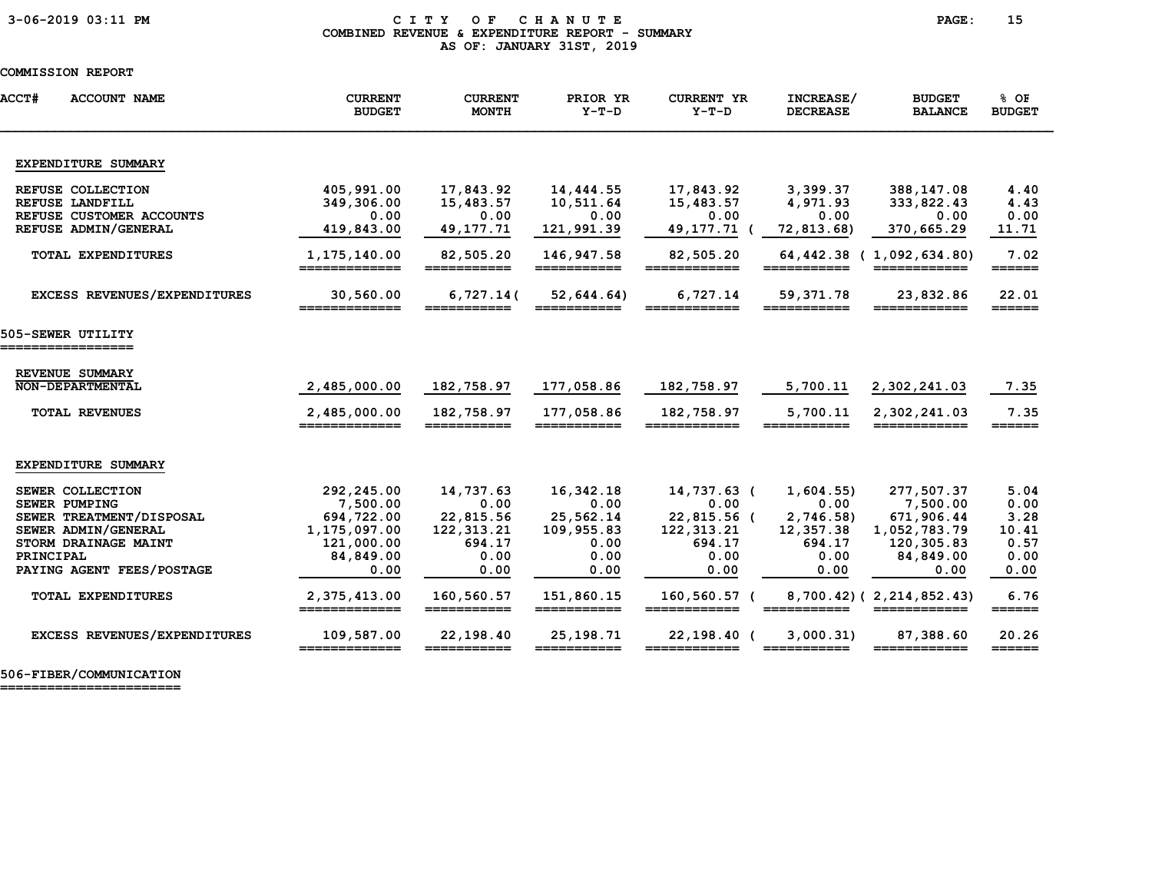#### 3-06-2019 03:11 PM C I T Y O F C H A N U T E PAGE: 15 COMBINED REVENUE & EXPENDITURE REPORT - SUMMARY AS OF: JANUARY 31ST, 2019

| <b>ACCT#</b><br><b>ACCOUNT NAME</b>                                                                                                                                                        | <b>CURRENT</b><br><b>BUDGET</b>                                                                                          | <b>CURRENT</b><br><b>MONTH</b>                                                         | PRIOR YR<br>$Y-T-D$                                                                | <b>CURRENT YR</b><br>$Y-T-D$                                                                                 | INCREASE/<br><b>DECREASE</b>                                                                      | <b>BUDGET</b><br><b>BALANCE</b>                                                                                                     | $8$ OF<br><b>BUDGET</b>                                                                  |
|--------------------------------------------------------------------------------------------------------------------------------------------------------------------------------------------|--------------------------------------------------------------------------------------------------------------------------|----------------------------------------------------------------------------------------|------------------------------------------------------------------------------------|--------------------------------------------------------------------------------------------------------------|---------------------------------------------------------------------------------------------------|-------------------------------------------------------------------------------------------------------------------------------------|------------------------------------------------------------------------------------------|
| EXPENDITURE SUMMARY                                                                                                                                                                        |                                                                                                                          |                                                                                        |                                                                                    |                                                                                                              |                                                                                                   |                                                                                                                                     |                                                                                          |
| REFUSE COLLECTION<br>REFUSE LANDFILL<br>REFUSE CUSTOMER ACCOUNTS<br>REFUSE ADMIN/GENERAL                                                                                                   | 405,991.00<br>349,306.00<br>0.00<br>419,843.00                                                                           | 17,843.92<br>15,483.57<br>0.00<br>49, 177. 71                                          | 14,444.55<br>10,511.64<br>0.00<br>121,991.39                                       | 17,843.92<br>15,483.57<br>0.00<br>49, 177. 71                                                                | 3,399.37<br>4,971.93<br>0.00<br>72,813.68)                                                        | 388,147.08<br>333,822.43<br>0.00<br>370,665.29                                                                                      | 4.40<br>4.43<br>0.00<br>11.71                                                            |
| <b>TOTAL EXPENDITURES</b>                                                                                                                                                                  | 1,175,140.00<br>=============                                                                                            | 82,505.20<br>===========                                                               | 146,947.58<br>===========                                                          | 82,505.20<br>============                                                                                    | 64,442.38 (<br>===========                                                                        | 1,092,634.80)<br>============                                                                                                       | 7.02<br>$=$ $=$ $=$ $=$ $=$ $=$                                                          |
| EXCESS REVENUES/EXPENDITURES                                                                                                                                                               | 30,560.00<br>_____________                                                                                               | 6,727.14(                                                                              | 52,644.64)                                                                         | 6,727.14                                                                                                     | 59,371.78                                                                                         | 23,832.86<br>____________                                                                                                           | 22.01<br>$=$ $=$ $=$ $=$ $=$ $=$                                                         |
| 505-SEWER UTILITY                                                                                                                                                                          |                                                                                                                          |                                                                                        |                                                                                    |                                                                                                              |                                                                                                   |                                                                                                                                     |                                                                                          |
| REVENUE SUMMARY<br>NON-DEPARTMENTAL                                                                                                                                                        | 2,485,000.00                                                                                                             | 182,758.97                                                                             | 177,058.86                                                                         | 182,758.97                                                                                                   | 5,700.11                                                                                          | 2,302,241.03                                                                                                                        | 7.35                                                                                     |
| <b>TOTAL REVENUES</b>                                                                                                                                                                      | 2,485,000.00<br>=============                                                                                            | 182,758.97<br>===========                                                              | 177,058.86                                                                         | 182,758.97<br>======                                                                                         | 5,700.11                                                                                          | 2,302,241.03                                                                                                                        | 7.35                                                                                     |
| EXPENDITURE SUMMARY                                                                                                                                                                        |                                                                                                                          |                                                                                        |                                                                                    |                                                                                                              |                                                                                                   |                                                                                                                                     |                                                                                          |
| SEWER COLLECTION<br><b>SEWER PUMPING</b><br>SEWER TREATMENT/DISPOSAL<br>SEWER ADMIN/GENERAL<br>STORM DRAINAGE MAINT<br>PRINCIPAL<br>PAYING AGENT FEES/POSTAGE<br><b>TOTAL EXPENDITURES</b> | 292,245.00<br>7,500.00<br>694,722.00<br>1,175,097.00<br>121,000.00<br>84,849.00<br>0.00<br>2,375,413.00<br>============= | 14,737.63<br>0.00<br>22,815.56<br>122, 313. 21<br>694.17<br>0.00<br>0.00<br>160,560.57 | 16,342.18<br>0.00<br>25,562.14<br>109,955.83<br>0.00<br>0.00<br>0.00<br>151,860.15 | 14,737.63 (<br>0.00<br>22,815.56 (<br>122, 313. 21<br>694.17<br>0.00<br>0.00<br>160,560.57 (<br>============ | 1,604.55<br>0.00<br>2,746.58)<br>12,357.38<br>694.17<br>0.00<br>0.00<br>$=$ = = = = = = = = = = = | 277,507.37<br>7,500.00<br>671,906.44<br>1,052,783.79<br>120,305.83<br>84,849.00<br>0.00<br>8,700.42) (2,214,852.43)<br>============ | 5.04<br>0.00<br>3.28<br>10.41<br>0.57<br>0.00<br>0.00<br>6.76<br>$=$ $=$ $=$ $=$ $=$ $=$ |
| EXCESS REVENUES/EXPENDITURES                                                                                                                                                               | 109,587.00<br>=============                                                                                              | 22,198.40<br>===========                                                               | 25, 198. 71<br>===========                                                         | 22,198.40 (                                                                                                  | 3,000.31<br>===========                                                                           | 87,388.60<br>============                                                                                                           | 20.26<br>$=$ $=$ $=$ $=$ $=$                                                             |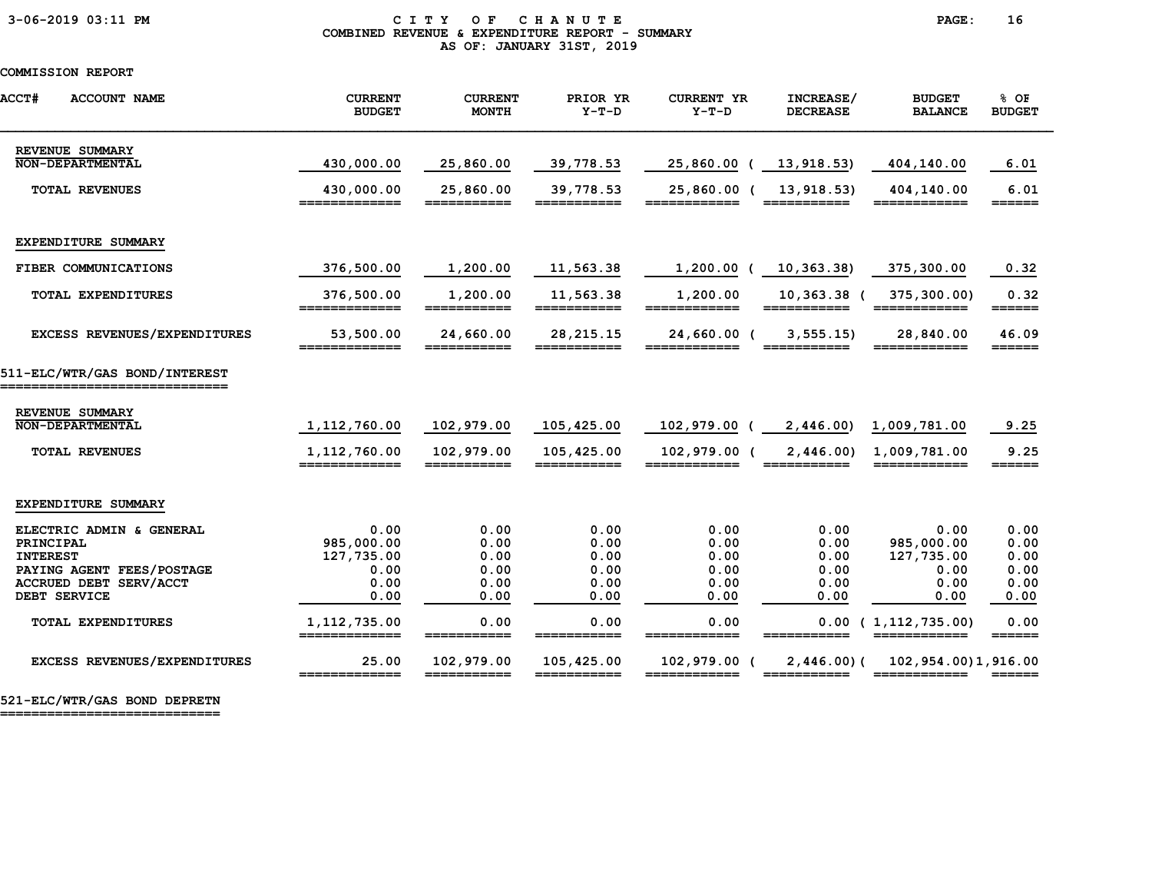### 3-06-2019 03:11 PM C I T Y O F C H A N U T E PAGE: 16 COMBINED REVENUE & EXPENDITURE REPORT - SUMMARY AS OF: JANUARY 31ST, 2019

### COMMISSION REPORT

| <b>ACCT#</b><br><b>ACCOUNT NAME</b>                          | <b>CURRENT</b><br><b>BUDGET</b> | <b>CURRENT</b><br><b>MONTH</b> | PRIOR YR<br>$Y-T-D$       | <b>CURRENT YR</b><br>$Y-T-D$ | INCREASE/<br><b>DECREASE</b>  | <b>BUDGET</b><br><b>BALANCE</b>             | % OF<br><b>BUDGET</b>           |
|--------------------------------------------------------------|---------------------------------|--------------------------------|---------------------------|------------------------------|-------------------------------|---------------------------------------------|---------------------------------|
| REVENUE SUMMARY<br>NON-DEPARTMENTAL                          | 430,000.00                      | 25,860.00                      | 39,778.53                 | 25,860.00                    | 13,918.53)                    | 404,140.00                                  | 6.01                            |
|                                                              |                                 |                                |                           |                              |                               |                                             |                                 |
| <b>TOTAL REVENUES</b>                                        | 430,000.00<br>=============     | 25,860.00<br>===========       | 39,778.53<br>===========  | 25,860.00 (<br>_____________ | 13, 918.53<br>$=$ =========== | 404,140.00<br>============                  | 6.01<br>$=$ $=$ $=$ $=$ $=$     |
|                                                              |                                 |                                |                           |                              |                               |                                             |                                 |
| EXPENDITURE SUMMARY                                          |                                 |                                |                           |                              |                               |                                             |                                 |
| FIBER COMMUNICATIONS                                         | 376,500.00                      | 1,200.00                       | 11,563.38                 | 1,200.00                     | 10,363.38)                    | 375,300.00                                  | 0.32                            |
| TOTAL EXPENDITURES                                           | 376,500.00<br>=============     | 1,200.00<br>===========        | 11,563.38<br>===========  | 1,200.00                     | 10,363.38 (<br>___________    | 375,300.00)<br>============                 | 0.32<br>$=$ $=$ $=$ $=$ $=$     |
| EXCESS REVENUES/EXPENDITURES                                 | 53,500.00                       | 24,660.00                      | 28, 215. 15               | 24,660.00 (                  | 3, 555.15                     | 28,840.00                                   | 46.09<br>======                 |
| 511-ELC/WTR/GAS BOND/INTEREST<br>=========================== |                                 |                                |                           |                              |                               |                                             |                                 |
| REVENUE SUMMARY                                              |                                 |                                |                           |                              |                               |                                             |                                 |
| NON-DEPARTMENTAL                                             | 1,112,760.00                    | 102,979.00                     | 105,425.00                | 102,979.00                   | 2,446.00                      | 1,009,781.00                                | 9.25                            |
| <b>TOTAL REVENUES</b>                                        | 1,112,760.00<br>=============   | 102,979.00<br>===========      | 105,425.00<br>=========== | 102,979.00 (<br>============ | 2,446.00<br>===========       | 1,009,781.00<br>============                | 9.25<br>======                  |
| EXPENDITURE SUMMARY                                          |                                 |                                |                           |                              |                               |                                             |                                 |
| ELECTRIC ADMIN & GENERAL                                     | 0.00                            | 0.00                           | 0.00                      | 0.00                         | 0.00                          | 0.00                                        | 0.00                            |
| PRINCIPAL                                                    | 985,000.00                      | 0.00                           | 0.00                      | 0.00                         | 0.00                          | 985,000.00                                  | 0.00                            |
| <b>INTEREST</b>                                              | 127,735.00                      | 0.00                           | 0.00                      | 0.00                         | 0.00                          | 127,735.00                                  | 0.00                            |
| PAYING AGENT FEES/POSTAGE                                    | 0.00                            | 0.00                           | 0.00                      | 0.00                         | 0.00                          | 0.00                                        | 0.00                            |
| ACCRUED DEBT SERV/ACCT                                       | 0.00                            | 0.00                           | 0.00                      | 0.00                         | 0.00                          | 0.00                                        | 0.00                            |
| DEBT SERVICE                                                 | 0.00                            | 0.00                           | 0.00                      | 0.00                         | 0.00                          | 0.00                                        | 0.00                            |
| TOTAL EXPENDITURES                                           | 1, 112, 735.00<br>============= | 0.00<br>___________            | 0.00<br>___________       | 0.00<br>----                 | 0.00                          | 1,112,735.00)<br>============               | 0.00<br>$=$ $=$ $=$ $=$ $=$ $=$ |
| EXCESS REVENUES/EXPENDITURES                                 | 25.00<br>=============          | 102,979.00<br>===========      | 105,425.00<br>=========== | 102,979.00 (<br>============ | 2,446.00(<br>===========      | 102, 954, 00) 1, 916, 00<br>$=$ =========== |                                 |

521-ELC/WTR/GAS BOND DEPRETN

============================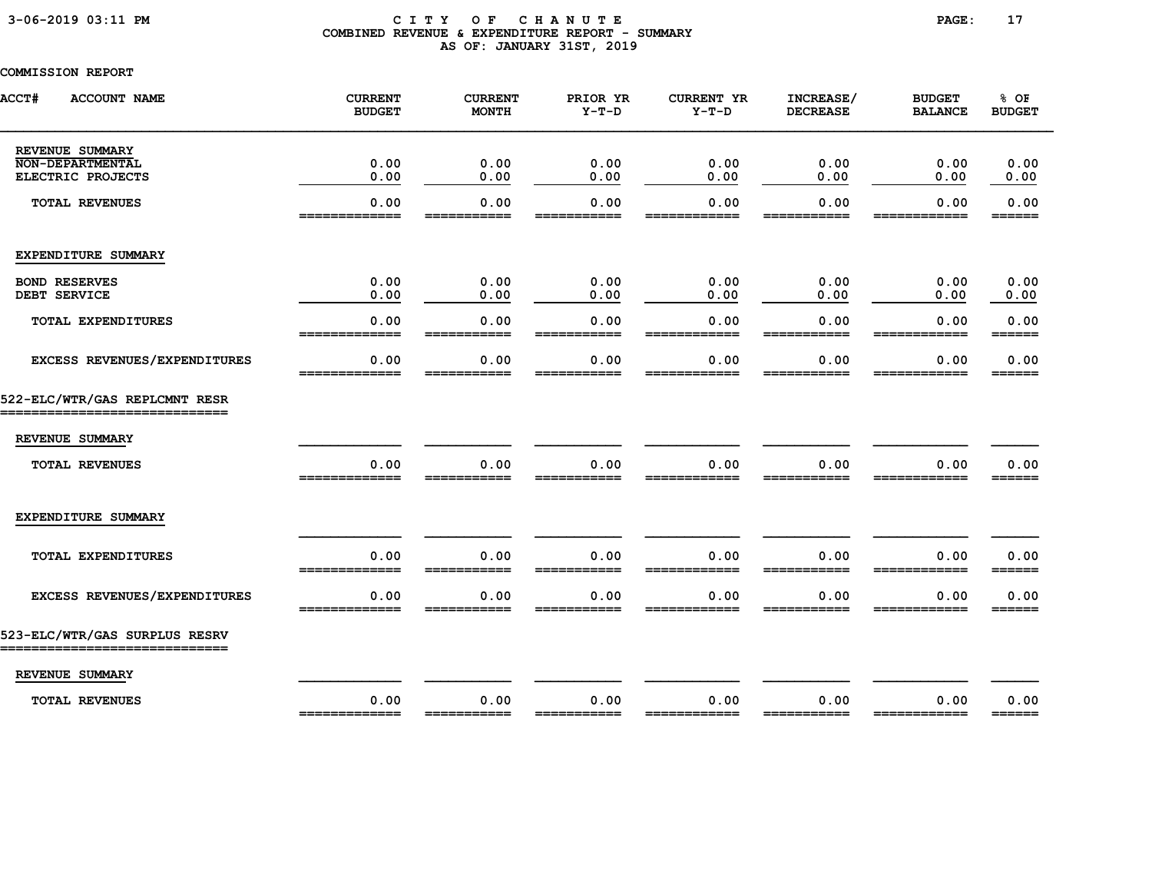### 3-06-2019 03:11 PM C I T Y O F C H A N U T E PAGE: 17 COMBINED REVENUE & EXPENDITURE REPORT - SUMMARY AS OF: JANUARY 31ST, 2019

| <b>ACCT#</b><br><b>ACCOUNT NAME</b>                           | <b>CURRENT</b><br><b>BUDGET</b> | <b>CURRENT</b><br><b>MONTH</b> | PRIOR YR<br>$Y-T-D$ | <b>CURRENT YR</b><br>$Y-T-D$ | INCREASE/<br><b>DECREASE</b> | <b>BUDGET</b><br><b>BALANCE</b> | % OF<br><b>BUDGET</b>                                             |
|---------------------------------------------------------------|---------------------------------|--------------------------------|---------------------|------------------------------|------------------------------|---------------------------------|-------------------------------------------------------------------|
| REVENUE SUMMARY<br><b>NON-DEPARTMENTAL</b>                    | 0.00                            | 0.00                           | 0.00                | 0.00                         | 0.00                         | 0.00                            | 0.00                                                              |
| ELECTRIC PROJECTS                                             | 0.00                            | 0.00                           | 0.00                | 0.00                         | 0.00                         | 0.00                            | 0.00                                                              |
| <b>TOTAL REVENUES</b>                                         | 0.00<br>_____________           | 0.00<br>===========            | 0.00<br>___________ | 0.00<br>____________         | 0.00<br>===========          | 0.00<br>____________            | 0.00<br>======                                                    |
| EXPENDITURE SUMMARY                                           |                                 |                                |                     |                              |                              |                                 |                                                                   |
| <b>BOND RESERVES</b><br>DEBT SERVICE                          | 0.00<br>0.00                    | 0.00<br>0.00                   | 0.00<br>0.00        | 0.00<br>0.00                 | 0.00<br>0.00                 | 0.00<br>0.00                    | 0.00<br>0.00                                                      |
| <b>TOTAL EXPENDITURES</b>                                     | 0.00<br>=============           | 0.00<br>===========            | 0.00                | 0.00<br>============         | 0.00<br>===========          | 0.00<br>============            | 0.00                                                              |
| EXCESS REVENUES/EXPENDITURES                                  | 0.00                            | 0.00                           | 0.00                | 0.00                         | 0.00                         | 0.00                            | 0.00<br>______                                                    |
| 522-ELC/WTR/GAS REPLCMNT RESR<br>_____________                |                                 |                                |                     |                              |                              |                                 |                                                                   |
| REVENUE SUMMARY                                               |                                 |                                |                     |                              |                              |                                 |                                                                   |
| <b>TOTAL REVENUES</b>                                         | 0.00<br>-------------           | 0.00                           | 0.00                | 0.00                         | 0.00                         | 0.00                            | 0.00<br>______                                                    |
| EXPENDITURE SUMMARY                                           |                                 |                                |                     |                              |                              |                                 |                                                                   |
| <b>TOTAL EXPENDITURES</b>                                     | 0.00<br>=============           | 0.00<br>===========            | 0.00<br>=========== | 0.00<br>============         | 0.00<br>===========          | 0.00<br>============            | 0.00<br>======                                                    |
| EXCESS REVENUES/EXPENDITURES                                  | 0.00                            | 0.00                           | 0.00                | 0.00                         | 0.00                         | 0.00                            | 0.00                                                              |
| 523-ELC/WTR/GAS SURPLUS RESRV<br>---------------------------- |                                 |                                |                     |                              |                              |                                 |                                                                   |
| REVENUE SUMMARY                                               |                                 |                                |                     |                              |                              |                                 |                                                                   |
| <b>TOTAL REVENUES</b>                                         | 0.00<br>=============           | 0.00                           | 0.00<br>=========== | 0.00<br>============         | 0.00<br>===========          | 0.00<br>============            | 0.00<br>$\qquad \qquad \equiv \equiv \equiv \equiv \equiv \equiv$ |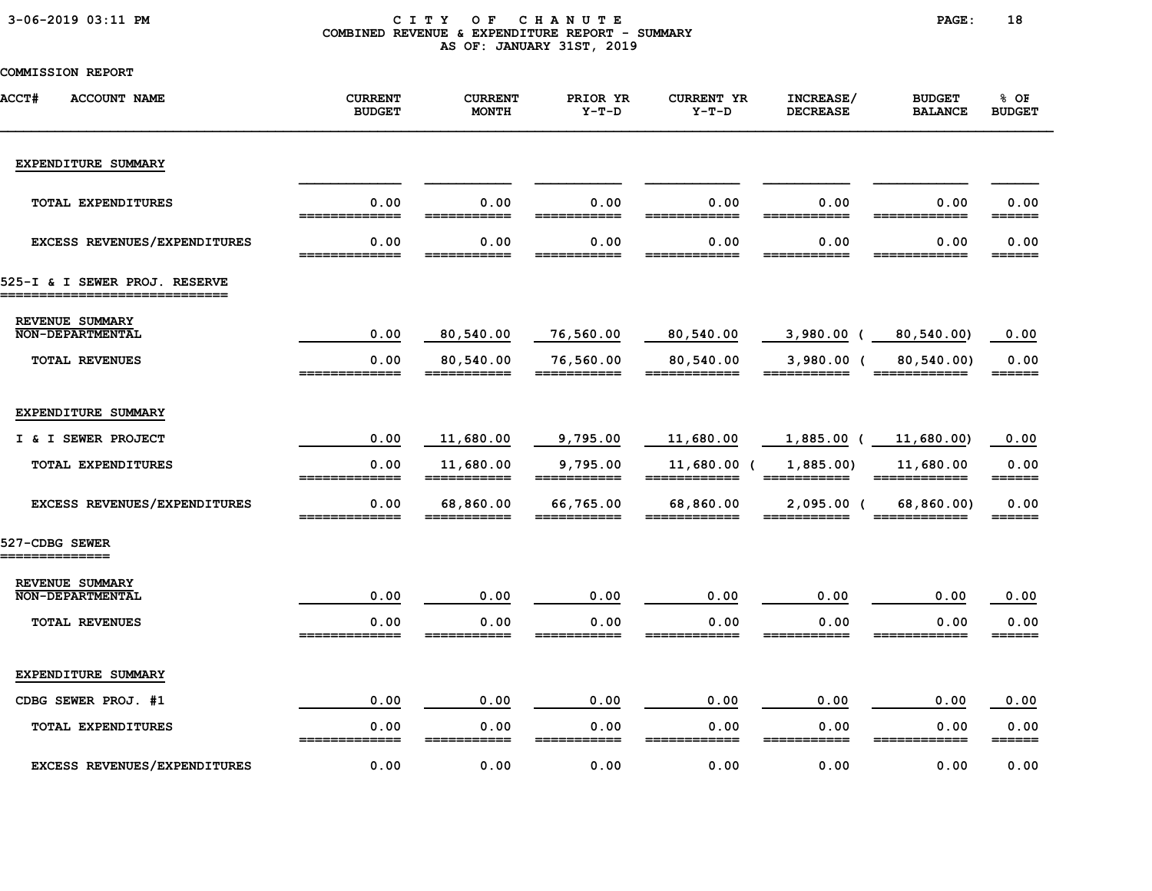|  |  | $3 - 06 - 2019$ $03:11$ PM |  |
|--|--|----------------------------|--|
|--|--|----------------------------|--|

#### CITY OF CHANUTE PAGE: 18 COMBINED REVENUE & EXPENDITURE REPORT - SUMMARY AS OF: JANUARY 31ST, 2019

| <b>ACCT#</b><br><b>ACCOUNT NAME</b>                             | <b>CURRENT</b><br><b>BUDGET</b> | <b>CURRENT</b><br><b>MONTH</b> | PRIOR YR<br>$Y-T-D$                                                                                                                                                                                                                                                                                                                                                                                                                             | <b>CURRENT YR</b><br>$Y-T-D$ | INCREASE/<br><b>DECREASE</b> | <b>BUDGET</b><br><b>BALANCE</b>                                                                                                                                                                                                                                                                                                                                                                                                                  | 8 OF<br><b>BUDGET</b>       |
|-----------------------------------------------------------------|---------------------------------|--------------------------------|-------------------------------------------------------------------------------------------------------------------------------------------------------------------------------------------------------------------------------------------------------------------------------------------------------------------------------------------------------------------------------------------------------------------------------------------------|------------------------------|------------------------------|--------------------------------------------------------------------------------------------------------------------------------------------------------------------------------------------------------------------------------------------------------------------------------------------------------------------------------------------------------------------------------------------------------------------------------------------------|-----------------------------|
| EXPENDITURE SUMMARY                                             |                                 |                                |                                                                                                                                                                                                                                                                                                                                                                                                                                                 |                              |                              |                                                                                                                                                                                                                                                                                                                                                                                                                                                  |                             |
| TOTAL EXPENDITURES                                              | 0.00<br>=============           | 0.00                           | 0.00                                                                                                                                                                                                                                                                                                                                                                                                                                            | 0.00                         | 0.00                         | 0.00                                                                                                                                                                                                                                                                                                                                                                                                                                             | 0.00<br>======              |
| EXCESS REVENUES/EXPENDITURES                                    | 0.00                            | 0.00                           | 0.00                                                                                                                                                                                                                                                                                                                                                                                                                                            | 0.00                         | 0.00                         | 0.00                                                                                                                                                                                                                                                                                                                                                                                                                                             | 0.00<br>______              |
| 525-I & I SEWER PROJ. RESERVE<br>______________________________ |                                 |                                |                                                                                                                                                                                                                                                                                                                                                                                                                                                 |                              |                              |                                                                                                                                                                                                                                                                                                                                                                                                                                                  |                             |
| REVENUE SUMMARY<br><b>NON-DEPARTMENTAL</b>                      | 0.00                            | 80,540.00                      | 76,560.00                                                                                                                                                                                                                                                                                                                                                                                                                                       | 80,540.00                    | $3,980.00$ (                 | 80,540.00)                                                                                                                                                                                                                                                                                                                                                                                                                                       | 0.00                        |
| <b>TOTAL REVENUES</b>                                           | 0.00                            | 80,540.00<br>___________       | 76,560.00<br>___________                                                                                                                                                                                                                                                                                                                                                                                                                        | 80,540.00<br>________        | $3,980.00$ (                 | 80,540.00)<br>_____________                                                                                                                                                                                                                                                                                                                                                                                                                      | 0.00<br>$=$ $=$ $=$ $=$ $=$ |
| EXPENDITURE SUMMARY                                             |                                 |                                |                                                                                                                                                                                                                                                                                                                                                                                                                                                 |                              |                              |                                                                                                                                                                                                                                                                                                                                                                                                                                                  |                             |
| I & I SEWER PROJECT                                             | 0.00                            | 11,680.00                      | 9,795.00                                                                                                                                                                                                                                                                                                                                                                                                                                        | 11,680.00                    | $1,885.00$ (                 | 11,680.00)                                                                                                                                                                                                                                                                                                                                                                                                                                       | 0.00                        |
| TOTAL EXPENDITURES                                              | 0.00<br>_____________           | 11,680.00<br>===========       | 9,795.00<br>$\begin{array}{cccccccccc} \texttt{m} & \texttt{m} & \texttt{m} & \texttt{m} & \texttt{m} & \texttt{m} & \texttt{m} & \texttt{m} & \texttt{m} & \texttt{m} & \texttt{m} & \texttt{m} & \texttt{m} & \texttt{m} & \texttt{m} & \texttt{m} & \texttt{m} & \texttt{m} & \texttt{m} & \texttt{m} & \texttt{m} & \texttt{m} & \texttt{m} & \texttt{m} & \texttt{m} & \texttt{m} & \texttt{m} & \texttt{m} & \texttt{m} & \texttt{m} & \$ | 11,680.00 (<br>============  | 1,885.00)<br>===========     | 11,680.00<br>$\begin{array}{cccccccccc} \texttt{m} & \texttt{m} & \texttt{m} & \texttt{m} & \texttt{m} & \texttt{m} & \texttt{m} & \texttt{m} & \texttt{m} & \texttt{m} & \texttt{m} & \texttt{m} & \texttt{m} & \texttt{m} & \texttt{m} & \texttt{m} & \texttt{m} & \texttt{m} & \texttt{m} & \texttt{m} & \texttt{m} & \texttt{m} & \texttt{m} & \texttt{m} & \texttt{m} & \texttt{m} & \texttt{m} & \texttt{m} & \texttt{m} & \texttt{m} & \$ | 0.00                        |
| EXCESS REVENUES/EXPENDITURES                                    | 0.00<br>=============           | 68,860.00<br>===========       | 66,765.00<br>===========                                                                                                                                                                                                                                                                                                                                                                                                                        | 68,860.00<br>============    | $2,095.00$ (<br>___________  | 68,860.00)<br>============                                                                                                                                                                                                                                                                                                                                                                                                                       | 0.00<br>======              |
| 527-CDBG SEWER<br>==============                                |                                 |                                |                                                                                                                                                                                                                                                                                                                                                                                                                                                 |                              |                              |                                                                                                                                                                                                                                                                                                                                                                                                                                                  |                             |
| REVENUE SUMMARY<br><b>NON-DEPARTMENTAL</b>                      | 0.00                            | 0.00                           | 0.00                                                                                                                                                                                                                                                                                                                                                                                                                                            | 0.00                         | 0.00                         | 0.00                                                                                                                                                                                                                                                                                                                                                                                                                                             | 0.00                        |
| <b>TOTAL REVENUES</b>                                           | 0.00<br>=============           | 0.00                           | 0.00                                                                                                                                                                                                                                                                                                                                                                                                                                            | 0.00                         | 0.00                         | 0.00                                                                                                                                                                                                                                                                                                                                                                                                                                             | 0.00<br>======              |
| EXPENDITURE SUMMARY                                             |                                 |                                |                                                                                                                                                                                                                                                                                                                                                                                                                                                 |                              |                              |                                                                                                                                                                                                                                                                                                                                                                                                                                                  |                             |
| CDBG SEWER PROJ. #1                                             | 0.00                            | 0.00                           | 0.00                                                                                                                                                                                                                                                                                                                                                                                                                                            | 0.00                         | 0.00                         | 0.00                                                                                                                                                                                                                                                                                                                                                                                                                                             | 0.00                        |
| TOTAL EXPENDITURES                                              | 0.00<br>_____________           | 0.00<br>-----                  | 0.00<br>___________                                                                                                                                                                                                                                                                                                                                                                                                                             | 0.00<br>________<br>____     | 0.00<br>___________          | 0.00                                                                                                                                                                                                                                                                                                                                                                                                                                             | 0.00                        |
| EXCESS REVENUES/EXPENDITURES                                    | 0.00                            | 0.00                           | 0.00                                                                                                                                                                                                                                                                                                                                                                                                                                            | 0.00                         | 0.00                         | 0.00                                                                                                                                                                                                                                                                                                                                                                                                                                             | 0.00                        |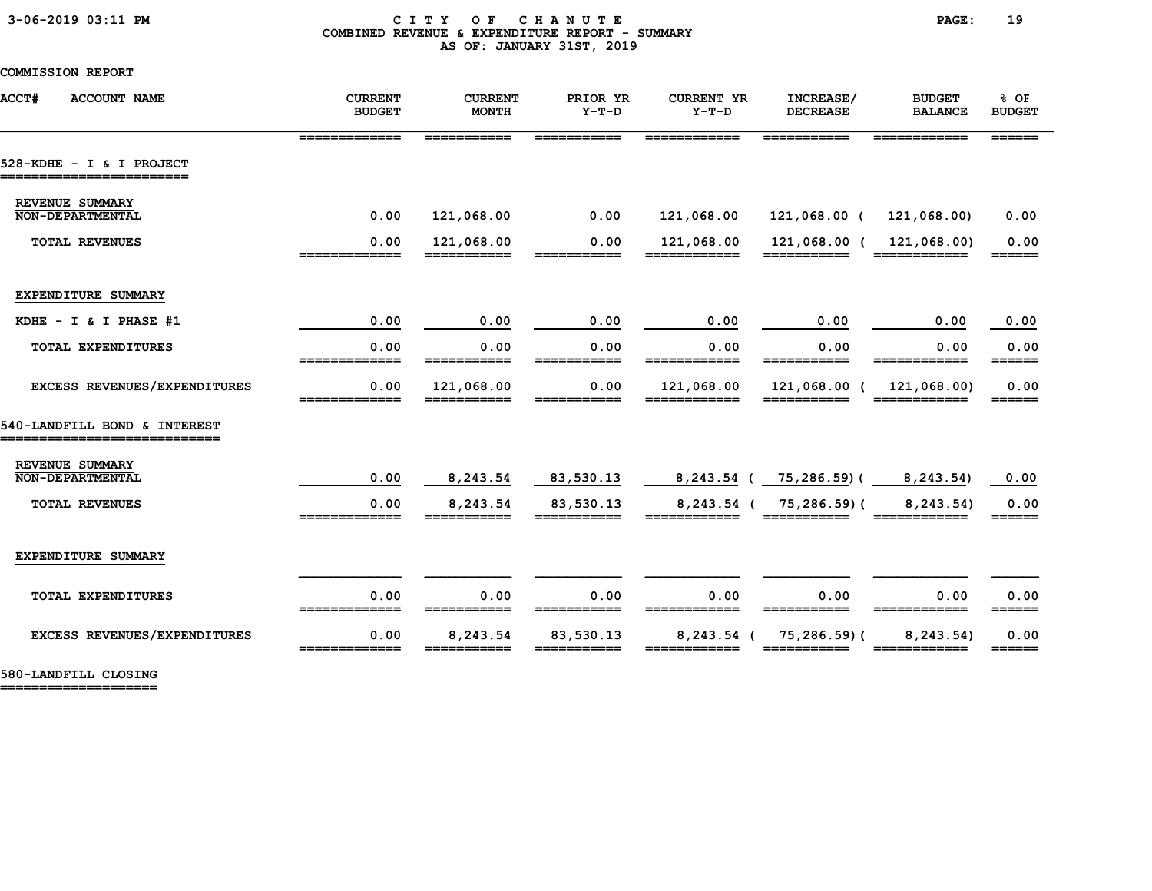#### 3-06-2019 03:11 PM C I T Y O F C H A N U T E PAGE: 19 COMBINED REVENUE & EXPENDITURE REPORT - SUMMARY AS OF: JANUARY 31ST, 2019

COMMISSION REPORT

| <b>ACCT#</b><br><b>ACCOUNT NAME</b>                          | <b>CURRENT</b><br><b>BUDGET</b> | <b>CURRENT</b><br><b>MONTH</b> | PRIOR YR<br>$Y-T-D$      | <b>CURRENT YR</b><br>$Y-T-D$  | INCREASE/<br><b>DECREASE</b>               | <b>BUDGET</b><br><b>BALANCE</b> | % OF<br><b>BUDGET</b>                                     |
|--------------------------------------------------------------|---------------------------------|--------------------------------|--------------------------|-------------------------------|--------------------------------------------|---------------------------------|-----------------------------------------------------------|
|                                                              | =============                   | ===========                    | ===========              | ============                  | ===========                                | ============                    | $\qquad \qquad \equiv \equiv \equiv \equiv \equiv \equiv$ |
| 528-KDHE - I & I PROJECT<br>========================         |                                 |                                |                          |                               |                                            |                                 |                                                           |
| REVENUE SUMMARY<br>NON-DEPARTMENTAL                          |                                 |                                |                          |                               |                                            |                                 |                                                           |
|                                                              | 0.00                            | 121,068.00                     | 0.00                     | 121,068.00                    | 121,068.00 ( 121,068.00)                   |                                 | 0.00                                                      |
| <b>TOTAL REVENUES</b>                                        | 0.00<br>_____________           | 121,068.00<br>===========      | 0.00<br>===========      | 121,068.00<br>============    | 121,068.00 (                               | 121,068.00)<br>============     | 0.00<br>======                                            |
| EXPENDITURE SUMMARY                                          |                                 |                                |                          |                               |                                            |                                 |                                                           |
| KDHE $- I & I$ PHASE #1                                      | 0.00                            | 0.00                           | 0.00                     | 0.00                          | 0.00                                       | 0.00                            | 0.00                                                      |
| <b>TOTAL EXPENDITURES</b>                                    | 0.00<br>=============           | 0.00<br>===========            | 0.00<br>===========      | 0.00<br>============          | 0.00<br>===========                        | 0.00<br>============            | 0.00<br>$=$ $=$ $=$ $=$ $=$ $=$ $=$                       |
| EXCESS REVENUES/EXPENDITURES                                 | 0.00                            | 121,068.00                     | 0.00                     | 121,068.00                    | 121,068.00 (                               | 121,068.00)                     | 0.00                                                      |
| 540-LANDFILL BOND & INTEREST<br>============================ |                                 |                                |                          |                               |                                            |                                 |                                                           |
| REVENUE SUMMARY                                              |                                 |                                |                          |                               |                                            |                                 |                                                           |
| <b>NON-DEPARTMENTAL</b>                                      | 0.00                            | 8,243.54                       | 83,530.13                |                               | 8,243.54 ( 75,286.59) (                    | 8, 243.54)                      | 0.00                                                      |
| <b>TOTAL REVENUES</b>                                        | 0.00<br>=============           | 8,243.54<br>===========        | 83,530.13<br>=========== | ============                  | 8,243.54 ( 75,286.59) (<br>$=$ =========== | 8, 243.54)<br>============      | 0.00<br>$======$                                          |
| EXPENDITURE SUMMARY                                          |                                 |                                |                          |                               |                                            |                                 |                                                           |
| TOTAL EXPENDITURES                                           | 0.00<br>______________          | 0.00<br>===========            | 0.00<br>===========      | 0.00<br>============          | 0.00<br>===========                        | 0.00<br>============            | 0.00<br>======                                            |
| EXCESS REVENUES/EXPENDITURES                                 | 0.00<br>_____________           | 8,243.54<br>===========        | 83,530.13<br>=========== | $8, 243.54$ (<br>============ | 75,286.59)(<br>$=$ ===========             | 8, 243.54)<br>============      | 0.00<br>$=$ $=$ $=$ $=$ $=$ $=$ $=$                       |
|                                                              |                                 |                                |                          |                               |                                            |                                 |                                                           |

580-LANDFILL CLOSING ====================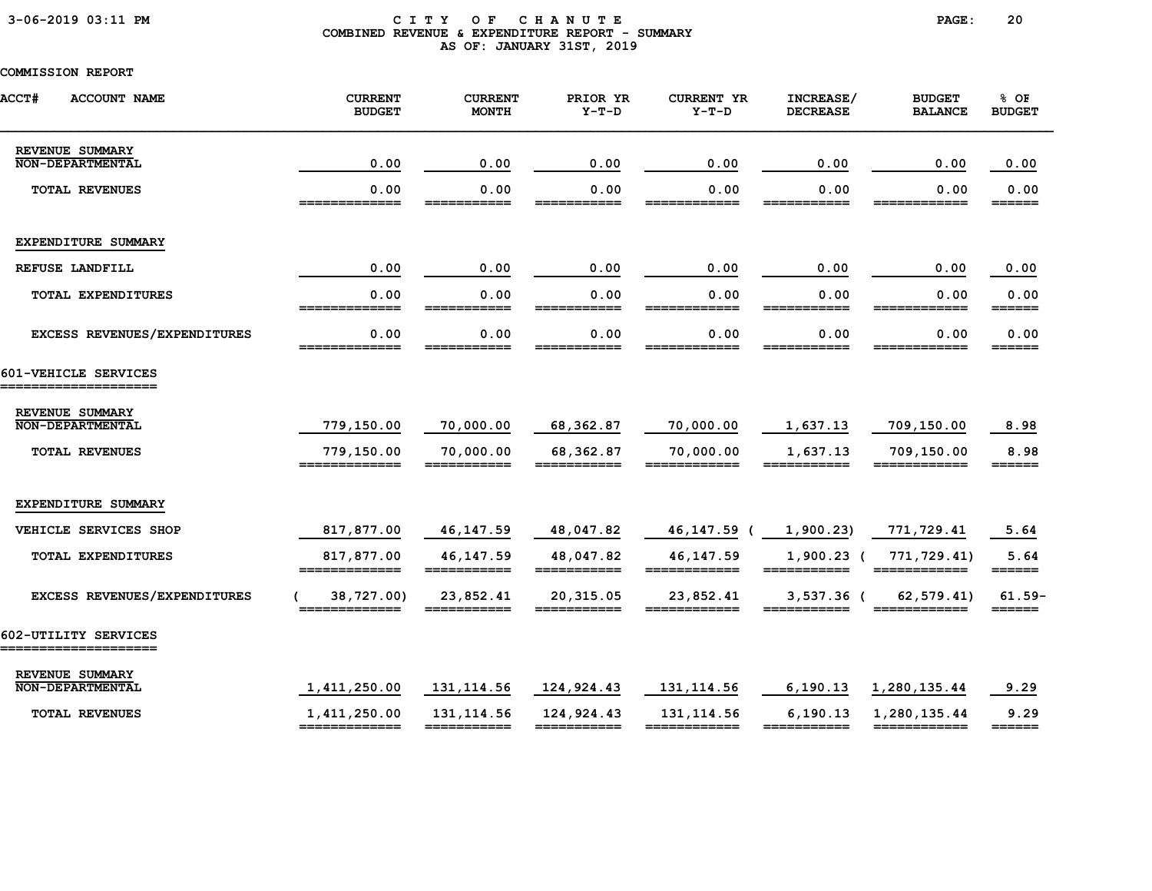### 3-06-2019 03:11 PM C I T Y O F C H A N U T E PAGE: 20 COMBINED REVENUE & EXPENDITURE REPORT - SUMMARY AS OF: JANUARY 31ST, 2019

| <b>ACCT#</b><br><b>ACCOUNT NAME</b>           | <b>CURRENT</b><br><b>BUDGET</b> | <b>CURRENT</b><br><b>MONTH</b> | PRIOR YR<br>$Y-T-D$       | <b>CURRENT YR</b><br>$Y-T-D$ | INCREASE/<br><b>DECREASE</b> | <b>BUDGET</b><br><b>BALANCE</b> | % OF<br><b>BUDGET</b>           |
|-----------------------------------------------|---------------------------------|--------------------------------|---------------------------|------------------------------|------------------------------|---------------------------------|---------------------------------|
| REVENUE SUMMARY<br><b>NON-DEPARTMENTAL</b>    | 0.00                            | 0.00                           | 0.00                      | 0.00                         | 0.00                         | 0.00                            | 0.00                            |
| <b>TOTAL REVENUES</b>                         | 0.00<br>=============           | 0.00<br>========               | 0.00<br>===========       | 0.00<br>============         | 0.00<br>===========          | 0.00<br>============            | 0.00<br>======                  |
| EXPENDITURE SUMMARY                           |                                 |                                |                           |                              |                              |                                 |                                 |
| REFUSE LANDFILL                               | 0.00                            | 0.00                           | 0.00                      | 0.00                         | 0.00                         | 0.00                            | 0.00                            |
| TOTAL EXPENDITURES                            | 0.00<br>=============           | 0.00<br>===========            | 0.00<br>===========       | 0.00<br>============         | 0.00<br>===========          | 0.00<br>============            | 0.00<br>======                  |
| EXCESS REVENUES/EXPENDITURES                  | 0.00                            | 0.00<br>===========            | 0.00<br>===========       | 0.00<br>=========            | 0.00<br>===========          | 0.00<br>==========              | 0.00                            |
| 601-VEHICLE SERVICES<br>===================== |                                 |                                |                           |                              |                              |                                 |                                 |
| REVENUE SUMMARY<br><b>NON-DEPARTMENTAL</b>    | 779,150.00                      | 70,000.00                      | 68, 362.87                | 70,000.00                    | 1,637.13                     | 709,150.00                      | 8.98                            |
| <b>TOTAL REVENUES</b>                         | 779,150.00<br>=============     | 70,000.00<br>===========       | 68,362.87<br>===========  | 70,000.00<br>============    | 1,637.13<br>===========      | 709,150.00<br>============      | 8.98<br>$=$ $=$ $=$ $=$ $=$     |
| EXPENDITURE SUMMARY                           |                                 |                                |                           |                              |                              |                                 |                                 |
| VEHICLE SERVICES SHOP                         | 817,877.00                      | 46, 147.59                     | 48,047.82                 | 46, 147.59                   | 1,900.23                     | 771,729.41                      | 5.64                            |
| TOTAL EXPENDITURES                            | 817,877.00<br>=============     | 46, 147.59<br>===========      | 48,047.82<br>===========  | 46,147.59<br>============    | $1,900.23$ (<br>===========  | 771,729.41)<br>============     | 5.64<br>$=$ $=$ $=$ $=$ $=$ $=$ |
| EXCESS REVENUES/EXPENDITURES                  | 38,727.00)                      | 23,852.41                      | 20,315.05                 | 23,852.41                    | $3,537.36$ (                 | 62,579.41)                      | $61.59-$<br>______              |
| 602-UTILITY SERVICES<br>_________________     |                                 |                                |                           |                              |                              |                                 |                                 |
| REVENUE SUMMARY<br><b>NON-DEPARTMENTAL</b>    | 1,411,250.00                    | 131, 114.56                    | 124,924.43                | 131, 114.56                  | 6, 190.13                    | 1,280,135.44                    | 9.29                            |
| <b>TOTAL REVENUES</b>                         | 1,411,250.00<br>=============   | 131, 114.56<br>===========     | 124,924.43<br>=========== | 131, 114.56<br>============  | 6, 190.13<br>===========     | 1,280,135.44<br>============    | 9.29                            |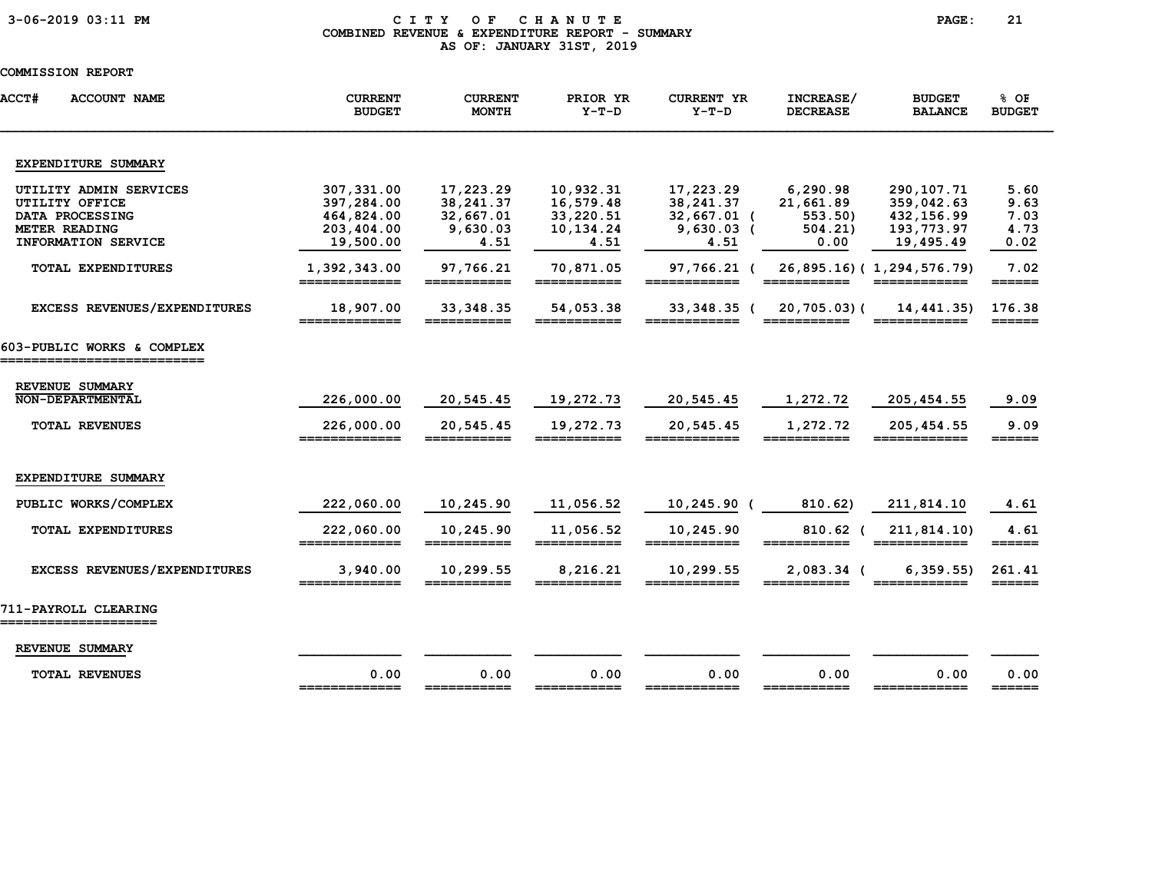### 3-06-2019 03:11 PM C I T Y O F C H A N U T E PAGE: 21 COMBINED REVENUE & EXPENDITURE REPORT - SUMMARY AS OF: JANUARY 31ST, 2019

| ACCT#<br><b>ACCOUNT NAME</b>                           | <b>CURRENT</b><br><b>BUDGET</b> | <b>CURRENT</b><br><b>MONTH</b> | PRIOR YR<br>$Y-T-D$      | <b>CURRENT YR</b><br>$Y-T-D$ | INCREASE/<br><b>DECREASE</b>                                                                                                                                                                                                                                                                                                                                                                                                        | <b>BUDGET</b><br><b>BALANCE</b>           | $8$ OF<br><b>BUDGET</b>         |
|--------------------------------------------------------|---------------------------------|--------------------------------|--------------------------|------------------------------|-------------------------------------------------------------------------------------------------------------------------------------------------------------------------------------------------------------------------------------------------------------------------------------------------------------------------------------------------------------------------------------------------------------------------------------|-------------------------------------------|---------------------------------|
| EXPENDITURE SUMMARY                                    |                                 |                                |                          |                              |                                                                                                                                                                                                                                                                                                                                                                                                                                     |                                           |                                 |
| UTILITY ADMIN SERVICES                                 | 307,331.00                      | 17,223.29                      | 10,932.31                | 17,223.29                    | 6,290.98                                                                                                                                                                                                                                                                                                                                                                                                                            | 290, 107. 71                              | 5.60                            |
| UTILITY OFFICE                                         | 397,284.00                      | 38, 241.37                     | 16,579.48                | 38, 241.37                   | 21,661.89                                                                                                                                                                                                                                                                                                                                                                                                                           | 359,042.63                                | 9.63                            |
| DATA PROCESSING                                        | 464,824.00                      | 32,667.01                      | 33,220.51                | $32,667.01$ (                | 553.50                                                                                                                                                                                                                                                                                                                                                                                                                              | 432, 156.99                               | 7.03                            |
| METER READING                                          | 203,404.00                      | 9,630.03                       | 10,134.24                | $9,630.03$ (                 | 504.21)                                                                                                                                                                                                                                                                                                                                                                                                                             | 193,773.97                                | 4.73                            |
| INFORMATION SERVICE                                    | 19,500.00                       | 4.51                           | 4.51                     | 4.51                         | 0.00                                                                                                                                                                                                                                                                                                                                                                                                                                | 19,495.49                                 | 0.02                            |
| <b>TOTAL EXPENDITURES</b>                              | 1,392,343.00<br>=============   | 97,766.21<br>===========       | 70,871.05<br>=========== | 97,766.21 (                  | $\begin{array}{cccccccccc} \textbf{m} & \textbf{m} & \textbf{m} & \textbf{m} & \textbf{m} & \textbf{m} & \textbf{m} & \textbf{m} & \textbf{m} & \textbf{m} & \textbf{m} & \textbf{m} & \textbf{m} & \textbf{m} & \textbf{m} & \textbf{m} & \textbf{m} & \textbf{m} & \textbf{m} & \textbf{m} & \textbf{m} & \textbf{m} & \textbf{m} & \textbf{m} & \textbf{m} & \textbf{m} & \textbf{m} & \textbf{m} & \textbf{m} & \textbf{m} & \$ | 26,895.16) (1,294,576.79)<br>============ | 7.02<br>$=$ $=$ $=$ $=$ $=$ $=$ |
| EXCESS REVENUES/EXPENDITURES                           | 18,907.00<br>________           | 33, 348.35                     | 54,053.38<br>-----       | 33,348.35 (<br>-----         | 20,705.03)(                                                                                                                                                                                                                                                                                                                                                                                                                         | 14,441.35)                                | 176.38<br>______                |
| 603-PUBLIC WORKS & COMPLEX<br>________________________ |                                 |                                |                          |                              |                                                                                                                                                                                                                                                                                                                                                                                                                                     |                                           |                                 |
|                                                        |                                 |                                |                          |                              |                                                                                                                                                                                                                                                                                                                                                                                                                                     |                                           |                                 |
| REVENUE SUMMARY<br><b>NON-DEPARTMENTAL</b>             | 226,000.00                      | 20,545.45                      | 19,272.73                | 20,545.45                    | 1,272.72                                                                                                                                                                                                                                                                                                                                                                                                                            | 205, 454.55                               | 9.09                            |
|                                                        |                                 |                                |                          |                              |                                                                                                                                                                                                                                                                                                                                                                                                                                     |                                           |                                 |
| <b>TOTAL REVENUES</b>                                  | 226,000.00<br>=============     | 20,545.45<br>===========       | 19,272.73                | 20,545.45                    | 1,272.72                                                                                                                                                                                                                                                                                                                                                                                                                            | 205, 454.55                               | 9.09<br>======                  |
|                                                        |                                 |                                |                          |                              |                                                                                                                                                                                                                                                                                                                                                                                                                                     |                                           |                                 |
| EXPENDITURE SUMMARY                                    |                                 |                                |                          |                              |                                                                                                                                                                                                                                                                                                                                                                                                                                     |                                           |                                 |
| PUBLIC WORKS/COMPLEX                                   | 222,060.00                      | 10,245.90                      | 11,056.52                | $10, 245.90$ (               | 810.62)                                                                                                                                                                                                                                                                                                                                                                                                                             | 211,814.10                                | 4.61                            |
| <b>TOTAL EXPENDITURES</b>                              | 222,060.00                      | 10,245.90                      | 11,056.52                | 10,245.90                    | 810.62                                                                                                                                                                                                                                                                                                                                                                                                                              | 211, 814.10                               | 4.61                            |
|                                                        | =============                   | ===========                    | ===========              | ____________                 | ___________                                                                                                                                                                                                                                                                                                                                                                                                                         | _____________                             | ======                          |
| EXCESS REVENUES/EXPENDITURES                           | 3,940.00<br>=============       | 10,299.55<br>===========       | 8,216.21<br>===========  | 10,299.55<br>============    | 2,083.34 (<br>===========                                                                                                                                                                                                                                                                                                                                                                                                           | 6, 359.55<br>============                 | 261.41<br>======                |
| 711-PAYROLL CLEARING                                   |                                 |                                |                          |                              |                                                                                                                                                                                                                                                                                                                                                                                                                                     |                                           |                                 |
| REVENUE SUMMARY                                        |                                 |                                |                          |                              |                                                                                                                                                                                                                                                                                                                                                                                                                                     |                                           |                                 |
| <b>TOTAL REVENUES</b>                                  | 0.00<br>=============           | 0.00<br>===========            | 0.00                     | 0.00                         | 0.00<br>$=$ $=$ $=$ $=$                                                                                                                                                                                                                                                                                                                                                                                                             | 0.00                                      | 0.00                            |
|                                                        |                                 |                                |                          |                              |                                                                                                                                                                                                                                                                                                                                                                                                                                     |                                           |                                 |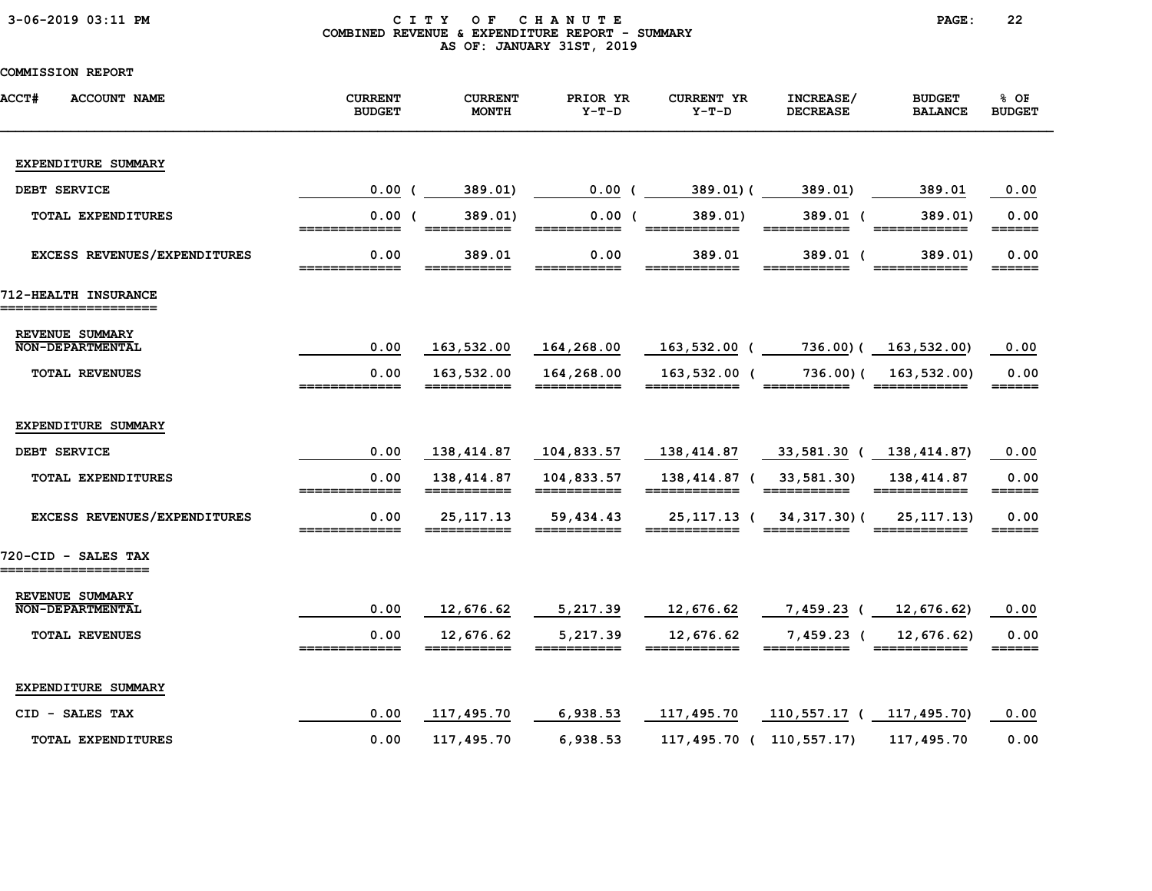### 3-06-2019 03:11 PM C I T Y O F C H A N U T E PAGE: 22 COMBINED REVENUE & EXPENDITURE REPORT - SUMMARY AS OF: JANUARY 31ST, 2019

| <b>ACCT#</b><br><b>ACCOUNT NAME</b>        | <b>CURRENT</b><br><b>BUDGET</b>                                                                                                                                                                                                                                                                                                                                                                                                          | <b>CURRENT</b><br><b>MONTH</b>                                                                                                                                                                                                                                                                                                                                                                                                                                                                                                                       | PRIOR YR<br>$Y-T-D$                                                                                                                                                                                                                                                                                                                                                                                                                             | <b>CURRENT YR</b><br>$Y-T-D$ | INCREASE/<br><b>DECREASE</b> | <b>BUDGET</b><br><b>BALANCE</b>                                                                                                                                                                                                                                                                                                                                                                                                                   | 8 OF<br><b>BUDGET</b> |
|--------------------------------------------|------------------------------------------------------------------------------------------------------------------------------------------------------------------------------------------------------------------------------------------------------------------------------------------------------------------------------------------------------------------------------------------------------------------------------------------|------------------------------------------------------------------------------------------------------------------------------------------------------------------------------------------------------------------------------------------------------------------------------------------------------------------------------------------------------------------------------------------------------------------------------------------------------------------------------------------------------------------------------------------------------|-------------------------------------------------------------------------------------------------------------------------------------------------------------------------------------------------------------------------------------------------------------------------------------------------------------------------------------------------------------------------------------------------------------------------------------------------|------------------------------|------------------------------|---------------------------------------------------------------------------------------------------------------------------------------------------------------------------------------------------------------------------------------------------------------------------------------------------------------------------------------------------------------------------------------------------------------------------------------------------|-----------------------|
| EXPENDITURE SUMMARY                        |                                                                                                                                                                                                                                                                                                                                                                                                                                          |                                                                                                                                                                                                                                                                                                                                                                                                                                                                                                                                                      |                                                                                                                                                                                                                                                                                                                                                                                                                                                 |                              |                              |                                                                                                                                                                                                                                                                                                                                                                                                                                                   |                       |
| DEBT SERVICE                               | 0.00(                                                                                                                                                                                                                                                                                                                                                                                                                                    | 389.01)                                                                                                                                                                                                                                                                                                                                                                                                                                                                                                                                              | $0.00$ (                                                                                                                                                                                                                                                                                                                                                                                                                                        | 389.01) (                    | 389.01)                      | 389.01                                                                                                                                                                                                                                                                                                                                                                                                                                            | 0.00                  |
| TOTAL EXPENDITURES                         | 0.00(                                                                                                                                                                                                                                                                                                                                                                                                                                    | 389.01)<br>___________                                                                                                                                                                                                                                                                                                                                                                                                                                                                                                                               | 0.00(                                                                                                                                                                                                                                                                                                                                                                                                                                           | 389.01)                      | 389.01 (<br>___________      | 389.01)                                                                                                                                                                                                                                                                                                                                                                                                                                           | 0.00<br>======        |
| EXCESS REVENUES/EXPENDITURES               | 0.00                                                                                                                                                                                                                                                                                                                                                                                                                                     | 389.01                                                                                                                                                                                                                                                                                                                                                                                                                                                                                                                                               | 0.00                                                                                                                                                                                                                                                                                                                                                                                                                                            | 389.01                       | 389.01 (                     | 389.01)                                                                                                                                                                                                                                                                                                                                                                                                                                           | 0.00<br>______        |
| 712-HEALTH INSURANCE<br>================== |                                                                                                                                                                                                                                                                                                                                                                                                                                          |                                                                                                                                                                                                                                                                                                                                                                                                                                                                                                                                                      |                                                                                                                                                                                                                                                                                                                                                                                                                                                 |                              |                              |                                                                                                                                                                                                                                                                                                                                                                                                                                                   |                       |
| REVENUE SUMMARY<br><b>NON-DEPARTMENTAL</b> | 0.00                                                                                                                                                                                                                                                                                                                                                                                                                                     | 163,532.00                                                                                                                                                                                                                                                                                                                                                                                                                                                                                                                                           | 164,268.00                                                                                                                                                                                                                                                                                                                                                                                                                                      | 163,532.00 (                 |                              | 736.00) ( 163,532.00)                                                                                                                                                                                                                                                                                                                                                                                                                             | 0.00                  |
| <b>TOTAL REVENUES</b>                      | 0.00<br>=============                                                                                                                                                                                                                                                                                                                                                                                                                    | 163,532.00<br>===========                                                                                                                                                                                                                                                                                                                                                                                                                                                                                                                            | 164,268.00<br>___________                                                                                                                                                                                                                                                                                                                                                                                                                       | 163,532.00 (<br>============ | 736.00)(<br>===========      | 163,532.00)<br>-------------                                                                                                                                                                                                                                                                                                                                                                                                                      | 0.00<br>======        |
| EXPENDITURE SUMMARY                        |                                                                                                                                                                                                                                                                                                                                                                                                                                          |                                                                                                                                                                                                                                                                                                                                                                                                                                                                                                                                                      |                                                                                                                                                                                                                                                                                                                                                                                                                                                 |                              |                              |                                                                                                                                                                                                                                                                                                                                                                                                                                                   |                       |
| DEBT SERVICE                               | 0.00                                                                                                                                                                                                                                                                                                                                                                                                                                     | 138,414.87                                                                                                                                                                                                                                                                                                                                                                                                                                                                                                                                           | 104,833.57                                                                                                                                                                                                                                                                                                                                                                                                                                      | 138,414.87                   | 33,581.30 ( 138,414.87)      |                                                                                                                                                                                                                                                                                                                                                                                                                                                   | 0.00                  |
| TOTAL EXPENDITURES                         | 0.00<br>=============                                                                                                                                                                                                                                                                                                                                                                                                                    | 138,414.87<br>$\begin{array}{c} \textcolor{red}{\textbf{1}} \textcolor{red}{\textbf{2}} \textcolor{red}{\textbf{3}} \textcolor{red}{\textbf{3}} \textcolor{red}{\textbf{4}} \textcolor{red}{\textbf{5}} \textcolor{red}{\textbf{6}} \textcolor{red}{\textbf{6}} \textcolor{red}{\textbf{7}} \textcolor{red}{\textbf{8}} \textcolor{red}{\textbf{9}} \textcolor{red}{\textbf{1}} \textcolor{red}{\textbf{1}} \textcolor{red}{\textbf{1}} \textcolor{red}{\textbf{1}} \textcolor{red}{\textbf{1}} \textcolor{red}{\textbf{1}} \textcolor{red}{\textbf$ | 104,833.57                                                                                                                                                                                                                                                                                                                                                                                                                                      | 138,414.87 (<br>============ | 33,581.30)                   | 138,414.87<br>$\begin{array}{cccccccccc} \texttt{m} & \texttt{m} & \texttt{m} & \texttt{m} & \texttt{m} & \texttt{m} & \texttt{m} & \texttt{m} & \texttt{m} & \texttt{m} & \texttt{m} & \texttt{m} & \texttt{m} & \texttt{m} & \texttt{m} & \texttt{m} & \texttt{m} & \texttt{m} & \texttt{m} & \texttt{m} & \texttt{m} & \texttt{m} & \texttt{m} & \texttt{m} & \texttt{m} & \texttt{m} & \texttt{m} & \texttt{m} & \texttt{m} & \texttt{m} & \$ | 0.00                  |
| EXCESS REVENUES/EXPENDITURES               | 0.00                                                                                                                                                                                                                                                                                                                                                                                                                                     | 25, 117. 13                                                                                                                                                                                                                                                                                                                                                                                                                                                                                                                                          | 59,434.43                                                                                                                                                                                                                                                                                                                                                                                                                                       | 25,117.13 (                  | 34, 317. 30) (               | 25, 117. 13)                                                                                                                                                                                                                                                                                                                                                                                                                                      | 0.00<br>======        |
| 720-CID - SALES TAX<br>=================== |                                                                                                                                                                                                                                                                                                                                                                                                                                          |                                                                                                                                                                                                                                                                                                                                                                                                                                                                                                                                                      |                                                                                                                                                                                                                                                                                                                                                                                                                                                 |                              |                              |                                                                                                                                                                                                                                                                                                                                                                                                                                                   |                       |
| REVENUE SUMMARY<br><b>NON-DEPARTMENTAL</b> | 0.00                                                                                                                                                                                                                                                                                                                                                                                                                                     | 12,676.62                                                                                                                                                                                                                                                                                                                                                                                                                                                                                                                                            | 5,217.39                                                                                                                                                                                                                                                                                                                                                                                                                                        | 12,676.62                    | 7,459.23 (                   | 12,676.62)                                                                                                                                                                                                                                                                                                                                                                                                                                        | 0.00                  |
| <b>TOTAL REVENUES</b>                      | 0.00<br>$\begin{array}{c} \texttt{m} = \texttt{m} = \texttt{m} = \texttt{m} = \texttt{m} = \texttt{m} = \texttt{m} = \texttt{m} = \texttt{m} = \texttt{m} = \texttt{m} = \texttt{m} = \texttt{m} = \texttt{m} = \texttt{m} = \texttt{m} = \texttt{m} = \texttt{m} = \texttt{m} = \texttt{m} = \texttt{m} = \texttt{m} = \texttt{m} = \texttt{m} = \texttt{m} = \texttt{m} = \texttt{m} = \texttt{m} = \texttt{m} = \texttt{m} = \texttt$ | 12,676.62                                                                                                                                                                                                                                                                                                                                                                                                                                                                                                                                            | 5,217.39<br>$\begin{array}{cccccccccc} \textbf{m} & \textbf{m} & \textbf{m} & \textbf{m} & \textbf{m} & \textbf{m} & \textbf{m} & \textbf{m} & \textbf{m} & \textbf{m} & \textbf{m} & \textbf{m} & \textbf{m} & \textbf{m} & \textbf{m} & \textbf{m} & \textbf{m} & \textbf{m} & \textbf{m} & \textbf{m} & \textbf{m} & \textbf{m} & \textbf{m} & \textbf{m} & \textbf{m} & \textbf{m} & \textbf{m} & \textbf{m} & \textbf{m} & \textbf{m} & \$ | 12,676.62<br>============    | $7,459.23$ (                 | 12,676.62)<br>============                                                                                                                                                                                                                                                                                                                                                                                                                        | 0.00<br>======        |
| EXPENDITURE SUMMARY                        |                                                                                                                                                                                                                                                                                                                                                                                                                                          |                                                                                                                                                                                                                                                                                                                                                                                                                                                                                                                                                      |                                                                                                                                                                                                                                                                                                                                                                                                                                                 |                              |                              |                                                                                                                                                                                                                                                                                                                                                                                                                                                   |                       |
| CID - SALES TAX                            | 0.00                                                                                                                                                                                                                                                                                                                                                                                                                                     | 117,495.70                                                                                                                                                                                                                                                                                                                                                                                                                                                                                                                                           | 6,938.53                                                                                                                                                                                                                                                                                                                                                                                                                                        | 117,495.70                   | 110,557.17 (                 | 117,495.70)                                                                                                                                                                                                                                                                                                                                                                                                                                       | 0.00                  |
| <b>TOTAL EXPENDITURES</b>                  | 0.00                                                                                                                                                                                                                                                                                                                                                                                                                                     | 117,495.70                                                                                                                                                                                                                                                                                                                                                                                                                                                                                                                                           | 6,938.53                                                                                                                                                                                                                                                                                                                                                                                                                                        | 117,495.70 ( 110,557.17)     |                              | 117,495.70                                                                                                                                                                                                                                                                                                                                                                                                                                        | 0.00                  |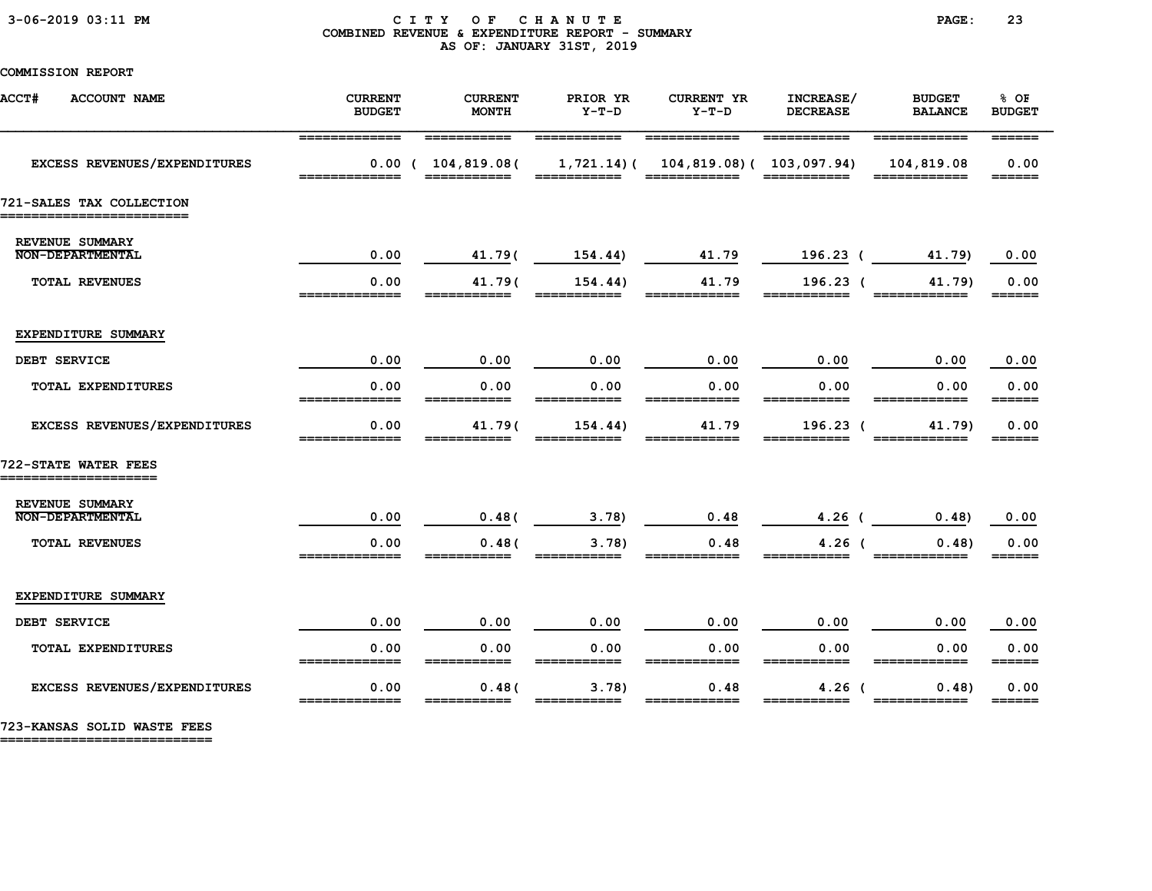#### 3-06-2019 03:11 PM C I T Y O F C H A N U T E PAGE: 23 COMBINED REVENUE & EXPENDITURE REPORT - SUMMARY AS OF: JANUARY 31ST, 2019

COMMISSION REPORT

| <b>ACCT#</b><br><b>ACCOUNT NAME</b>          | <b>CURRENT</b><br><b>BUDGET</b> | <b>CURRENT</b><br><b>MONTH</b>  | PRIOR YR<br>$Y-T-D$ | <b>CURRENT YR</b><br>$Y-T-D$                               | INCREASE/<br><b>DECREASE</b> | <b>BUDGET</b><br><b>BALANCE</b>            | % OF<br><b>BUDGET</b>               |
|----------------------------------------------|---------------------------------|---------------------------------|---------------------|------------------------------------------------------------|------------------------------|--------------------------------------------|-------------------------------------|
| EXCESS REVENUES/EXPENDITURES                 | _________                       | ___________<br>0.00(104,819.08( | ------              | ____________<br>$1,721.14$ ( $104,819.08$ ( $103,097.94$ ) | ___________<br>____________  | ____________<br>104,819.08<br>============ | 0.00<br>______                      |
| 721-SALES TAX COLLECTION                     |                                 |                                 |                     |                                                            |                              |                                            |                                     |
| REVENUE SUMMARY<br><b>NON-DEPARTMENTAL</b>   | 0.00                            | 41.79(                          | 154.44)             | 41.79                                                      | 196.23 (                     | 41.79)                                     | 0.00                                |
| TOTAL REVENUES                               | 0.00<br>_________               | 41.79(                          | 154.44)             | 41.79                                                      | $196.23$ (                   | 41.79)                                     | 0.00<br>______                      |
| EXPENDITURE SUMMARY                          |                                 |                                 |                     |                                                            |                              |                                            |                                     |
| DEBT SERVICE                                 | 0.00                            | 0.00                            | 0.00                | 0.00                                                       | 0.00                         | 0.00                                       | 0.00                                |
| TOTAL EXPENDITURES                           | 0.00                            | 0.00                            | 0.00                | 0.00                                                       | 0.00<br>__________           | 0.00                                       | 0.00<br>======                      |
| EXCESS REVENUES/EXPENDITURES                 | 0.00                            | 41.79(                          | 154.44)             | 41.79                                                      | 196.23 (                     | 41.79)                                     | 0.00                                |
| 722-STATE WATER FEES<br>==================== |                                 |                                 |                     |                                                            |                              |                                            |                                     |
| REVENUE SUMMARY<br><b>NON-DEPARTMENTAL</b>   | 0.00                            | 0.48(                           | 3.78)               | 0.48                                                       | $4.26$ (                     | 0.48)                                      | 0.00                                |
| <b>TOTAL REVENUES</b>                        | 0.00<br>-------------           | 0.48(                           | 3.78                | 0.48                                                       | $4.26$ (                     | 0.48                                       | 0.00<br>======                      |
| EXPENDITURE SUMMARY                          |                                 |                                 |                     |                                                            |                              |                                            |                                     |
| DEBT SERVICE                                 | 0.00                            | 0.00                            | 0.00                | 0.00                                                       | 0.00                         | 0.00                                       | 0.00                                |
| TOTAL EXPENDITURES                           | 0.00<br>=============           | 0.00<br>===========             | 0.00<br>___________ | 0.00<br>============                                       | 0.00<br>===========          | 0.00<br>============                       | 0.00<br>$=$ $=$ $=$ $=$ $=$ $=$ $=$ |
| EXCESS REVENUES/EXPENDITURES                 | 0.00<br>=============           | 0.48(<br>===========            | 3.78                | 0.48<br>_______                                            | $4.26$ (<br>===========      | 0.48                                       | 0.00<br>$=$ $=$ $=$ $=$ $=$ $=$ $=$ |

723-KANSAS SOLID WASTE FEES

===========================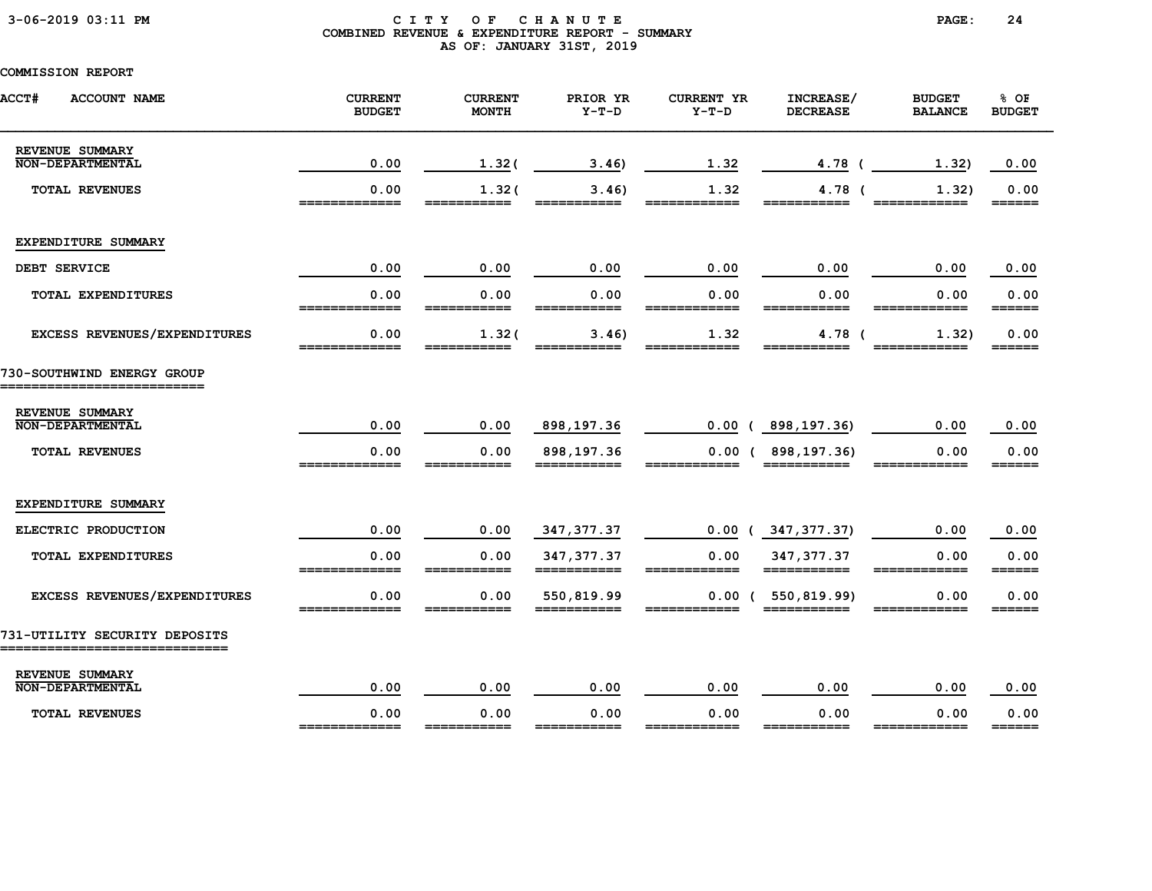### 3-06-2019 03:11 PM C I T Y O F C H A N U T E PAGE: 24 COMBINED REVENUE & EXPENDITURE REPORT - SUMMARY AS OF: JANUARY 31ST, 2019

| <b>ACCT#</b><br><b>ACCOUNT NAME</b>             | <b>CURRENT</b><br><b>BUDGET</b> | <b>CURRENT</b><br><b>MONTH</b> | PRIOR YR<br>$Y-T-D$ | <b>CURRENT YR</b><br>$Y-T-D$ | INCREASE/<br><b>DECREASE</b> | <b>BUDGET</b><br><b>BALANCE</b> | % OF<br><b>BUDGET</b>       |
|-------------------------------------------------|---------------------------------|--------------------------------|---------------------|------------------------------|------------------------------|---------------------------------|-----------------------------|
| REVENUE SUMMARY<br><b>NON-DEPARTMENTAL</b>      | 0.00                            | 1.32(                          | 3.46                | 1.32                         | 4.78 (                       | 1.32)                           | 0.00                        |
| <b>TOTAL REVENUES</b>                           | 0.00<br>=============           | 1.32(<br>===========           | 3.46<br>________    | 1.32<br>____________         | 4.78 (<br>===========        | 1.32)<br>_________              | 0.00<br>======              |
| EXPENDITURE SUMMARY                             |                                 |                                |                     |                              |                              |                                 |                             |
| DEBT SERVICE                                    | 0.00                            | 0.00                           | 0.00                | 0.00                         | 0.00                         | 0.00                            | 0.00                        |
| TOTAL EXPENDITURES                              | 0.00<br>=============           | 0.00<br>===========            | 0.00<br>=========== | 0.00<br>============         | 0.00<br>===========          | 0.00<br>============            | 0.00<br>$=$ $=$ $=$ $=$ $=$ |
| EXCESS REVENUES/EXPENDITURES                    | 0.00<br>_____________           | 1.32(<br>--------              | 3.46<br>-------     | 1.32<br>-------              | $4.78$ (<br>--------         | 1.32)                           | 0.00<br>______              |
| 730-SOUTHWIND ENERGY GROUP<br>================= |                                 |                                |                     |                              |                              |                                 |                             |
| REVENUE SUMMARY<br><b>NON-DEPARTMENTAL</b>      | 0.00                            | 0.00                           | 898,197.36          | 0.00                         | (898, 197.36)                | 0.00                            | 0.00                        |
| <b>TOTAL REVENUES</b>                           | 0.00                            | 0.00                           | 898,197.36          | 0.00(                        | 898,197.36)                  | 0.00                            | 0.00<br>______              |
| EXPENDITURE SUMMARY                             |                                 |                                |                     |                              |                              |                                 |                             |
| ELECTRIC PRODUCTION                             | 0.00                            | 0.00                           | 347, 377.37         | 0.00                         | 347,377.37)                  | 0.00                            | 0.00                        |
| TOTAL EXPENDITURES                              | 0.00                            | 0.00                           | 347, 377.37         | 0.00                         | 347, 377.37                  | 0.00                            | 0.00<br>======              |
| EXCESS REVENUES/EXPENDITURES                    | 0.00                            | 0.00                           | 550,819.99          |                              | $0.00$ ( 550,819.99)         | 0.00                            | 0.00<br>======              |
| 731-UTILITY SECURITY DEPOSITS                   |                                 |                                |                     |                              |                              |                                 |                             |
| REVENUE SUMMARY<br><b>NON-DEPARTMENTAL</b>      | 0.00                            | 0.00                           | 0.00                | 0.00                         | 0.00                         | 0.00                            | 0.00                        |
| <b>TOTAL REVENUES</b>                           | 0.00<br>_____________           | 0.00<br>______                 | 0.00<br>_____       | 0.00<br>____________         | 0.00<br>=======              | 0.00<br>____________            | 0.00<br>$=$ $=$ $=$ $=$ $=$ |
|                                                 |                                 |                                |                     |                              |                              |                                 |                             |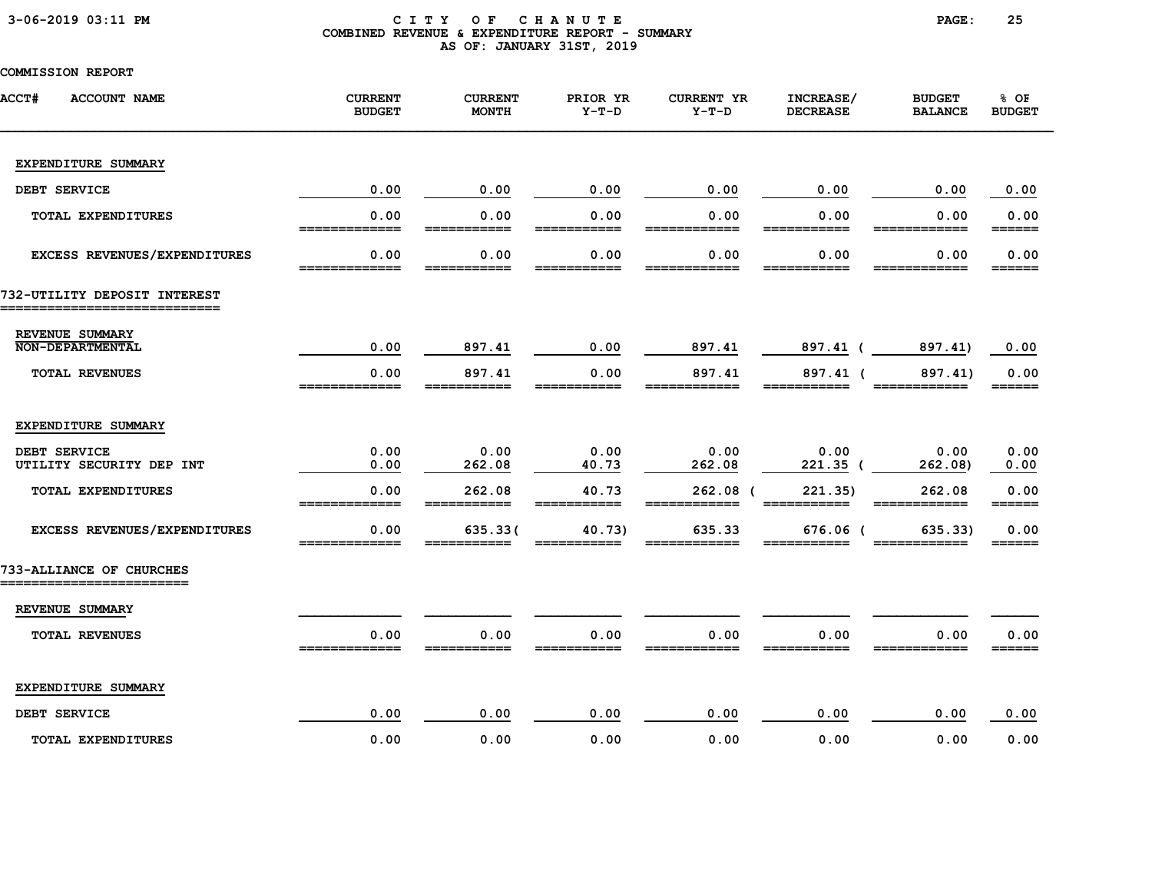### 3-06-2019 03:11 PM C I T Y O F C H A N U T E PAGE: 25 COMBINED REVENUE & EXPENDITURE REPORT - SUMMARY AS OF: JANUARY 31ST, 2019

| <b>ACCT#</b><br><b>ACCOUNT NAME</b>        | <b>CURRENT</b><br><b>BUDGET</b> | <b>CURRENT</b><br><b>MONTH</b> | PRIOR YR<br>$Y-T-D$  | <b>CURRENT YR</b><br>$Y-T-D$ | INCREASE/<br><b>DECREASE</b> | <b>BUDGET</b><br><b>BALANCE</b> | 8 OF<br><b>BUDGET</b> |
|--------------------------------------------|---------------------------------|--------------------------------|----------------------|------------------------------|------------------------------|---------------------------------|-----------------------|
| EXPENDITURE SUMMARY                        |                                 |                                |                      |                              |                              |                                 |                       |
| DEBT SERVICE                               | 0.00                            | 0.00                           | 0.00                 | 0.00                         | 0.00                         | 0.00                            | 0.00                  |
| TOTAL EXPENDITURES                         | 0.00                            | 0.00                           | 0.00                 | 0.00                         | 0.00<br>____                 | 0.00                            | 0.00<br>======        |
| EXCESS REVENUES/EXPENDITURES               | 0.00                            | 0.00                           | 0.00                 | 0.00                         | 0.00                         | 0.00                            | 0.00<br>______        |
| 732-UTILITY DEPOSIT INTEREST               |                                 |                                |                      |                              |                              |                                 |                       |
| REVENUE SUMMARY<br><b>NON-DEPARTMENTAL</b> | 0.00                            | 897.41                         | 0.00                 | 897.41                       | 897.41 (                     | 897.41)                         | 0.00                  |
| TOTAL REVENUES                             | 0.00<br>=====                   | 897.41                         | 0.00                 | 897.41                       | 897.41 (                     | 897.41)                         | 0.00<br>======        |
| EXPENDITURE SUMMARY                        |                                 |                                |                      |                              |                              |                                 |                       |
| DEBT SERVICE<br>UTILITY SECURITY DEP INT   | 0.00<br>0.00                    | 0.00<br>262.08                 | 0.00<br>40.73        | 0.00<br>262.08               | 0.00<br>$221.35$ (           | 0.00<br>262.08)                 | 0.00<br>0.00          |
| TOTAL EXPENDITURES                         | 0.00<br>=============           | 262.08<br>===========          | 40.73<br>=========== | $262.08$ (<br>============   | 221.35)<br>===========       | 262.08<br>============          | 0.00<br>======        |
| EXCESS REVENUES/EXPENDITURES               | 0.00<br>=============           | 635.33(                        | 40.73)               | 635.33                       | 676.06 (                     | 635.33)                         | 0.00<br>======        |
| 733-ALLIANCE OF CHURCHES                   |                                 |                                |                      |                              |                              |                                 |                       |
| REVENUE SUMMARY                            |                                 |                                |                      |                              |                              |                                 |                       |
| <b>TOTAL REVENUES</b>                      | 0.00                            | 0.00                           | 0.00                 | 0.00                         | 0.00                         | 0.00                            | 0.00<br>______        |
| EXPENDITURE SUMMARY                        |                                 |                                |                      |                              |                              |                                 |                       |
| DEBT SERVICE                               | 0.00                            | 0.00                           | 0.00                 | 0.00                         | 0.00                         | 0.00                            | 0.00                  |
| <b>TOTAL EXPENDITURES</b>                  | 0.00                            | 0.00                           | 0.00                 | 0.00                         | 0.00                         | 0.00                            | 0.00                  |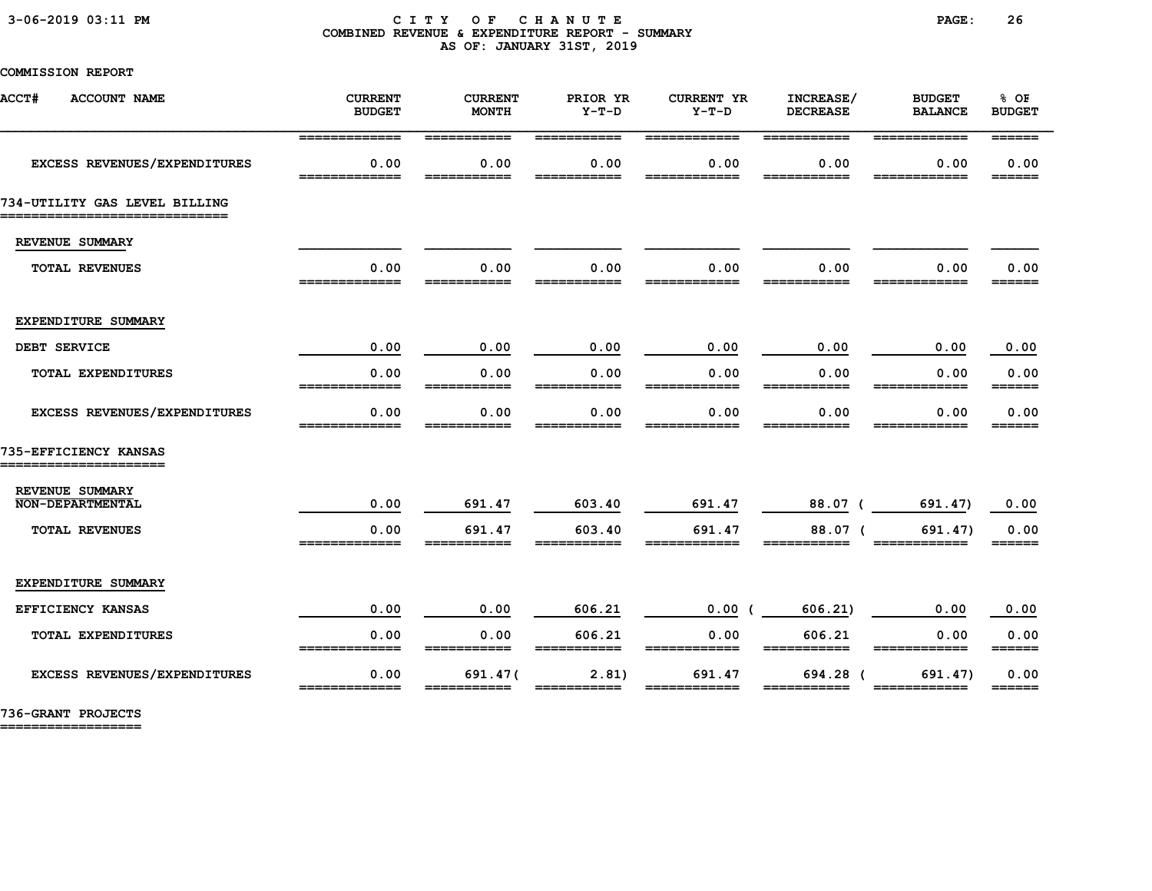#### 3-06-2019 03:11 PM C I T Y O F C H A N U T E PAGE: 26 COMBINED REVENUE & EXPENDITURE REPORT - SUMMARY AS OF: JANUARY 31ST, 2019

### COMMISSION REPORT

| <b>ACCT#</b><br><b>ACCOUNT NAME</b>                             | <b>CURRENT</b><br><b>BUDGET</b> | <b>CURRENT</b><br><b>MONTH</b> | PRIOR YR<br>$Y-T-D$   | <b>CURRENT YR</b><br>$Y-T-D$ | INCREASE/<br><b>DECREASE</b> | <b>BUDGET</b><br><b>BALANCE</b> | % OF<br><b>BUDGET</b>           |
|-----------------------------------------------------------------|---------------------------------|--------------------------------|-----------------------|------------------------------|------------------------------|---------------------------------|---------------------------------|
| EXCESS REVENUES/EXPENDITURES                                    | =============<br>0.00           | ===========<br>0.00            | ===========<br>0.00   | ============<br>0.00         | ===========<br>0.00          | ============<br>0.00            | $=$ $=$ $=$ $=$ $=$ $=$<br>0.00 |
|                                                                 |                                 |                                |                       |                              |                              |                                 | ______                          |
| 734-UTILITY GAS LEVEL BILLING<br>============================== |                                 |                                |                       |                              |                              |                                 |                                 |
| REVENUE SUMMARY                                                 |                                 |                                |                       |                              |                              |                                 |                                 |
| <b>TOTAL REVENUES</b>                                           | 0.00<br>=============           | 0.00<br>===========            | 0.00<br>===========   | 0.00<br>============         | 0.00<br>===========          | 0.00<br>============            | 0.00<br>======                  |
|                                                                 |                                 |                                |                       |                              |                              |                                 |                                 |
| EXPENDITURE SUMMARY<br>DEBT SERVICE                             | 0.00                            | 0.00                           | 0.00                  | 0.00                         | 0.00                         | 0.00                            | 0.00                            |
| TOTAL EXPENDITURES                                              | 0.00                            | 0.00                           | 0.00                  | 0.00                         | 0.00                         | 0.00                            | 0.00                            |
|                                                                 |                                 |                                |                       |                              |                              |                                 | ======                          |
| EXCESS REVENUES/EXPENDITURES                                    | 0.00<br>______                  | 0.00<br>------                 | 0.00                  | 0.00                         | 0.00<br>------               | 0.00                            | 0.00<br>======                  |
| 735-EFFICIENCY KANSAS<br>______________________                 |                                 |                                |                       |                              |                              |                                 |                                 |
| REVENUE SUMMARY<br><b>NON-DEPARTMENTAL</b>                      | 0.00                            | 691.47                         | 603.40                | 691.47                       | 88.07 (                      | 691.47)                         | 0.00                            |
| TOTAL REVENUES                                                  | 0.00                            | 691.47                         | 603.40                | 691.47                       | 88.07 (                      | 691.47)                         | 0.00                            |
|                                                                 | -------------                   |                                |                       |                              |                              |                                 | ======                          |
| EXPENDITURE SUMMARY                                             |                                 |                                |                       |                              |                              |                                 |                                 |
| <b>EFFICIENCY KANSAS</b>                                        | 0.00                            | 0.00                           | 606.21                | 0.00(                        | 606.21                       | 0.00                            | 0.00                            |
| TOTAL EXPENDITURES                                              | 0.00<br>_____________           | 0.00<br>===========            | 606.21<br>=========== | 0.00<br>____________         | 606.21<br>===========        | 0.00<br>____________            | 0.00<br>======                  |
| <b>EXCESS REVENUES/EXPENDITURES</b>                             | 0.00                            | 691.47(                        | 2.81)                 | 691.47                       | 694.28 (                     | 691.47)                         | 0.00<br>______                  |

736-GRANT PROJECTS

==================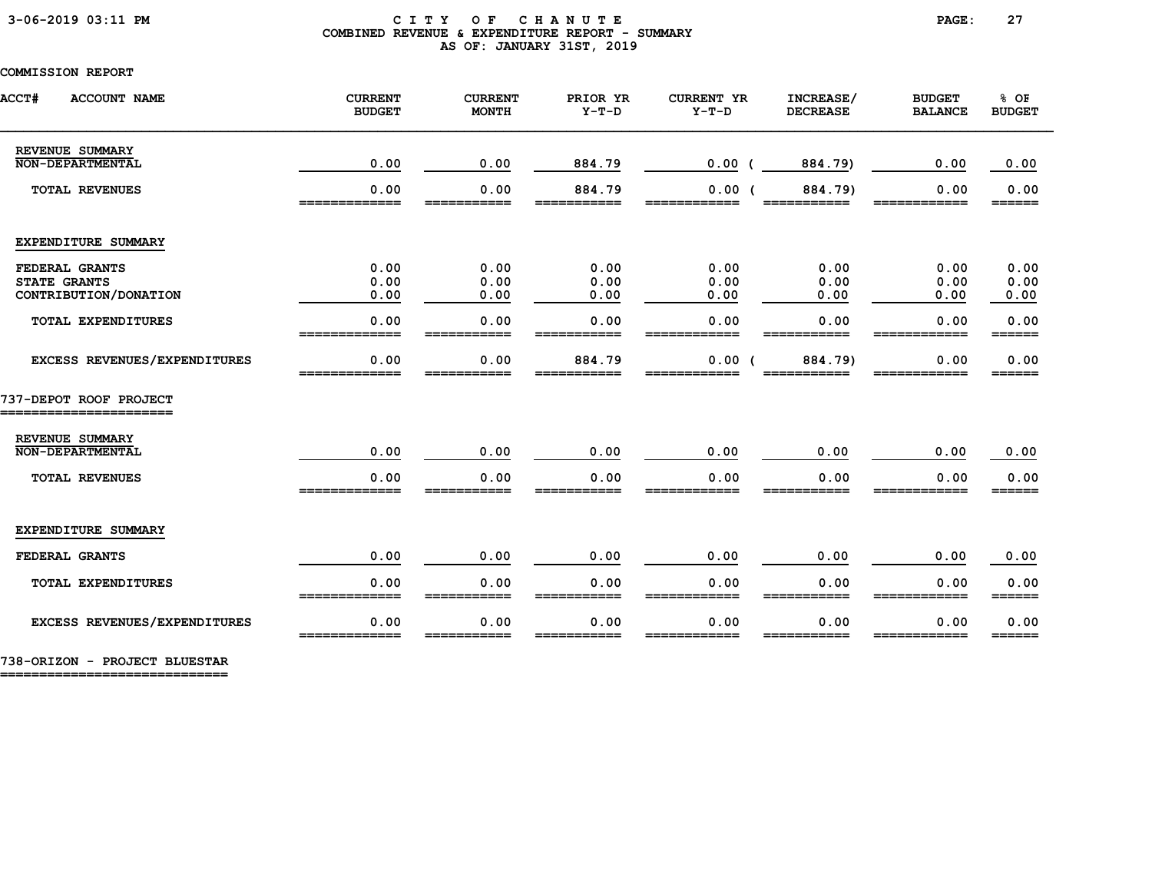#### 3-06-2019 03:11 PM C I T Y O F C H A N U T E PAGE: 27 COMBINED REVENUE & EXPENDITURE REPORT - SUMMARY AS OF: JANUARY 31ST, 2019

### COMMISSION REPORT

| <b>ACCT#</b><br><b>ACCOUNT NAME</b>                            | <b>CURRENT</b><br><b>BUDGET</b> | <b>CURRENT</b><br><b>MONTH</b> | PRIOR YR<br>$Y-T-D$   | <b>CURRENT YR</b><br>$Y-T-D$ | INCREASE/<br><b>DECREASE</b> | <b>BUDGET</b><br><b>BALANCE</b> | % OF<br><b>BUDGET</b>                                             |
|----------------------------------------------------------------|---------------------------------|--------------------------------|-----------------------|------------------------------|------------------------------|---------------------------------|-------------------------------------------------------------------|
| REVENUE SUMMARY<br><b>NON-DEPARTMENTAL</b>                     | 0.00                            | 0.00                           | 884.79                | 0.00                         | 884.79)                      | 0.00                            | 0.00                                                              |
| <b>TOTAL REVENUES</b>                                          | 0.00<br>=========               | 0.00<br>========               | 884.79<br>=========== | 0.00(<br>============        | 884.79)<br>===========       | 0.00<br>------------            | 0.00<br>======                                                    |
| EXPENDITURE SUMMARY                                            |                                 |                                |                       |                              |                              |                                 |                                                                   |
| FEDERAL GRANTS<br><b>STATE GRANTS</b><br>CONTRIBUTION/DONATION | 0.00<br>0.00<br>0.00            | 0.00<br>0.00<br>0.00           | 0.00<br>0.00<br>0.00  | 0.00<br>0.00<br>0.00         | 0.00<br>0.00<br>0.00         | 0.00<br>0.00<br>0.00            | 0.00<br>0.00<br>0.00                                              |
| <b>TOTAL EXPENDITURES</b>                                      | 0.00<br>_____________           | 0.00<br>___________            | 0.00<br>___________   | 0.00<br>------------         | 0.00<br>___________          | 0.00<br>____________            | 0.00<br>$\qquad \qquad \equiv \equiv \equiv \equiv \equiv \equiv$ |
| EXCESS REVENUES/EXPENDITURES                                   | 0.00                            | 0.00                           | 884.79                | $0.00$ (                     | 884.79)                      | 0.00                            | 0.00                                                              |
| 737-DEPOT ROOF PROJECT<br>=======================              |                                 |                                |                       |                              |                              |                                 |                                                                   |
| REVENUE SUMMARY<br><b>NON-DEPARTMENTAL</b>                     | 0.00                            | 0.00                           | 0.00                  | 0.00                         | 0.00                         | 0.00                            | 0.00                                                              |
| <b>TOTAL REVENUES</b>                                          | 0.00                            | 0.00                           | 0.00                  | 0.00                         | 0.00                         | 0.00                            | 0.00<br>======                                                    |
| EXPENDITURE SUMMARY                                            |                                 |                                |                       |                              |                              |                                 |                                                                   |
| FEDERAL GRANTS                                                 | 0.00                            | 0.00                           | 0.00                  | 0.00                         | 0.00                         | 0.00                            | 0.00                                                              |
| TOTAL EXPENDITURES                                             | 0.00                            | 0.00                           | 0.00                  | 0.00                         | 0.00                         | 0.00                            | 0.00<br>======                                                    |
| EXCESS REVENUES/EXPENDITURES                                   | 0.00<br>=============           | 0.00                           | 0.00                  | 0.00                         | 0.00                         | 0.00                            | 0.00<br>$=$ $=$ $=$ $=$ $=$                                       |

738-ORIZON - PROJECT BLUESTAR

=============================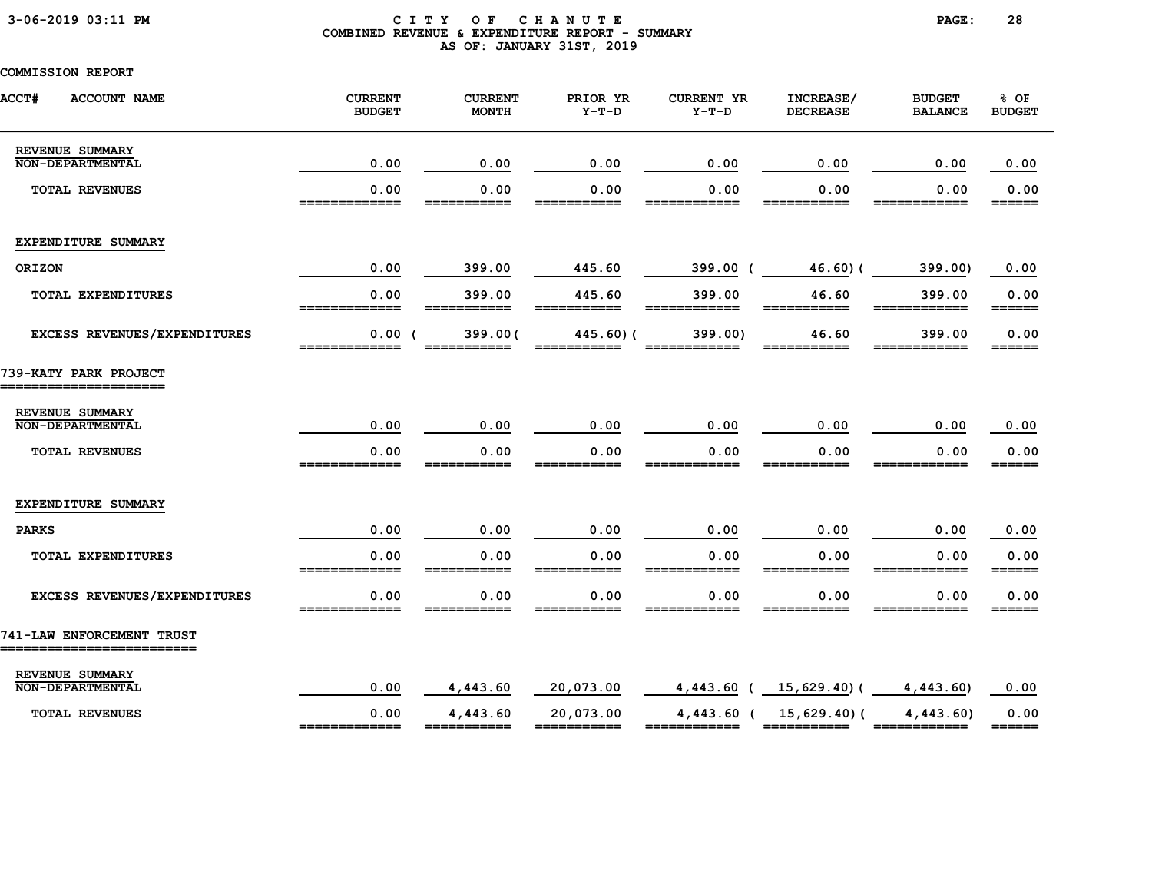### 3-06-2019 03:11 PM C I T Y O F C H A N U T E PAGE: 28 COMBINED REVENUE & EXPENDITURE REPORT - SUMMARY AS OF: JANUARY 31ST, 2019

| <b>ACCT#</b><br><b>ACCOUNT NAME</b>                     | <b>CURRENT</b><br><b>BUDGET</b> | <b>CURRENT</b><br><b>MONTH</b> | PRIOR YR<br>$Y-T-D$      | <b>CURRENT YR</b><br>$Y-T-D$ | INCREASE/<br><b>DECREASE</b>              | <b>BUDGET</b><br><b>BALANCE</b> | % OF<br><b>BUDGET</b>       |
|---------------------------------------------------------|---------------------------------|--------------------------------|--------------------------|------------------------------|-------------------------------------------|---------------------------------|-----------------------------|
| REVENUE SUMMARY<br><b>NON-DEPARTMENTAL</b>              | 0.00                            | 0.00                           | 0.00                     | 0.00                         | 0.00                                      | 0.00                            | 0.00                        |
| <b>TOTAL REVENUES</b>                                   | 0.00                            | 0.00<br>____                   | 0.00                     | 0.00<br>---                  | 0.00<br>----                              | 0.00                            | 0.00<br>======              |
| EXPENDITURE SUMMARY                                     |                                 |                                |                          |                              |                                           |                                 |                             |
| ORIZON                                                  | 0.00                            | 399.00                         | 445.60                   | 399.00 (                     | 46.60(                                    | 399.00)                         | 0.00                        |
| TOTAL EXPENDITURES                                      | 0.00<br>_____________           | 399.00<br>===========          | 445.60<br>===========    | 399.00<br>============       | 46.60<br>===========                      | 399.00<br>============          | 0.00<br>======              |
| EXCESS REVENUES/EXPENDITURES                            | 0.00(<br>=============          | 399.00(<br>------------        | 445.60) (<br>___________ | 399.00                       | 46.60<br>___________                      | 399.00                          | 0.00<br>======              |
| 739-KATY PARK PROJECT                                   |                                 |                                |                          |                              |                                           |                                 |                             |
| REVENUE SUMMARY                                         |                                 |                                |                          |                              |                                           |                                 |                             |
| <b>NON-DEPARTMENTAL</b>                                 | 0.00                            | 0.00                           | 0.00                     | 0.00                         | 0.00                                      | 0.00                            | 0.00                        |
| <b>TOTAL REVENUES</b>                                   | 0.00<br>_____________           | 0.00<br>___________            | 0.00                     | 0.00                         | 0.00                                      | 0.00<br>-------------           | 0.00<br>______              |
| EXPENDITURE SUMMARY                                     |                                 |                                |                          |                              |                                           |                                 |                             |
| <b>PARKS</b>                                            | 0.00                            | 0.00                           | 0.00                     | 0.00                         | 0.00                                      | 0.00                            | 0.00                        |
| <b>TOTAL EXPENDITURES</b>                               | 0.00                            | 0.00                           | 0.00                     | 0.00                         | 0.00                                      | 0.00                            | 0.00<br>======              |
| EXCESS REVENUES/EXPENDITURES                            | 0.00                            | 0.00                           | 0.00                     | 0.00                         | 0.00                                      | 0.00                            | 0.00<br>======              |
| 741-LAW ENFORCEMENT TRUST<br>__________________________ |                                 |                                |                          |                              |                                           |                                 |                             |
| REVENUE SUMMARY<br><b>NON-DEPARTMENTAL</b>              | 0.00                            | 4,443.60                       | 20,073.00                |                              | $4,443.60$ ( $15,629.40$ ) ( $4,443.60$ ) |                                 | 0.00                        |
| <b>TOTAL REVENUES</b>                                   | 0.00<br>_____________           | 4,443.60                       | 20,073.00<br>=========== | ============                 | 4,443.60 ( 15,629.40) (<br>===========    | 4,443.60<br>============        | 0.00<br>$=$ $=$ $=$ $=$ $=$ |
|                                                         |                                 |                                |                          |                              |                                           |                                 |                             |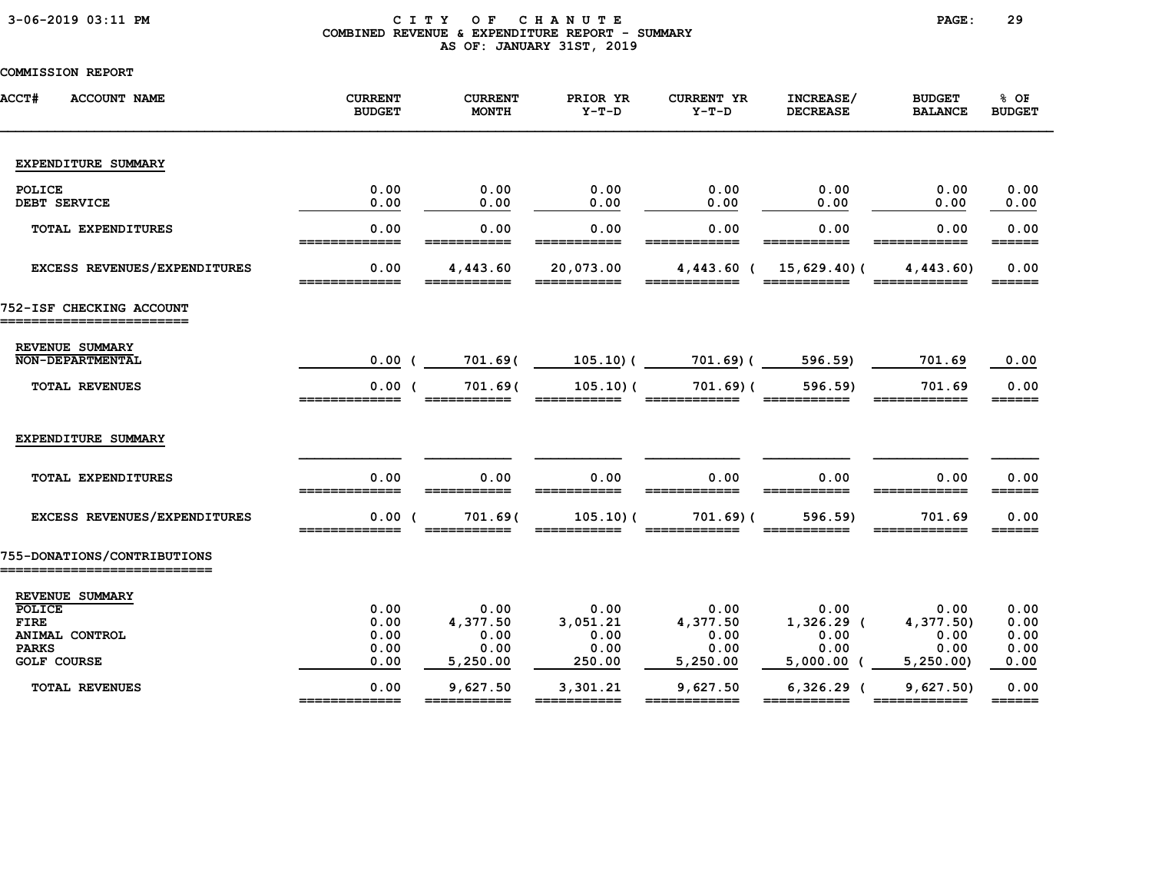### 3-06-2019 03:11 PM C I T Y O F C H A N U T E PAGE: 29 COMBINED REVENUE & EXPENDITURE REPORT - SUMMARY AS OF: JANUARY 31ST, 2019

| <b>ACCT#</b><br><b>ACCOUNT NAME</b>                  | <b>CURRENT</b><br><b>BUDGET</b> | <b>CURRENT</b><br><b>MONTH</b> | PRIOR YR<br>$Y-T-D$                                                                                                                                                                                                                                                                                                                                                                                                                             | <b>CURRENT YR</b><br>$Y-T-D$ | INCREASE/<br><b>DECREASE</b>                                                                                                                                                                                                                                                                                                                                                                                                                        | <b>BUDGET</b><br><b>BALANCE</b> | % OF<br><b>BUDGET</b>           |
|------------------------------------------------------|---------------------------------|--------------------------------|-------------------------------------------------------------------------------------------------------------------------------------------------------------------------------------------------------------------------------------------------------------------------------------------------------------------------------------------------------------------------------------------------------------------------------------------------|------------------------------|-----------------------------------------------------------------------------------------------------------------------------------------------------------------------------------------------------------------------------------------------------------------------------------------------------------------------------------------------------------------------------------------------------------------------------------------------------|---------------------------------|---------------------------------|
| EXPENDITURE SUMMARY                                  |                                 |                                |                                                                                                                                                                                                                                                                                                                                                                                                                                                 |                              |                                                                                                                                                                                                                                                                                                                                                                                                                                                     |                                 |                                 |
| POLICE<br>DEBT SERVICE                               | 0.00<br>0.00                    | 0.00<br>0.00                   | 0.00<br>0.00                                                                                                                                                                                                                                                                                                                                                                                                                                    | 0.00<br>0.00                 | 0.00<br>0.00                                                                                                                                                                                                                                                                                                                                                                                                                                        | 0.00<br>0.00                    | 0.00<br>0.00                    |
| <b>TOTAL EXPENDITURES</b>                            | 0.00                            | 0.00                           | 0.00                                                                                                                                                                                                                                                                                                                                                                                                                                            | 0.00                         | 0.00                                                                                                                                                                                                                                                                                                                                                                                                                                                | 0.00                            | 0.00                            |
| EXCESS REVENUES/EXPENDITURES                         | 0.00<br>=============           | 4,443.60<br>___________        | 20,073.00<br>===========                                                                                                                                                                                                                                                                                                                                                                                                                        | $4,443.60$ (                 | $15,629.40$ (<br>===========                                                                                                                                                                                                                                                                                                                                                                                                                        | 4,443.60<br>____________        | 0.00<br>$=$ $=$ $=$ $=$ $=$     |
| 752-ISF CHECKING ACCOUNT                             |                                 |                                |                                                                                                                                                                                                                                                                                                                                                                                                                                                 |                              |                                                                                                                                                                                                                                                                                                                                                                                                                                                     |                                 |                                 |
| REVENUE SUMMARY<br><b>NON-DEPARTMENTAL</b>           | 0.00(                           | 701.69(                        | 105.10) (                                                                                                                                                                                                                                                                                                                                                                                                                                       | 701.69)(                     | 596.59)                                                                                                                                                                                                                                                                                                                                                                                                                                             | 701.69                          | 0.00                            |
| <b>TOTAL REVENUES</b>                                | 0.00(<br>_____________          | 701.69(                        | 105.10(<br>___________                                                                                                                                                                                                                                                                                                                                                                                                                          | 701.69(                      | 596.59)                                                                                                                                                                                                                                                                                                                                                                                                                                             | 701.69<br>____________          | 0.00<br>======                  |
| EXPENDITURE SUMMARY                                  |                                 |                                |                                                                                                                                                                                                                                                                                                                                                                                                                                                 |                              |                                                                                                                                                                                                                                                                                                                                                                                                                                                     |                                 |                                 |
| <b>TOTAL EXPENDITURES</b>                            | 0.00<br>=============           | 0.00<br>________               | 0.00                                                                                                                                                                                                                                                                                                                                                                                                                                            | 0.00<br>============         | 0.00                                                                                                                                                                                                                                                                                                                                                                                                                                                | 0.00                            | 0.00<br>$=$ $=$ $=$ $=$ $=$     |
| EXCESS REVENUES/EXPENDITURES                         | 0.00(                           | 701.69(                        | 105.10(                                                                                                                                                                                                                                                                                                                                                                                                                                         | 701.69(                      | 596.59)                                                                                                                                                                                                                                                                                                                                                                                                                                             | 701.69                          | 0.00<br>======                  |
| 755-DONATIONS/CONTRIBUTIONS                          |                                 |                                |                                                                                                                                                                                                                                                                                                                                                                                                                                                 |                              |                                                                                                                                                                                                                                                                                                                                                                                                                                                     |                                 |                                 |
| REVENUE SUMMARY<br>POLICE<br><b>FIRE</b>             | 0.00<br>0.00                    | 0.00<br>4,377.50               | 0.00<br>3,051.21                                                                                                                                                                                                                                                                                                                                                                                                                                | 0.00<br>4,377.50             | 0.00<br>$1,326.29$ (                                                                                                                                                                                                                                                                                                                                                                                                                                | 0.00<br>4,377.50)               | 0.00<br>0.00                    |
| ANIMAL CONTROL<br><b>PARKS</b><br><b>GOLF COURSE</b> | 0.00<br>0.00<br>0.00            | 0.00<br>0.00<br>5,250.00       | 0.00<br>0.00<br>250.00                                                                                                                                                                                                                                                                                                                                                                                                                          | 0.00<br>0.00<br>5,250.00     | 0.00<br>0.00<br>$5,000.00$ (                                                                                                                                                                                                                                                                                                                                                                                                                        | 0.00<br>0.00<br>5,250.00        | 0.00<br>0.00<br>0.00            |
| <b>TOTAL REVENUES</b>                                | 0.00<br>_____________           | 9,627.50<br>===========        | 3,301.21<br>$\begin{array}{cccccccccc} \texttt{m} & \texttt{m} & \texttt{m} & \texttt{m} & \texttt{m} & \texttt{m} & \texttt{m} & \texttt{m} & \texttt{m} & \texttt{m} & \texttt{m} & \texttt{m} & \texttt{m} & \texttt{m} & \texttt{m} & \texttt{m} & \texttt{m} & \texttt{m} & \texttt{m} & \texttt{m} & \texttt{m} & \texttt{m} & \texttt{m} & \texttt{m} & \texttt{m} & \texttt{m} & \texttt{m} & \texttt{m} & \texttt{m} & \texttt{m} & \$ | 9,627.50<br>============     | $6,326.29$ (<br>$\begin{array}{cccccccccc} \texttt{m} & \texttt{m} & \texttt{m} & \texttt{m} & \texttt{m} & \texttt{m} & \texttt{m} & \texttt{m} & \texttt{m} & \texttt{m} & \texttt{m} & \texttt{m} & \texttt{m} & \texttt{m} & \texttt{m} & \texttt{m} & \texttt{m} & \texttt{m} & \texttt{m} & \texttt{m} & \texttt{m} & \texttt{m} & \texttt{m} & \texttt{m} & \texttt{m} & \texttt{m} & \texttt{m} & \texttt{m} & \texttt{m} & \texttt{m} & \$ | 9,627.50<br>============        | 0.00<br>$=$ $=$ $=$ $=$ $=$ $=$ |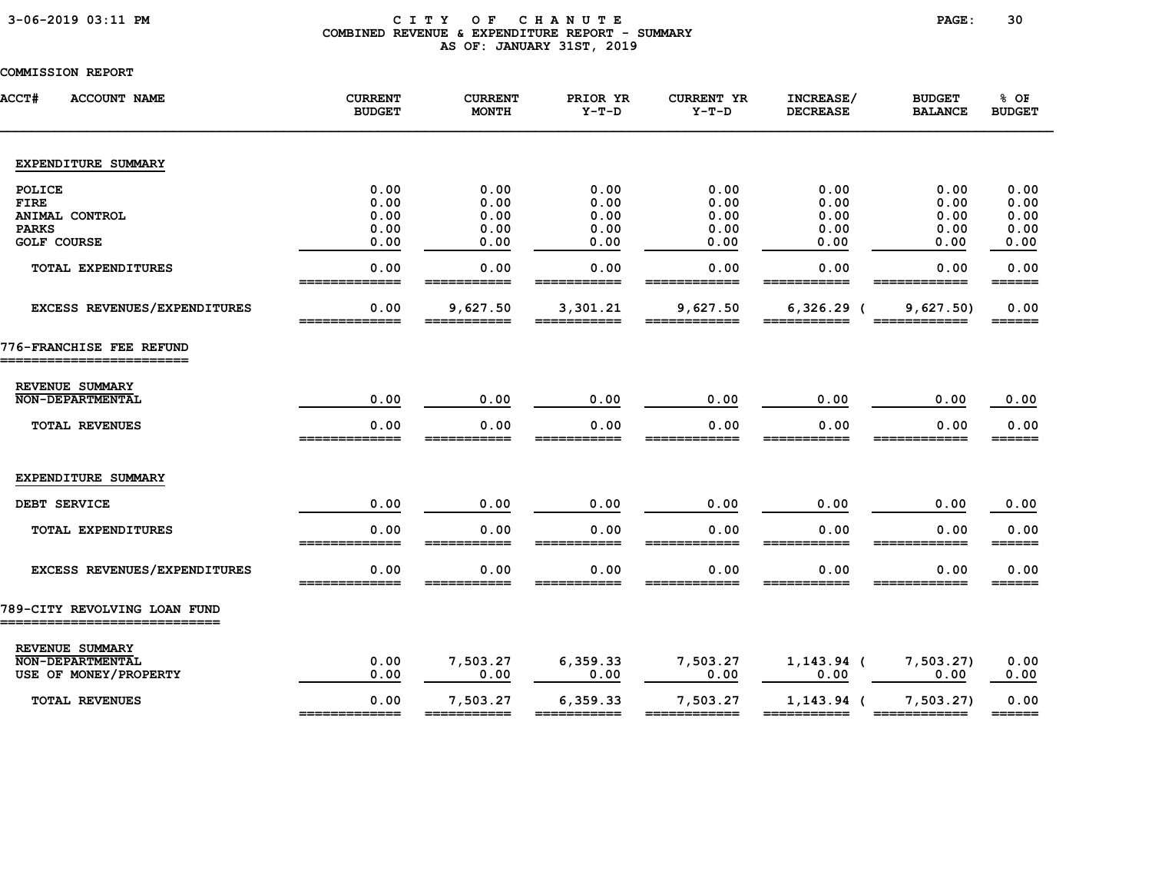### 3-06-2019 03:11 PM C I T Y O F C H A N U T E PAGE: 30 COMBINED REVENUE & EXPENDITURE REPORT - SUMMARY AS OF: JANUARY 31ST, 2019

| <b>ACCT#</b><br><b>ACCOUNT NAME</b>                          | <b>CURRENT</b><br><b>BUDGET</b> | <b>CURRENT</b><br><b>MONTH</b> | PRIOR YR<br>$Y-T-D$     | <b>CURRENT YR</b><br>$Y-T-D$ | INCREASE/<br><b>DECREASE</b> | <b>BUDGET</b><br><b>BALANCE</b> | % OF<br><b>BUDGET</b> |
|--------------------------------------------------------------|---------------------------------|--------------------------------|-------------------------|------------------------------|------------------------------|---------------------------------|-----------------------|
| EXPENDITURE SUMMARY                                          |                                 |                                |                         |                              |                              |                                 |                       |
| POLICE                                                       | 0.00                            | 0.00                           | 0.00                    | 0.00                         | 0.00                         | 0.00                            | 0.00                  |
| <b>FIRE</b>                                                  | 0.00<br>0.00                    | 0.00<br>0.00                   | 0.00                    | 0.00<br>0.00                 | 0.00<br>0.00                 | 0.00<br>0.00                    | 0.00<br>0.00          |
| ANIMAL CONTROL<br><b>PARKS</b>                               | 0.00                            | 0.00                           | 0.00<br>0.00            | 0.00                         | 0.00                         | 0.00                            | 0.00                  |
| <b>GOLF COURSE</b>                                           | 0.00                            | 0.00                           | 0.00                    | 0.00                         | 0.00                         | 0.00                            | 0.00                  |
| TOTAL EXPENDITURES                                           | 0.00                            | 0.00                           | 0.00                    | 0.00                         | 0.00                         | 0.00                            | 0.00<br>======        |
| EXCESS REVENUES/EXPENDITURES                                 | 0.00<br>_____________           | 9,627.50<br>===========        | 3,301.21<br>=========== | 9,627.50<br>============     | $6,326.29$ (<br>-----------  | 9,627.50                        | 0.00<br>======        |
| 776-FRANCHISE FEE REFUND<br>----------------------           |                                 |                                |                         |                              |                              |                                 |                       |
| REVENUE SUMMARY                                              |                                 |                                |                         |                              |                              |                                 |                       |
| <b>NON-DEPARTMENTAL</b>                                      | 0.00                            | 0.00                           | 0.00                    | 0.00                         | 0.00                         | 0.00                            | 0.00                  |
| <b>TOTAL REVENUES</b>                                        | 0.00                            | 0.00                           | 0.00                    | 0.00                         | 0.00                         | 0.00                            | 0.00<br>======        |
| EXPENDITURE SUMMARY                                          |                                 |                                |                         |                              |                              |                                 |                       |
| DEBT SERVICE                                                 | 0.00                            | 0.00                           | 0.00                    | 0.00                         | 0.00                         | 0.00                            | 0.00                  |
| TOTAL EXPENDITURES                                           | 0.00                            | 0.00                           | 0.00                    | 0.00                         | 0.00                         | 0.00                            | 0.00<br>======        |
| EXCESS REVENUES/EXPENDITURES                                 | 0.00<br>_________               | 0.00                           | 0.00<br>______          | 0.00<br>_______              | 0.00                         | 0.00                            | 0.00<br>______        |
| 789-CITY REVOLVING LOAN FUND<br>============================ |                                 |                                |                         |                              |                              |                                 |                       |
| REVENUE SUMMARY                                              |                                 |                                |                         |                              |                              |                                 |                       |
| NON-DEPARTMENTAL<br>USE OF MONEY/PROPERTY                    | 0.00<br>0.00                    | 7,503.27<br>0.00               | 6,359.33<br>0.00        | 7,503.27<br>0.00             | $1,143.94$ (<br>0.00         | 7,503.27<br>0.00                | 0.00<br>0.00          |
|                                                              |                                 |                                |                         |                              |                              |                                 |                       |
| <b>TOTAL REVENUES</b>                                        | 0.00                            | 7,503.27                       | 6,359.33<br>=========== | 7,503.27                     | 1,143.94 (<br>===========    | 7,503.27<br>============        | 0.00<br>======        |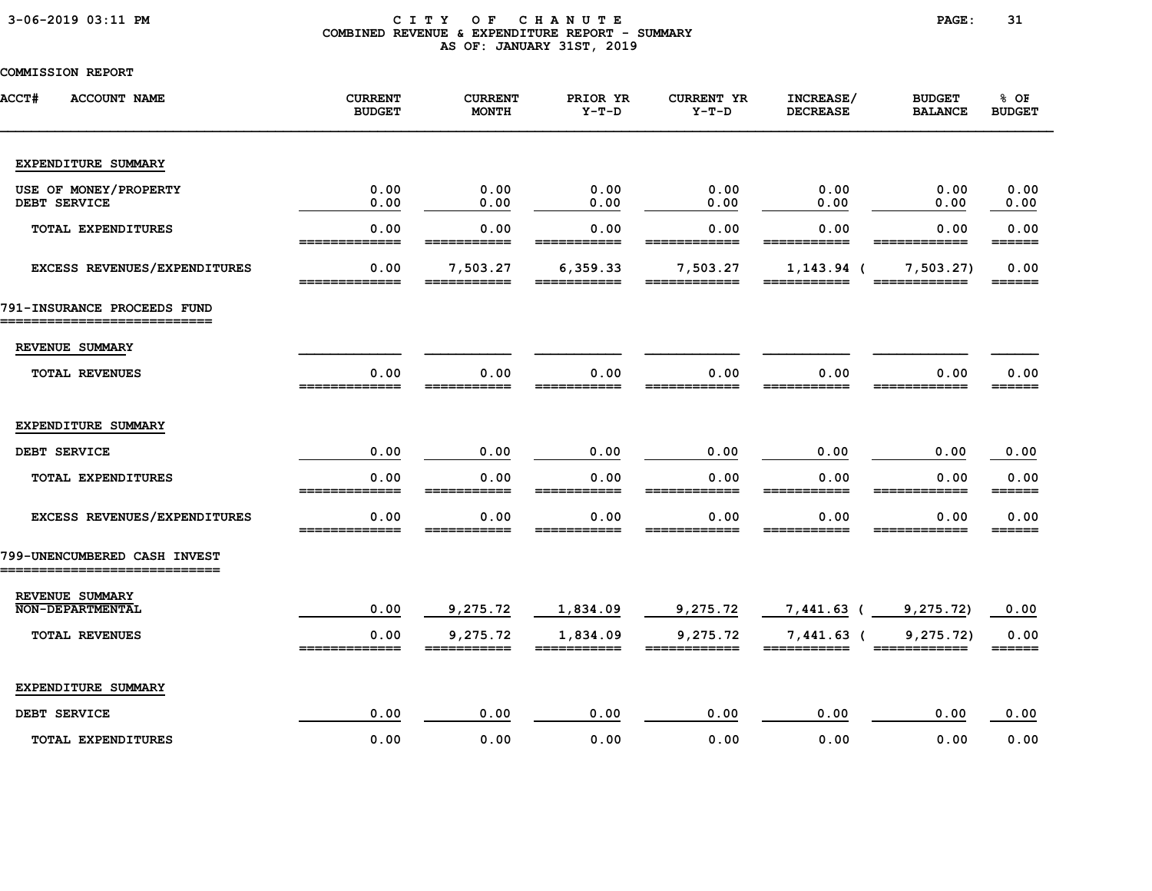### 3-06-2019 03:11 PM C I T Y O F C H A N U T E PAGE: 31 COMBINED REVENUE & EXPENDITURE REPORT - SUMMARY AS OF: JANUARY 31ST, 2019

| <b>ACCT#</b><br><b>ACCOUNT NAME</b>        | <b>CURRENT</b><br><b>BUDGET</b> | <b>CURRENT</b><br>MONTH | PRIOR YR<br>$Y-T-D$ | <b>CURRENT YR</b><br>$Y-T-D$ | INCREASE/<br><b>DECREASE</b> | <b>BUDGET</b><br><b>BALANCE</b> | % OF<br><b>BUDGET</b>           |
|--------------------------------------------|---------------------------------|-------------------------|---------------------|------------------------------|------------------------------|---------------------------------|---------------------------------|
| EXPENDITURE SUMMARY                        |                                 |                         |                     |                              |                              |                                 |                                 |
| USE OF MONEY/PROPERTY<br>DEBT SERVICE      | 0.00<br>0.00                    | 0.00<br>0.00            | 0.00<br>0.00        | 0.00<br>0.00                 | 0.00<br>0.00                 | 0.00<br>0.00                    | 0.00<br>0.00                    |
| TOTAL EXPENDITURES                         | 0.00<br>=============           | 0.00<br>===========     | 0.00<br>=========== | 0.00<br>=======              | 0.00<br>===========          | 0.00                            | 0.00<br>======                  |
| EXCESS REVENUES/EXPENDITURES               | 0.00<br>=============           | 7,503.27                | 6,359.33            | 7,503.27                     | $1, 143.94$ (                | 7,503.27                        | 0.00<br>$=$ $=$ $=$ $=$ $=$ $=$ |
| 791-INSURANCE PROCEEDS FUND                |                                 |                         |                     |                              |                              |                                 |                                 |
| REVENUE SUMMARY                            |                                 |                         |                     |                              |                              |                                 |                                 |
| <b>TOTAL REVENUES</b>                      | 0.00                            | 0.00                    | 0.00                | 0.00                         | 0.00                         | 0.00                            | 0.00<br>======                  |
| EXPENDITURE SUMMARY                        |                                 |                         |                     |                              |                              |                                 |                                 |
| DEBT SERVICE                               | 0.00                            | 0.00                    | 0.00                | 0.00                         | 0.00                         | 0.00                            | 0.00                            |
| TOTAL EXPENDITURES                         | 0.00                            | 0.00                    | 0.00                | 0.00                         | 0.00                         | 0.00                            | 0.00<br>======                  |
| EXCESS REVENUES/EXPENDITURES               | 0.00                            | 0.00                    | 0.00                | 0.00                         | 0.00                         | 0.00                            | 0.00<br>======                  |
| 799-UNENCUMBERED CASH INVEST               |                                 |                         |                     |                              |                              |                                 |                                 |
| REVENUE SUMMARY<br><b>NON-DEPARTMENTAL</b> | 0.00                            | 9,275.72                | 1,834.09            | 9,275.72                     | $7,441.63$ (                 | 9, 275.72)                      | 0.00                            |
| <b>TOTAL REVENUES</b>                      | 0.00<br>=============           | 9,275.72                | 1,834.09            | 9,275.72                     | $7,441.63$ (                 | 9, 275.72                       | 0.00<br>======                  |
| EXPENDITURE SUMMARY                        |                                 |                         |                     |                              |                              |                                 |                                 |
| DEBT SERVICE                               | 0.00                            | 0.00                    | 0.00                | 0.00                         | 0.00                         | 0.00                            | 0.00                            |
| <b>TOTAL EXPENDITURES</b>                  | 0.00                            | 0.00                    | 0.00                | 0.00                         | 0.00                         | 0.00                            | 0.00                            |